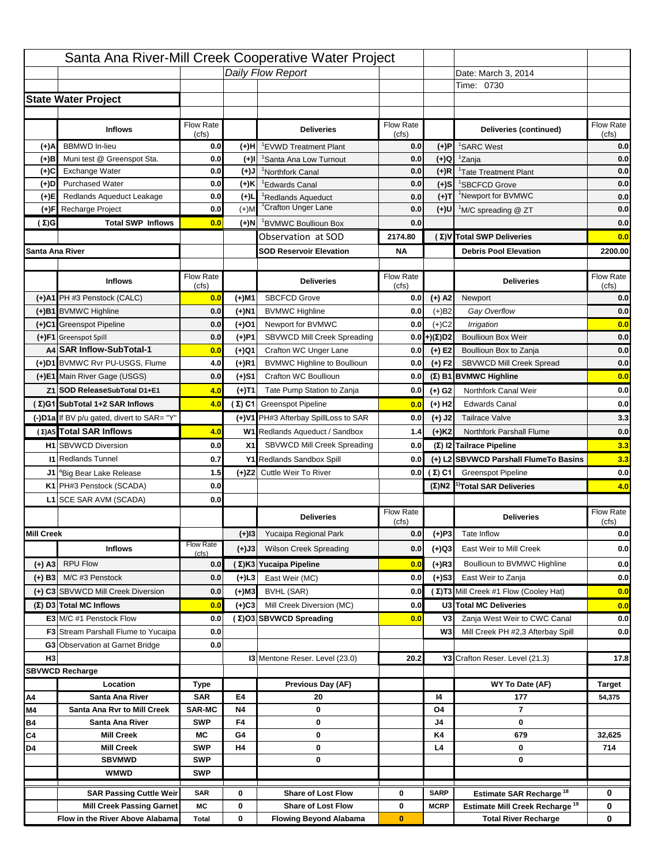|                   |                                                                     |                  |           | Santa Ana River-Mill Creek Cooperative Water Project       |                  |                       |                                                 |                   |
|-------------------|---------------------------------------------------------------------|------------------|-----------|------------------------------------------------------------|------------------|-----------------------|-------------------------------------------------|-------------------|
|                   |                                                                     |                  |           | Daily Flow Report                                          |                  |                       | Date: March 3, 2014                             |                   |
|                   |                                                                     |                  |           |                                                            |                  |                       | Time: 0730                                      |                   |
|                   | <b>State Water Project</b>                                          |                  |           |                                                            |                  |                       |                                                 |                   |
|                   |                                                                     |                  |           |                                                            |                  |                       |                                                 |                   |
|                   | <b>Inflows</b>                                                      | Flow Rate        |           | <b>Deliveries</b>                                          | <b>Flow Rate</b> |                       | Deliveries (continued)                          | Flow Rate         |
| (+)A              | <b>BBMWD</b> In-lieu                                                | (cts)<br>0.0     | (+)H      | 'EVWD Treatment Plant                                      | (cfs)<br>0.0     | (+)P                  | <sup>1</sup> SARC West                          | (cfs)<br>0.0      |
| (+)B              | Muni test @ Greenspot Sta.                                          | 0.0              | (+)I      | 'Santa Ana Low Turnout                                     | 0.0              | (+)Q                  | <sup>1</sup> Zanja                              | 0.0               |
| (+)C              | Exchange Water                                                      | 0.0              | (+)J      | <sup>1</sup> Northfork Canal                               | 0.0              | $(+)R$                | <sup>1</sup> Tate Treatment Plant               | 0.0               |
| (+)D              | <b>Purchased Water</b>                                              | 0.0              | (+)K      | <sup>1</sup> Edwards Canal                                 | 0.0              | $(+)S$                | <sup>1</sup> SBCFCD Grove                       | 0.0               |
| (+)E              | Redlands Aqueduct Leakage                                           | 0.0              | $(+)$ L   | <sup>1</sup> Redlands Aqueduct                             | 0.0              | $(+)T$                | <sup>1</sup> Newport for BVMWC                  | 0.0               |
| (+)F              | Recharge Project                                                    | 0.0              | $(+)$ M   | <sup>1</sup> Crafton Unger Lane                            | 0.0              | (+)U                  | <sup>1</sup> M/C spreading @ ZT                 | 0.0               |
| ( Σ)G             | <b>Total SWP Inflows</b>                                            | 0.0              | (+)N      | BVMWC Boullioun Box                                        | 0.0              |                       |                                                 | 0.0               |
|                   |                                                                     |                  |           | Observation at SOD                                         | 2174.80          |                       | (Σ) V Total SWP Deliveries                      | 0.0               |
| Santa Ana River   |                                                                     |                  |           | <b>SOD Reservoir Elevation</b>                             | NA               |                       | <b>Debris Pool Elevation</b>                    | 2200.00           |
|                   |                                                                     |                  |           |                                                            |                  |                       |                                                 |                   |
|                   | <b>Inflows</b>                                                      | Flow Rate        |           | <b>Deliveries</b>                                          | <b>Flow Rate</b> |                       | <b>Deliveries</b>                               | Flow Rate         |
|                   |                                                                     | (cts)            |           |                                                            | (cts)            |                       |                                                 | (cfs)             |
|                   | (+)A1 PH #3 Penstock (CALC)                                         | 0.0              | (+)M1     | <b>SBCFCD Grove</b>                                        | 0.0              | $(+)$ A2              | Newport                                         | 0.0               |
|                   | (+)B1 BVMWC Highline                                                | 0.0              | (+)N1     | <b>BVMWC Highline</b>                                      | 0.0              | $(+)B2$               | Gay Overflow                                    | 0.0               |
|                   | (+)C1 Greenspot Pipeline                                            | 0.0              | (+)O1     | Newport for BVMWC                                          | 0.0              | $(+)$ C2              | Irrigation                                      | 0.0               |
|                   | (+)F1 Greenspot Spill<br>A4 SAR Inflow-SubTotal-1                   | 0.0              | (+)P1     | SBVWCD Mill Creek Spreading                                |                  | $0.0$ + $(\Sigma)$ D2 | <b>Boullioun Box Weir</b>                       | 0.0               |
|                   | (+)D1 BVMWC Rvr PU-USGS, Flume                                      | 0.0              | (+)Q1     | Crafton WC Unger Lane                                      | 0.0              | $(+)$ E2              | Boullioun Box to Zanja                          | 0.0               |
|                   |                                                                     | 4.0              | $(+)R1$   | <b>BVMWC Highline to Boullioun</b>                         | 0.0              | $(+) F2$              | SBVWCD Mill Creek Spread                        | 0.0               |
|                   | (+)E1 Main River Gage (USGS)                                        | 0.0              | (+)S1     | Crafton WC Boullioun                                       | 0.0              |                       | $(\Sigma)$ B1 BVMWC Highline                    | 0.0               |
|                   | Z1 SOD ReleaseSubTotal D1+E1                                        | 4.0              | (+)T1     | Tate Pump Station to Zanja                                 | 0.0              | (+) G2                | Northfork Canal Weir                            | 0.0               |
|                   | (Σ)G1 SubTotal 1+2 SAR Inflows                                      | 4.0              |           | $(\Sigma)$ C1 Greenspot Pipeline                           | 0.0              | $(+)$ H <sub>2</sub>  | <b>Edwards Canal</b>                            | 0.0               |
|                   | (-)D1a If BV p/u gated, divert to SAR= "Y"                          |                  |           | (+)V1 PH#3 Afterbay SpillLoss to SAR                       | 0.0              | $(+)$ J2              | <b>Tailrace Valve</b>                           | 3.3               |
|                   | (Σ) A5 Total SAR Inflows                                            | 4.0              |           | W1 Redlands Aqueduct / Sandbox                             | 1.4              | $(+)$ K2              | Northfork Parshall Flume                        | 0.0               |
|                   | <b>H1</b> SBVWCD Diversion                                          | 0.0              | X1        | SBVWCD Mill Creek Spreading                                | 0.0              |                       | (Σ) I2 Tailrace Pipeline                        | 3.3               |
|                   | <b>11 Redlands Tunnel</b>                                           | 0.7              |           | Y1 Redlands Sandbox Spill                                  | 0.0              |                       | (+) L2 SBVWCD Parshall Flume To Basins          | 3.3               |
|                   | J1 <sup>a</sup> Big Bear Lake Release                               | 1.5              |           | (+)Z2 Cuttle Weir To River                                 | 0.0              | (Σ) C1                | <b>Greenspot Pipeline</b>                       | 0.0               |
|                   | K1 PH#3 Penstock (SCADA)                                            | 0.0              |           |                                                            |                  |                       | $(\Sigma)$ N2 <sup>1</sup> Total SAR Deliveries | 4.0               |
|                   |                                                                     |                  |           |                                                            |                  |                       |                                                 |                   |
|                   | L1 SCE SAR AVM (SCADA)                                              | 0.0              |           |                                                            |                  |                       |                                                 |                   |
|                   |                                                                     |                  |           | <b>Deliveries</b>                                          | <b>Flow Rate</b> |                       | <b>Deliveries</b>                               | <b>Flow Rate</b>  |
|                   |                                                                     |                  |           |                                                            | (cts)            |                       |                                                 | (cts)             |
| <b>Mill Creek</b> |                                                                     | <b>Flow Rate</b> | $(+)$  3  | Yucaipa Regional Park                                      | 0.0              | $(+)$ P3              | Tate Inflow                                     |                   |
|                   | <b>Inflows</b>                                                      | (cfs)            | (+)J3     | <b>Wilson Creek Spreading</b>                              | 0.0              | (+)Q3                 | East Weir to Mill Creek                         |                   |
| $(+)$ A3          | <b>RPU Flow</b>                                                     | 0.0              |           | (Σ)K3 Yucaipa Pipeline                                     | 0.0              | (+)R3                 | Boullioun to BVMWC Highline                     | 0.0<br>0.0<br>0.0 |
| $(+)$ B3          | M/C #3 Penstock                                                     | 0.0              | $(+)$ L3  | East Weir (MC)                                             | 0.0              | $(+)$ S3              | East Weir to Zanja                              | 0.0               |
|                   | (+) C3 SBVWCD Mill Creek Diversion                                  | 0.0              | (+)M3     | BVHL (SAR)                                                 | 0.0              |                       | (Σ) T3 Mill Creek #1 Flow (Cooley Hat)          | 0.0               |
|                   | $(\Sigma)$ D3 Total MC Inflows                                      | 0.0              | $(+)$ C3  | Mill Creek Diversion (MC)                                  | 0.0              |                       | U3 Total MC Deliveries                          | 0.0               |
|                   | E3 M/C #1 Penstock Flow                                             | 0.0              |           | (Σ)O3 SBVWCD Spreading                                     | 0.0              | V <sub>3</sub>        | Zanja West Weir to CWC Canal                    | 0.0               |
|                   | <b>F3</b> Stream Parshall Flume to Yucaipa                          | 0.0              |           |                                                            |                  | W3                    | Mill Creek PH #2,3 Afterbay Spill               | 0.0               |
|                   | G3 Observation at Garnet Bridge                                     | 0.0              |           |                                                            |                  |                       |                                                 |                   |
| H <sub>3</sub>    |                                                                     |                  |           | 13 Mentone Reser. Level (23.0)                             | 20.2             |                       | Y3 Crafton Reser. Level (21.3)                  | 17.8              |
|                   | <b>SBVWCD Recharge</b>                                              |                  |           |                                                            |                  |                       |                                                 |                   |
|                   | Location                                                            | Type             |           | Previous Day (AF)                                          |                  |                       | WY To Date (AF)                                 | <b>Target</b>     |
| Α4                | Santa Ana River                                                     | <b>SAR</b>       | E4        | 20                                                         |                  | 14                    | 177                                             | 54,375            |
| M4                | Santa Ana Rvr to Mill Creek                                         | <b>SAR-MC</b>    | <b>N4</b> | 0                                                          |                  | O4                    | $\overline{\mathbf{r}}$                         |                   |
| Β4                | Santa Ana River                                                     | <b>SWP</b>       | F4        | 0                                                          |                  | J4                    | 0                                               |                   |
| C4                | <b>Mill Creek</b>                                                   | МC               | G4        | 0                                                          |                  | K4                    | 679                                             | 32,625            |
| D4                | <b>Mill Creek</b>                                                   | <b>SWP</b>       | H4        | 0                                                          |                  | L4                    | 0                                               | 714               |
|                   | <b>SBVMWD</b>                                                       | <b>SWP</b>       |           | 0                                                          |                  |                       | 0                                               |                   |
|                   | <b>WMWD</b>                                                         | <b>SWP</b>       |           |                                                            |                  |                       |                                                 |                   |
|                   | <b>SAR Passing Cuttle Weir</b>                                      | <b>SAR</b>       | 0         | <b>Share of Lost Flow</b>                                  | 0                | <b>SARP</b>           | Estimate SAR Recharge <sup>18</sup>             | 0                 |
|                   | <b>Mill Creek Passing Garnet</b><br>Flow in the River Above Alabama | МC               | 0<br>0    | <b>Share of Lost Flow</b><br><b>Flowing Beyond Alabama</b> | 0                | <b>MCRP</b>           | Estimate Mill Creek Recharge <sup>19</sup>      | 0<br>0            |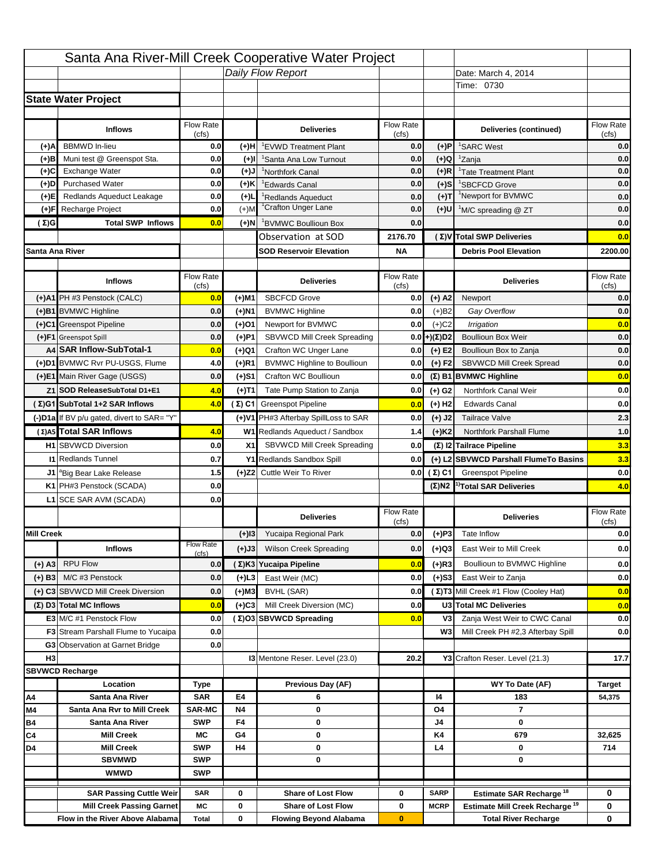|                   |                                                    |                    |           | Santa Ana River-Mill Creek Cooperative Water Project |                           |                      |                                                  |                         |
|-------------------|----------------------------------------------------|--------------------|-----------|------------------------------------------------------|---------------------------|----------------------|--------------------------------------------------|-------------------------|
|                   |                                                    |                    |           | Daily Flow Report                                    |                           |                      | Date: March 4, 2014                              |                         |
|                   |                                                    |                    |           |                                                      |                           |                      | Time: 0730                                       |                         |
|                   | <b>State Water Project</b>                         |                    |           |                                                      |                           |                      |                                                  |                         |
|                   |                                                    |                    |           |                                                      |                           |                      |                                                  |                         |
|                   | <b>Inflows</b>                                     | Flow Rate<br>(cfs) |           | <b>Deliveries</b>                                    | <b>Flow Rate</b><br>(cfs) |                      | Deliveries (continued)                           | Flow Rate<br>(cfs)      |
| (+)A              | <b>BBMWD</b> In-lieu                               | 0.0                | (+)H      | 'EVWD Treatment Plant                                | 0.0                       | (+)P                 | <sup>1</sup> SARC West                           | 0.0                     |
| (+)B              | Muni test @ Greenspot Sta.                         | 0.0                | $(+)$ l   | 'Santa Ana Low Turnout                               | 0.0                       | $(+)Q$               | <sup>1</sup> Zanja                               | 0.0                     |
| (+)C              | Exchange Water                                     | 0.0                | $(L(+)$   | <sup>1</sup> Northfork Canal                         | 0.0                       | $(+)R$               | <sup>1</sup> Tate Treatment Plant                | 0.0                     |
| (+)D              | <b>Purchased Water</b>                             | 0.0                | (+)K      | <sup>1</sup> Edwards Canal                           | 0.0                       | $(+)$ S              | <sup>1</sup> SBCFCD Grove                        | 0.0                     |
| (+)E              | Redlands Aqueduct Leakage                          | 0.0                | $(+)1$    | <sup>1</sup> Redlands Aqueduct                       | 0.0                       | $(+)T$               | <sup>1</sup> Newport for BVMWC                   | 0.0                     |
| (+)F              | Recharge Project                                   | 0.0                | $(+)$ M   | <sup>1</sup> Crafton Unger Lane                      | 0.0                       | $(+)$ U              | <sup>1</sup> M/C spreading @ ZT                  | 0.0                     |
| (Σ)G              | <b>Total SWP Inflows</b>                           | 0.0                | (+)N      | <sup>1</sup> BVMWC Boullioun Box                     | 0.0                       |                      |                                                  | 0.0                     |
|                   |                                                    |                    |           | Observation at SOD                                   | 2176.70                   |                      | (Σ) V Total SWP Deliveries                       | 0.0                     |
|                   | Santa Ana River                                    |                    |           | <b>SOD Reservoir Elevation</b>                       | <b>NA</b>                 |                      | <b>Debris Pool Elevation</b>                     | 2200.00                 |
|                   |                                                    |                    |           |                                                      |                           |                      |                                                  |                         |
|                   | <b>Inflows</b>                                     | Flow Rate          |           | <b>Deliveries</b>                                    | Flow Rate                 |                      | <b>Deliveries</b>                                | Flow Rate               |
|                   | (+)A1 PH #3 Penstock (CALC)                        | (cfs)<br>0.0       | (+)M1     | <b>SBCFCD Grove</b>                                  | (cfs)<br>0.0              | $(+)$ A2             | Newport                                          | (cfs)<br>0.0            |
|                   | (+)B1 BVMWC Highline                               | 0.0                | (+)N1     | <b>BVMWC Highline</b>                                | 0.0                       | $(+)B2$              | Gay Overflow                                     | 0.0                     |
|                   | (+)C1 Greenspot Pipeline                           | 0.0                | (+)01     | Newport for BVMWC                                    | 0.0                       | $(+)$ C <sub>2</sub> | Irrigation                                       | 0.0                     |
|                   | (+)F1 Greenspot Spill                              | 0.0                | (+)P1     | SBVWCD Mill Creek Spreading                          | 0.0                       | (+)(Σ)D2             | <b>Boullioun Box Weir</b>                        | 0.0                     |
|                   | A4 SAR Inflow-SubTotal-1                           | 0.0                | (+)Q1     | Crafton WC Unger Lane                                | 0.0                       | $(+) E2$             | Boullioun Box to Zanja                           | 0.0                     |
|                   | (+)D1 BVMWC Rvr PU-USGS, Flume                     | 4.0                | $(+)$ R1  | <b>BVMWC Highline to Boullioun</b>                   | 0.0                       | $(+) F2$             | SBVWCD Mill Creek Spread                         | 0.0                     |
|                   | (+)E1 Main River Gage (USGS)                       | 0.0                | (+)S1     | Crafton WC Boullioun                                 | 0.0                       |                      | $(\Sigma)$ B1 BVMWC Highline                     | 0.0                     |
|                   | Z1 SOD ReleaseSubTotal D1+E1                       | 4.0                |           | Tate Pump Station to Zanja                           | 0.0                       |                      | Northfork Canal Weir                             | 0.0                     |
|                   | (Σ)G1 SubTotal 1+2 SAR Inflows                     | 4.0                | (+)T1     | (Σ) C1 Greenspot Pipeline                            |                           | (+) G2               | <b>Edwards Canal</b>                             | 0.0                     |
|                   |                                                    |                    |           |                                                      | 0.0                       | $(+)$ H <sub>2</sub> |                                                  |                         |
|                   | (-)D1a If BV p/u gated, divert to SAR= "Y"         |                    |           | (+)V1 PH#3 Afterbay SpillLoss to SAR                 | 0.0                       | $(+)$ J2             | <b>Tailrace Valve</b>                            | 2.3                     |
|                   | (Σ) A5 Total SAR Inflows                           | 4.0                |           | W1 Redlands Aqueduct / Sandbox                       | 1.4                       | $(+)$ K <sub>2</sub> | <b>Northfork Parshall Flume</b>                  | 1.0                     |
|                   | <b>H1</b> SBVWCD Diversion                         | 0.0                | X1        | SBVWCD Mill Creek Spreading                          | 0.0                       |                      | (Σ) I2 Tailrace Pipeline                         | 3.3                     |
|                   | <b>11 Redlands Tunnel</b>                          | 0.7                |           | Y1 Redlands Sandbox Spill                            | 0.0                       |                      | (+) L2 SBVWCD Parshall FlumeTo Basins            | 3.3                     |
|                   | J1 <sup>a</sup> Big Bear Lake Release              | 1.5                |           | (+)Z2 Cuttle Weir To River                           |                           | 0.0 $(\Sigma)$ C1    | <b>Greenspot Pipeline</b>                        | 0.0                     |
|                   | K1 PH#3 Penstock (SCADA)                           | 0.0                |           |                                                      |                           |                      | $(\Sigma)$ N2 <sup>1)</sup> Total SAR Deliveries | 4.0                     |
|                   | L1 SCE SAR AVM (SCADA)                             | 0.0                |           |                                                      |                           |                      |                                                  |                         |
|                   |                                                    |                    |           | <b>Deliveries</b>                                    | <b>Flow Rate</b><br>(cfs) |                      | <b>Deliveries</b>                                | Flow Rate<br>(cfs)      |
| <b>Mill Creek</b> |                                                    |                    | $(+)$ 13  | Yucaipa Regional Park                                | 0.0                       | $(+)P3$              | Tate Inflow                                      | 0.0                     |
|                   | <b>Inflows</b>                                     | <b>Flow Rate</b>   | (+)J3     | <b>Wilson Creek Spreading</b>                        | 0.0                       | (+)Q3                | East Weir to Mill Creek                          | 0.0                     |
| (+) A3            | <b>RPU Flow</b>                                    | (cfs)<br>0.0       |           | (Σ)K3 Yucaipa Pipeline                               | 0.0                       | $(+)$ R3             | Boullioun to BVMWC Highline                      | 0.0                     |
|                   | M/C #3 Penstock                                    | 0.0                |           | East Weir (MC)                                       | 0.0                       |                      | East Weir to Zanja                               |                         |
| $(+)$ B3          |                                                    |                    | $(+)$ L3  |                                                      |                           | $(+)$ S3             | (Σ) T3 Mill Creek #1 Flow (Cooley Hat)           | 0.0                     |
|                   | (+) C3 SBVWCD Mill Creek Diversion                 | 0.0                | (+)M3     | BVHL (SAR)                                           | 0.0                       |                      |                                                  | 0.0                     |
|                   | (Σ) D3 Total MC Inflows<br>E3 M/C #1 Penstock Flow | 0.0                | $(+)C3$   | Mill Creek Diversion (MC)                            | 0.0                       |                      | U3 Total MC Deliveries                           | 0.0                     |
|                   |                                                    | 0.0                |           | (Σ)O3 SBVWCD Spreading                               | 0.0                       | V3<br>W <sub>3</sub> | Zanja West Weir to CWC Canal                     | 0.0                     |
|                   | <b>F3</b> Stream Parshall Flume to Yucaipa         | 0.0<br>0.0         |           |                                                      |                           |                      | Mill Creek PH #2,3 Afterbay Spill                | 0.0                     |
| H <sub>3</sub>    | G3 Observation at Garnet Bridge                    |                    |           |                                                      | 20.2                      |                      |                                                  | 17.7                    |
|                   | <b>SBVWCD Recharge</b>                             |                    |           | 13 Mentone Reser. Level (23.0)                       |                           |                      | Y3 Crafton Reser. Level (21.3)                   |                         |
|                   | Location                                           |                    |           | Previous Day (AF)                                    |                           |                      | WY To Date (AF)                                  |                         |
| Α4                | Santa Ana River                                    | Type<br><b>SAR</b> | E4        | 6                                                    |                           | 14                   | 183                                              | <b>Target</b><br>54,375 |
| M4                | Santa Ana Rvr to Mill Creek                        | <b>SAR-MC</b>      | <b>N4</b> | 0                                                    |                           | O4                   | $\overline{7}$                                   |                         |
| Β4                | Santa Ana River                                    | <b>SWP</b>         | F4        | 0                                                    |                           | J4                   | 0                                                |                         |
| C4                | <b>Mill Creek</b>                                  | МC                 | G4        | 0                                                    |                           | K4                   | 679                                              | 32,625                  |
| D4                | <b>Mill Creek</b>                                  | <b>SWP</b>         | H4        | 0                                                    |                           | L4                   | 0                                                | 714                     |
|                   | <b>SBVMWD</b>                                      | <b>SWP</b>         |           | 0                                                    |                           |                      | 0                                                |                         |
|                   | <b>WMWD</b>                                        | <b>SWP</b>         |           |                                                      |                           |                      |                                                  |                         |
|                   | <b>SAR Passing Cuttle Weir</b>                     | <b>SAR</b>         | 0         | <b>Share of Lost Flow</b>                            | 0                         | <b>SARP</b>          | Estimate SAR Recharge <sup>18</sup>              | 0                       |
|                   | <b>Mill Creek Passing Garnet</b>                   | МC                 | 0         | <b>Share of Lost Flow</b>                            | 0                         | <b>MCRP</b>          | Estimate Mill Creek Recharge <sup>19</sup>       | 0                       |
|                   | Flow in the River Above Alabama                    | <b>Total</b>       | 0         | <b>Flowing Beyond Alabama</b>                        | $\bf{0}$                  |                      | <b>Total River Recharge</b>                      | 0                       |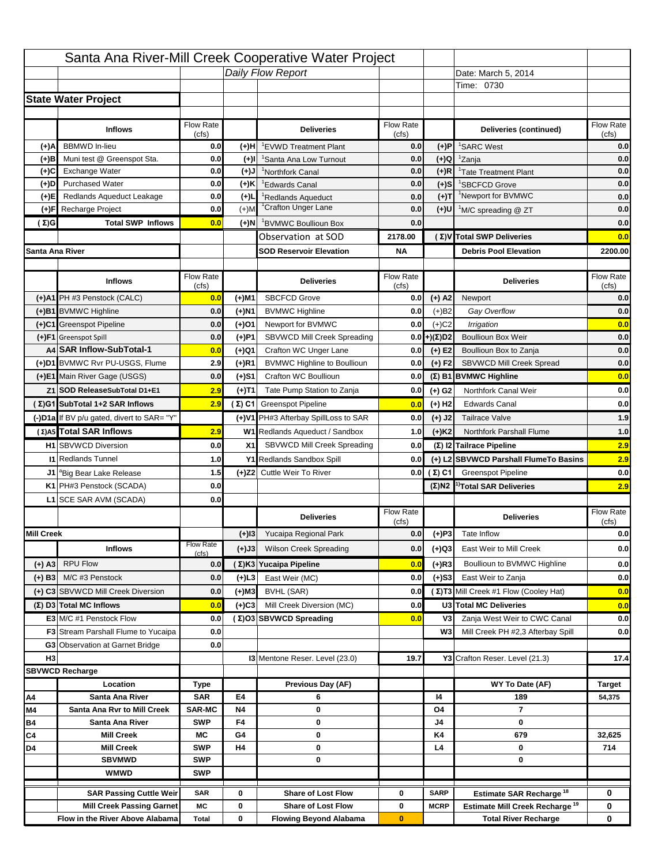|                   |                                            |                    |           | Santa Ana River-Mill Creek Cooperative Water Project |                           |                      |                                                  |                         |
|-------------------|--------------------------------------------|--------------------|-----------|------------------------------------------------------|---------------------------|----------------------|--------------------------------------------------|-------------------------|
|                   |                                            |                    |           | Daily Flow Report                                    |                           |                      | Date: March 5, 2014                              |                         |
|                   |                                            |                    |           |                                                      |                           |                      | Time: 0730                                       |                         |
|                   | <b>State Water Project</b>                 |                    |           |                                                      |                           |                      |                                                  |                         |
|                   |                                            |                    |           |                                                      |                           |                      |                                                  |                         |
|                   | <b>Inflows</b>                             | Flow Rate<br>(cfs) |           | <b>Deliveries</b>                                    | <b>Flow Rate</b><br>(cfs) |                      | Deliveries (continued)                           | Flow Rate<br>(cfs)      |
| (+)A              | <b>BBMWD</b> In-lieu                       | 0.0                | (+)H      | 'EVWD Treatment Plant                                | 0.0                       | (+)P                 | <sup>1</sup> SARC West                           | 0.0                     |
| (+)B              | Muni test @ Greenspot Sta.                 | 0.0                | $(+)$ l   | 'Santa Ana Low Turnout                               | 0.0                       | $(+)Q$               | <sup>1</sup> Zanja                               | 0.0                     |
| (+)C              | Exchange Water                             | 0.0                | $(L(+)$   | <sup>1</sup> Northfork Canal                         | 0.0                       | $(+)R$               | <sup>1</sup> Tate Treatment Plant                | 0.0                     |
| (+)D              | <b>Purchased Water</b>                     | 0.0                | (+)K      | <sup>1</sup> Edwards Canal                           | 0.0                       | $(+)$ S              | <sup>1</sup> SBCFCD Grove                        | 0.0                     |
| (+)E              | Redlands Aqueduct Leakage                  | 0.0                | $(+)1$    | <sup>1</sup> Redlands Aqueduct                       | 0.0                       | $(+)T$               | <sup>1</sup> Newport for BVMWC                   | 0.0                     |
| (+)F              | Recharge Project                           | 0.0                | $(+)$ M   | <sup>1</sup> Crafton Unger Lane                      | 0.0                       | $(+)$ U              | <sup>1</sup> M/C spreading @ ZT                  | 0.0                     |
| (Σ)G              | <b>Total SWP Inflows</b>                   | 0.0                | (+)N      | <sup>1</sup> BVMWC Boullioun Box                     | 0.0                       |                      |                                                  | 0.0                     |
|                   |                                            |                    |           | Observation at SOD                                   | 2178.00                   |                      | (Σ) V Total SWP Deliveries                       | 0.0                     |
|                   | Santa Ana River                            |                    |           | <b>SOD Reservoir Elevation</b>                       | <b>NA</b>                 |                      | <b>Debris Pool Elevation</b>                     | 2200.00                 |
|                   |                                            |                    |           |                                                      |                           |                      |                                                  |                         |
|                   | <b>Inflows</b>                             | Flow Rate          |           | <b>Deliveries</b>                                    | Flow Rate                 |                      | <b>Deliveries</b>                                | Flow Rate               |
|                   | (+)A1 PH #3 Penstock (CALC)                | (cfs)<br>0.0       | (+)M1     | <b>SBCFCD Grove</b>                                  | (cfs)<br>0.0              | $(+)$ A2             | Newport                                          | (cfs)<br>0.0            |
|                   | (+)B1 BVMWC Highline                       | 0.0                | (+)N1     | <b>BVMWC Highline</b>                                | 0.0                       | $(+)B2$              | Gay Overflow                                     | 0.0                     |
|                   | (+)C1 Greenspot Pipeline                   | 0.0                | (+)01     | Newport for BVMWC                                    | 0.0                       | $(+)$ C <sub>2</sub> | Irrigation                                       | 0.0                     |
|                   | (+)F1 Greenspot Spill                      | 0.0                | (+)P1     | SBVWCD Mill Creek Spreading                          | 0.0                       | (+)(Σ)D2             | <b>Boullioun Box Weir</b>                        | 0.0                     |
|                   | A4 SAR Inflow-SubTotal-1                   | 0.0                | (+)Q1     | Crafton WC Unger Lane                                | 0.0                       | $(+) E2$             | Boullioun Box to Zanja                           | 0.0                     |
|                   | (+)D1 BVMWC Rvr PU-USGS, Flume             | 2.9                | $(+)$ R1  | <b>BVMWC Highline to Boullioun</b>                   | 0.0                       | $(+) F2$             | SBVWCD Mill Creek Spread                         | 0.0                     |
|                   | (+)E1 Main River Gage (USGS)               | 0.0                | (+)S1     | Crafton WC Boullioun                                 | 0.0                       |                      | $(\Sigma)$ B1 BVMWC Highline                     | 0.0                     |
|                   | Z1 SOD ReleaseSubTotal D1+E1               | 2.9                |           | Tate Pump Station to Zanja                           | 0.0                       |                      | Northfork Canal Weir                             | 0.0                     |
|                   | (Σ)G1 SubTotal 1+2 SAR Inflows             | 2.9                | (+)T1     | (Σ) C1 Greenspot Pipeline                            |                           | (+) G2               | <b>Edwards Canal</b>                             | 0.0                     |
|                   |                                            |                    |           |                                                      | 0.0                       | $(+)$ H <sub>2</sub> |                                                  |                         |
|                   | (-)D1a If BV p/u gated, divert to SAR= "Y" |                    |           | (+)V1 PH#3 Afterbay SpillLoss to SAR                 | 0.0                       | $(+)$ J2             | <b>Tailrace Valve</b>                            | 1.9                     |
|                   | (Σ) A5 Total SAR Inflows                   | 2.9                |           | W1 Redlands Aqueduct / Sandbox                       | 1.0                       | $(+)$ K <sub>2</sub> | <b>Northfork Parshall Flume</b>                  | 1.0                     |
|                   | <b>H1</b> SBVWCD Diversion                 | 0.0                | X1        | SBVWCD Mill Creek Spreading                          | 0.0                       |                      | (Σ) I2 Tailrace Pipeline                         | 2.9                     |
|                   | <b>11 Redlands Tunnel</b>                  | 1.0                |           | Y1 Redlands Sandbox Spill                            | 0.0                       |                      | (+) L2 SBVWCD Parshall FlumeTo Basins            | 2.9                     |
|                   | J1 <sup>a</sup> Big Bear Lake Release      | 1.5                |           | (+)Z2 Cuttle Weir To River                           |                           | 0.0 $(\Sigma)$ C1    | <b>Greenspot Pipeline</b>                        | 0.0                     |
|                   | K1 PH#3 Penstock (SCADA)                   | 0.0                |           |                                                      |                           |                      | $(\Sigma)$ N2 <sup>1)</sup> Total SAR Deliveries | 2.9                     |
|                   | L1 SCE SAR AVM (SCADA)                     | 0.0                |           |                                                      |                           |                      |                                                  |                         |
|                   |                                            |                    |           | <b>Deliveries</b>                                    | <b>Flow Rate</b><br>(cfs) |                      | <b>Deliveries</b>                                | Flow Rate<br>(cfs)      |
| <b>Mill Creek</b> |                                            |                    | $(+)$ 13  | Yucaipa Regional Park                                | 0.0                       | $(+)P3$              | Tate Inflow                                      | 0.0                     |
|                   | <b>Inflows</b>                             | <b>Flow Rate</b>   | (+)J3     | <b>Wilson Creek Spreading</b>                        | 0.0                       | (+)Q3                | East Weir to Mill Creek                          | 0.0                     |
| (+) A3            | <b>RPU Flow</b>                            | (cfs)<br>0.0       |           | (Σ)K3 Yucaipa Pipeline                               | 0.0                       | $(+)$ R3             | Boullioun to BVMWC Highline                      | 0.0                     |
|                   | M/C #3 Penstock                            | 0.0                |           | East Weir (MC)                                       | 0.0                       |                      | East Weir to Zanja                               |                         |
| $(+)$ B3          | (+) C3 SBVWCD Mill Creek Diversion         | 0.0                | $(+)$ L3  | BVHL (SAR)                                           | 0.0                       | $(+)$ S3             | (Σ) T3 Mill Creek #1 Flow (Cooley Hat)           | 0.0<br>0.0              |
|                   |                                            |                    | (+)M3     |                                                      |                           |                      |                                                  |                         |
|                   | (Σ) D3 Total MC Inflows                    | 0.0                | $(+)C3$   | Mill Creek Diversion (MC)                            | 0.0                       |                      | U3 Total MC Deliveries                           | 0.0                     |
|                   | E3 M/C #1 Penstock Flow                    | 0.0                |           | (Σ)O3 SBVWCD Spreading                               | 0.0                       | V3                   | Zanja West Weir to CWC Canal                     | 0.0                     |
|                   | <b>F3</b> Stream Parshall Flume to Yucaipa | 0.0                |           |                                                      |                           | W <sub>3</sub>       | Mill Creek PH #2,3 Afterbay Spill                | 0.0                     |
| H <sub>3</sub>    | G3 Observation at Garnet Bridge            | 0.0                |           | 13 Mentone Reser. Level (23.0)                       | 19.7                      |                      | Y3 Crafton Reser. Level (21.3)                   | 17.4                    |
|                   |                                            |                    |           |                                                      |                           |                      |                                                  |                         |
|                   | <b>SBVWCD Recharge</b><br>Location         |                    |           | Previous Day (AF)                                    |                           |                      | WY To Date (AF)                                  |                         |
|                   | Santa Ana River                            | Type<br><b>SAR</b> | E4        |                                                      |                           | 14                   | 189                                              | <b>Target</b><br>54,375 |
| Α4<br>M4          | Santa Ana Rvr to Mill Creek                | <b>SAR-MC</b>      | <b>N4</b> | 6<br>0                                               |                           | O4                   | $\overline{7}$                                   |                         |
| Β4                | Santa Ana River                            | <b>SWP</b>         | F4        | 0                                                    |                           | J4                   | 0                                                |                         |
| C4                | <b>Mill Creek</b>                          | МC                 | G4        | 0                                                    |                           | K4                   | 679                                              | 32,625                  |
| D4                | <b>Mill Creek</b>                          | <b>SWP</b>         | H4        | 0                                                    |                           | L4                   | 0                                                | 714                     |
|                   | <b>SBVMWD</b>                              | <b>SWP</b>         |           | 0                                                    |                           |                      | 0                                                |                         |
|                   | <b>WMWD</b>                                | <b>SWP</b>         |           |                                                      |                           |                      |                                                  |                         |
|                   | <b>SAR Passing Cuttle Weir</b>             | <b>SAR</b>         | 0         | <b>Share of Lost Flow</b>                            | 0                         | <b>SARP</b>          | Estimate SAR Recharge <sup>18</sup>              | 0                       |
|                   | <b>Mill Creek Passing Garnet</b>           | МC                 | 0         | <b>Share of Lost Flow</b>                            | 0                         | <b>MCRP</b>          | Estimate Mill Creek Recharge <sup>19</sup>       | 0                       |
|                   | Flow in the River Above Alabama            | <b>Total</b>       | 0         | <b>Flowing Beyond Alabama</b>                        | $\bf{0}$                  |                      | <b>Total River Recharge</b>                      | 0                       |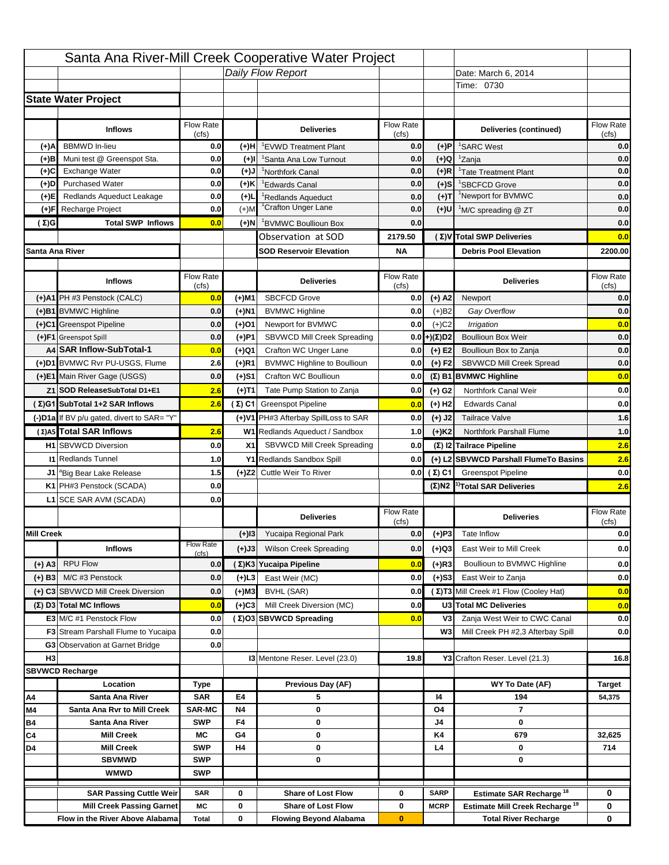|                   |                                                                    |                    |                   | Santa Ana River-Mill Creek Cooperative Water Project   |                           |                            |                                                                                   |                    |
|-------------------|--------------------------------------------------------------------|--------------------|-------------------|--------------------------------------------------------|---------------------------|----------------------------|-----------------------------------------------------------------------------------|--------------------|
|                   |                                                                    |                    |                   | Daily Flow Report                                      |                           |                            | Date: March 6, 2014                                                               |                    |
|                   |                                                                    |                    |                   |                                                        |                           |                            | Time: 0730                                                                        |                    |
|                   | <b>State Water Project</b>                                         |                    |                   |                                                        |                           |                            |                                                                                   |                    |
|                   |                                                                    |                    |                   |                                                        |                           |                            |                                                                                   |                    |
|                   | <b>Inflows</b>                                                     | Flow Rate          |                   | <b>Deliveries</b>                                      | <b>Flow Rate</b>          |                            | Deliveries (continued)                                                            | Flow Rate          |
| (+)A              | <b>BBMWD</b> In-lieu                                               | (cfs)<br>0.0       | (+)H              | 'EVWD Treatment Plant                                  | (cfs)<br>0.0              | (+)P                       | <sup>1</sup> SARC West                                                            | (cfs)<br>0.0       |
| (+)B              | Muni test @ Greenspot Sta.                                         | 0.0                | $(+)$ l           | 'Santa Ana Low Turnout                                 | 0.0                       | $(+)Q$                     | <sup>1</sup> Zanja                                                                | 0.0                |
| (+)C              | Exchange Water                                                     | 0.0                | $(L(+)$           | <sup>1</sup> Northfork Canal                           | 0.0                       | $(+)R$                     | <sup>1</sup> Tate Treatment Plant                                                 | 0.0                |
| (+)D              | <b>Purchased Water</b>                                             | 0.0                | (+)K              | <sup>1</sup> Edwards Canal                             | 0.0                       | $(+)$ S                    | <sup>1</sup> SBCFCD Grove                                                         | 0.0                |
| (+)E              | Redlands Aqueduct Leakage                                          | 0.0                | $(+)1$            | <sup>1</sup> Redlands Aqueduct                         | 0.0                       | $(+)T$                     | <sup>1</sup> Newport for BVMWC                                                    | 0.0                |
| (+)F              | Recharge Project                                                   | 0.0                | $(+)$ M           | <sup>1</sup> Crafton Unger Lane                        | 0.0                       | $(+)$ U                    | <sup>1</sup> M/C spreading @ ZT                                                   | 0.0                |
| (Σ)G              | <b>Total SWP Inflows</b>                                           | 0.0                | (+)N              | <sup>1</sup> BVMWC Boullioun Box                       | 0.0                       |                            |                                                                                   | 0.0                |
|                   |                                                                    |                    |                   | Observation at SOD                                     | 2179.50                   |                            | (Σ)V Total SWP Deliveries                                                         | 0.0                |
| Santa Ana River   |                                                                    |                    |                   | <b>SOD Reservoir Elevation</b>                         | <b>NA</b>                 |                            | <b>Debris Pool Elevation</b>                                                      | 2200.00            |
|                   |                                                                    |                    |                   |                                                        |                           |                            |                                                                                   |                    |
|                   | <b>Inflows</b>                                                     | Flow Rate          |                   | <b>Deliveries</b>                                      | Flow Rate                 |                            | <b>Deliveries</b>                                                                 | Flow Rate          |
|                   | (+)A1 PH #3 Penstock (CALC)                                        | (cfs)              |                   | <b>SBCFCD Grove</b>                                    | (cfs)                     |                            |                                                                                   | (cfs)              |
|                   |                                                                    | 0.0                | (+)M1             |                                                        | 0.0                       | $(+)$ A2                   | Newport                                                                           | 0.0                |
|                   | (+)B1 BVMWC Highline                                               | 0.0                | (+)N1             | <b>BVMWC Highline</b>                                  | 0.0                       | $(+)B2$                    | Gay Overflow                                                                      | 0.0                |
|                   | (+)C1 Greenspot Pipeline                                           | 0.0                | (+)01             | Newport for BVMWC<br>SBVWCD Mill Creek Spreading       | 0.0                       | $(+)$ C <sub>2</sub>       | Irrigation                                                                        | 0.0                |
|                   | (+)F1 Greenspot Spill<br>A4 SAR Inflow-SubTotal-1                  | 0.0                | (+)P1             | Crafton WC Unger Lane                                  | 0.0                       | (+)(Σ)D2                   | <b>Boullioun Box Weir</b>                                                         | 0.0                |
|                   | (+)D1 BVMWC Rvr PU-USGS, Flume                                     | 0.0<br>2.6         | (+)Q1<br>$(+)$ R1 | <b>BVMWC Highline to Boullioun</b>                     | 0.0<br>0.0                | $(+) E2$<br>$(+) F2$       | Boullioun Box to Zanja<br>SBVWCD Mill Creek Spread                                | 0.0<br>0.0         |
|                   | (+)E1 Main River Gage (USGS)                                       | 0.0                |                   | Crafton WC Boullioun                                   | 0.0                       |                            |                                                                                   | 0.0                |
|                   |                                                                    |                    | (+)S1             |                                                        |                           |                            | $(\Sigma)$ B1 BVMWC Highline                                                      |                    |
|                   | Z1 SOD ReleaseSubTotal D1+E1                                       | 2.6                | (+)T1             | Tate Pump Station to Zanja                             | 0.0                       | (+) G2                     | Northfork Canal Weir                                                              | 0.0                |
|                   | (Σ)G1 SubTotal 1+2 SAR Inflows                                     | 2.6                |                   | (Σ) C1 Greenspot Pipeline                              | 0.0                       | $(+)$ H <sub>2</sub>       | <b>Edwards Canal</b>                                                              | 0.0                |
|                   | (-)D1a If BV p/u gated, divert to SAR= "Y"                         |                    |                   | (+)V1 PH#3 Afterbay SpillLoss to SAR                   | 0.0                       | $(+)$ J2                   | <b>Tailrace Valve</b>                                                             | 1.6                |
|                   | (Σ) A5 Total SAR Inflows                                           | 2.6                |                   | W1 Redlands Aqueduct / Sandbox                         | 1.0                       | $(+)$ K <sub>2</sub>       | <b>Northfork Parshall Flume</b>                                                   | 1.0                |
|                   | <b>H1</b> SBVWCD Diversion                                         | 0.0                | X1                | SBVWCD Mill Creek Spreading                            | 0.0                       |                            | (Σ) I2 Tailrace Pipeline                                                          | 2.6                |
|                   | <b>11 Redlands Tunnel</b>                                          | 1.0                |                   | Y1 Redlands Sandbox Spill                              | 0.0                       |                            | (+) L2 SBVWCD Parshall FlumeTo Basins                                             | 2.6                |
|                   | J1 <sup>a</sup> Big Bear Lake Release                              | 1.5                |                   | (+)Z2 Cuttle Weir To River                             |                           | 0.0 $(\Sigma)$ C1          | <b>Greenspot Pipeline</b>                                                         | 0.0                |
|                   | K1 PH#3 Penstock (SCADA)                                           | 0.0                |                   |                                                        |                           |                            | $(\Sigma)$ N2 <sup>1)</sup> Total SAR Deliveries                                  | 2.6                |
|                   | L1 SCE SAR AVM (SCADA)                                             | 0.0                |                   |                                                        |                           |                            |                                                                                   |                    |
|                   |                                                                    |                    |                   | <b>Deliveries</b>                                      | <b>Flow Rate</b><br>(cfs) |                            | <b>Deliveries</b>                                                                 | Flow Rate<br>(cfs) |
| <b>Mill Creek</b> |                                                                    |                    | $(+)$ 13          | Yucaipa Regional Park                                  | 0.0                       | $(+)P3$                    | Tate Inflow                                                                       | 0.0                |
|                   | <b>Inflows</b>                                                     | <b>Flow Rate</b>   | (+)J3             | <b>Wilson Creek Spreading</b>                          | 0.0                       | (+)Q3                      | East Weir to Mill Creek                                                           | 0.0                |
|                   | <b>RPU Flow</b>                                                    | (cfs)              |                   |                                                        |                           | $(+)$ R3                   | Boullioun to BVMWC Highline                                                       |                    |
| (+) A3            |                                                                    | 0.0                |                   | (Σ)K3 Yucaipa Pipeline                                 | 0.0                       |                            |                                                                                   | 0.0                |
| $(+)$ B3          | M/C #3 Penstock                                                    | 0.0                | $(+)$ L3          | East Weir (MC)                                         | 0.0                       | $(+)$ S3                   | East Weir to Zanja                                                                | 0.0                |
|                   | (+) C3 SBVWCD Mill Creek Diversion                                 | 0.0                | (+)M3             | BVHL (SAR)                                             | 0.0                       |                            | (Σ) T3 Mill Creek #1 Flow (Cooley Hat)                                            | 0.0                |
|                   | (Σ) D3 Total MC Inflows                                            | 0.0                | $(+)C3$           | Mill Creek Diversion (MC)                              | 0.0                       |                            | U3 Total MC Deliveries                                                            | 0.0                |
|                   | E3 M/C #1 Penstock Flow                                            | 0.0                |                   | (Σ)O3 SBVWCD Spreading                                 | 0.0                       | V3                         | Zanja West Weir to CWC Canal                                                      | 0.0                |
|                   | <b>F3</b> Stream Parshall Flume to Yucaipa                         | 0.0                |                   |                                                        |                           | W <sub>3</sub>             | Mill Creek PH #2,3 Afterbay Spill                                                 | 0.0                |
| H <sub>3</sub>    | G3 Observation at Garnet Bridge                                    | 0.0                |                   |                                                        |                           |                            |                                                                                   |                    |
|                   |                                                                    |                    |                   | 13 Mentone Reser. Level (23.0)                         | 19.8                      |                            | Y3 Crafton Reser. Level (21.3)                                                    | 16.8               |
|                   | <b>SBVWCD Recharge</b><br>Location                                 |                    |                   | Previous Day (AF)                                      |                           |                            | WY To Date (AF)                                                                   |                    |
| Α4                | Santa Ana River                                                    | Type<br><b>SAR</b> | E4                | 5                                                      |                           | 14                         | 194                                                                               | Target<br>54,375   |
| M4                | Santa Ana Rvr to Mill Creek                                        | <b>SAR-MC</b>      | <b>N4</b>         | 0                                                      |                           | O4                         | $\overline{7}$                                                                    |                    |
| Β4                | Santa Ana River                                                    | <b>SWP</b>         | F4                | 0                                                      |                           | J4                         | 0                                                                                 |                    |
| C4                | <b>Mill Creek</b>                                                  | МC                 | G4                | 0                                                      |                           | K4                         | 679                                                                               | 32,625             |
| D4                | <b>Mill Creek</b>                                                  | <b>SWP</b>         | H4                | 0                                                      |                           | L4                         | 0                                                                                 | 714                |
|                   | <b>SBVMWD</b>                                                      | <b>SWP</b>         |                   | 0                                                      |                           |                            | 0                                                                                 |                    |
|                   |                                                                    |                    |                   |                                                        |                           |                            |                                                                                   |                    |
|                   | <b>WMWD</b>                                                        | <b>SWP</b>         |                   |                                                        |                           |                            |                                                                                   |                    |
|                   |                                                                    |                    |                   |                                                        |                           |                            |                                                                                   |                    |
|                   | <b>SAR Passing Cuttle Weir</b><br><b>Mill Creek Passing Garnet</b> | <b>SAR</b><br>МC   | 0<br>0            | <b>Share of Lost Flow</b><br><b>Share of Lost Flow</b> | 0<br>0                    | <b>SARP</b><br><b>MCRP</b> | Estimate SAR Recharge <sup>18</sup><br>Estimate Mill Creek Recharge <sup>19</sup> | 0<br>0             |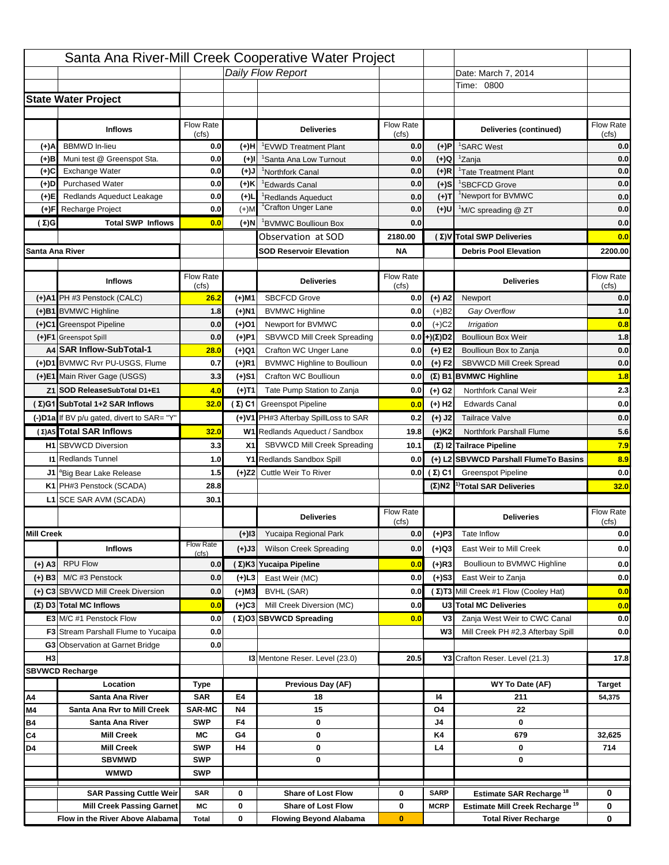|                   |                                            |                    |           | Santa Ana River-Mill Creek Cooperative Water Project |                           |                      |                                                                                   |                                  |
|-------------------|--------------------------------------------|--------------------|-----------|------------------------------------------------------|---------------------------|----------------------|-----------------------------------------------------------------------------------|----------------------------------|
|                   |                                            |                    |           | Daily Flow Report                                    |                           |                      | Date: March 7, 2014                                                               |                                  |
|                   |                                            |                    |           |                                                      |                           |                      | Time: 0800                                                                        |                                  |
|                   | <b>State Water Project</b>                 |                    |           |                                                      |                           |                      |                                                                                   |                                  |
|                   |                                            |                    |           |                                                      |                           |                      |                                                                                   |                                  |
|                   | <b>Inflows</b>                             | Flow Rate<br>(cfs) |           | <b>Deliveries</b>                                    | <b>Flow Rate</b><br>(cfs) |                      | Deliveries (continued)                                                            | Flow Rate<br>(cfs)               |
| (+)A              | <b>BBMWD</b> In-lieu                       | 0.0                | (+)H      | 'EVWD Treatment Plant                                | 0.0                       | (+)P                 | <sup>1</sup> SARC West                                                            | 0.0                              |
| (+)B              | Muni test @ Greenspot Sta.                 | 0.0                | $(+)$ l   | <sup>1</sup> Santa Ana Low Turnout                   | 0.0                       | $(+)Q$               | <sup>1</sup> Zanja                                                                | 0.0                              |
| (+)C              | Exchange Water                             | 0.0                | $(L(+)$   | <sup>1</sup> Northfork Canal                         | 0.0                       | $(+)R$               | <sup>1</sup> Tate Treatment Plant                                                 | 0.0                              |
| (+)D              | <b>Purchased Water</b>                     | 0.0                | (+)K      | <sup>1</sup> Edwards Canal                           | 0.0                       | $(+)$ S              | <sup>1</sup> SBCFCD Grove                                                         | 0.0                              |
| (+)E              | Redlands Aqueduct Leakage                  | 0.0                | $(+)1$    | <sup>1</sup> Redlands Aqueduct                       | 0.0                       | $(+)T$               | <sup>1</sup> Newport for BVMWC                                                    | 0.0                              |
| (+)F              | Recharge Project                           | 0.0                | $(+)$ M   | <sup>1</sup> Crafton Unger Lane                      | 0.0                       | $(+)$ U              | <sup>1</sup> M/C spreading @ ZT                                                   | 0.0                              |
| ( Σ)G             | <b>Total SWP Inflows</b>                   | 0.0                | (+)N      | <sup>1</sup> BVMWC Boullioun Box                     | 0.0                       |                      |                                                                                   | 0.0                              |
|                   |                                            |                    |           | Observation at SOD                                   | 2180.00                   |                      | (Σ) V Total SWP Deliveries                                                        | 0.0                              |
| Santa Ana River   |                                            |                    |           | <b>SOD Reservoir Elevation</b>                       | <b>NA</b>                 |                      | <b>Debris Pool Elevation</b>                                                      | 2200.00                          |
|                   |                                            |                    |           |                                                      |                           |                      |                                                                                   |                                  |
|                   | <b>Inflows</b>                             | Flow Rate<br>(cfs) |           | <b>Deliveries</b>                                    | Flow Rate<br>(cfs)        |                      | <b>Deliveries</b>                                                                 | Flow Rate<br>(cfs)               |
|                   | (+)A1 PH #3 Penstock (CALC)                | 26.2               | (+)M1     | <b>SBCFCD Grove</b>                                  | 0.0                       | $(+)$ A2             | Newport                                                                           | 0.0                              |
|                   | (+)B1 BVMWC Highline                       | 1.8                | (+)N1     | <b>BVMWC Highline</b>                                | 0.0                       | $(+)B2$              | Gay Overflow                                                                      | 1.0                              |
|                   | (+)C1 Greenspot Pipeline                   | 0.0                | (+)01     | Newport for BVMWC                                    | 0.0                       | $(+)$ C <sub>2</sub> | Irrigation                                                                        | 0.8                              |
|                   | (+)F1 Greenspot Spill                      | 0.0                | (+)P1     | SBVWCD Mill Creek Spreading                          | 0.0                       | (+)(Σ)D2             | <b>Boullioun Box Weir</b>                                                         | 1.8                              |
|                   | A4 SAR Inflow-SubTotal-1                   | 28.0               | (+)Q1     | Crafton WC Unger Lane                                | 0.0                       | $(+) E2$             | Boullioun Box to Zanja                                                            | 0.0                              |
|                   | (+)D1 BVMWC Rvr PU-USGS, Flume             | 0.7                | $(+)$ R1  | <b>BVMWC Highline to Boullioun</b>                   | 0.0                       | $(+) F2$             | <b>SBVWCD Mill Creek Spread</b>                                                   | 0.0                              |
|                   | (+)E1 Main River Gage (USGS)               | 3.3                | (+)S1     | Crafton WC Boullioun                                 | 0.0                       |                      | $(\Sigma)$ B1 BVMWC Highline                                                      | 1.8                              |
|                   | Z1 SOD ReleaseSubTotal D1+E1               | 4.0                | (+)T1     | Tate Pump Station to Zanja                           | 0.0                       | (+) G2               | Northfork Canal Weir                                                              | 2.3                              |
|                   | (Σ)G1 SubTotal 1+2 SAR Inflows             | 32.0               |           | (Σ) C1 Greenspot Pipeline                            | 0.0                       | $(+)$ H <sub>2</sub> | <b>Edwards Canal</b>                                                              | 0.0                              |
|                   | (-)D1a If BV p/u gated, divert to SAR= "Y" |                    |           | (+)V1 PH#3 Afterbay SpillLoss to SAR                 | 0.2                       | $(+)$ J2             | <b>Tailrace Valve</b>                                                             | 0.0                              |
|                   | (Σ) A5 Total SAR Inflows                   | 32.0               |           | W1 Redlands Aqueduct / Sandbox                       | 19.8                      | $(+)$ K <sub>2</sub> | <b>Northfork Parshall Flume</b>                                                   | 5.6                              |
|                   |                                            |                    |           |                                                      |                           |                      |                                                                                   |                                  |
|                   |                                            |                    |           |                                                      |                           |                      |                                                                                   |                                  |
|                   | <b>H1</b> SBVWCD Diversion                 | 3.3                | X1        | SBVWCD Mill Creek Spreading                          | 10.1                      |                      | (Σ) I2 Tailrace Pipeline                                                          | 7.9                              |
|                   | <b>11 Redlands Tunnel</b>                  | 1.0                |           | Y1 Redlands Sandbox Spill                            | 0.0                       |                      | (+) L2 SBVWCD Parshall FlumeTo Basins                                             | 8.9                              |
|                   | J1 <sup>a</sup> Big Bear Lake Release      | 1.5                |           | (+)Z2 Cuttle Weir To River                           |                           |                      | <b>0.0 (Σ) C1</b> Greenspot Pipeline                                              |                                  |
|                   | K1 PH#3 Penstock (SCADA)                   | 28.8               |           |                                                      |                           |                      | $(\Sigma)$ N2 <sup>1)</sup> Total SAR Deliveries                                  |                                  |
|                   | L1 SCE SAR AVM (SCADA)                     | 30.1               |           |                                                      |                           |                      |                                                                                   |                                  |
|                   |                                            |                    |           | <b>Deliveries</b>                                    | <b>Flow Rate</b>          |                      | <b>Deliveries</b>                                                                 | Flow Rate<br>(cfs)               |
| <b>Mill Creek</b> |                                            |                    | $(+)$ 13  | Yucaipa Regional Park                                | (cfs)<br>0.0              | $(+)P3$              | Tate Inflow                                                                       |                                  |
|                   | <b>Inflows</b>                             | <b>Flow Rate</b>   |           | <b>Wilson Creek Spreading</b>                        | 0.0                       |                      | East Weir to Mill Creek                                                           |                                  |
|                   |                                            | (cfs)              | (+)J3     |                                                      |                           | (+)Q3                |                                                                                   |                                  |
| (+) A3            | <b>RPU Flow</b>                            | 0.0                |           | (Σ)K3 Yucaipa Pipeline                               | 0.0                       | $(+)$ R3             | Boullioun to BVMWC Highline                                                       | 0.0<br>32.0<br>0.0<br>0.0<br>0.0 |
| $(+)$ B3          | M/C #3 Penstock                            | 0.0                | $(+)$ L3  | East Weir (MC)                                       | 0.0                       | $(+)$ S3             | East Weir to Zanja                                                                | 0.0                              |
|                   | (+) C3 SBVWCD Mill Creek Diversion         | 0.0                | (+)M3     | BVHL (SAR)                                           | 0.0                       |                      | (Σ) T3 Mill Creek #1 Flow (Cooley Hat)                                            | 0.0                              |
|                   | (Σ) D3 Total MC Inflows                    | 0.0                | $(+)C3$   | Mill Creek Diversion (MC)                            | 0.0                       |                      | U3 Total MC Deliveries                                                            | 0.0                              |
|                   | E3 M/C #1 Penstock Flow                    | 0.0                |           | (Σ)O3 SBVWCD Spreading                               | 0.0                       | V3                   | Zanja West Weir to CWC Canal                                                      |                                  |
|                   | <b>F3</b> Stream Parshall Flume to Yucaipa | 0.0                |           |                                                      |                           | W <sub>3</sub>       | Mill Creek PH #2,3 Afterbay Spill                                                 | 0.0<br>0.0                       |
|                   | G3 Observation at Garnet Bridge            | 0.0                |           |                                                      |                           |                      |                                                                                   |                                  |
| H <sub>3</sub>    |                                            |                    |           | 13 Mentone Reser. Level (23.0)                       | 20.5                      |                      | Y3 Crafton Reser. Level (21.3)                                                    | 17.8                             |
|                   | <b>SBVWCD Recharge</b>                     |                    |           |                                                      |                           |                      |                                                                                   |                                  |
|                   | Location<br>Santa Ana River                | Type<br><b>SAR</b> | E4        | Previous Day (AF)<br>18                              |                           | 14                   | WY To Date (AF)<br>211                                                            | <b>Target</b><br>54,375          |
| Α4<br>M4          | Santa Ana Rvr to Mill Creek                | <b>SAR-MC</b>      | <b>N4</b> | 15                                                   |                           | O4                   | 22                                                                                |                                  |
| Β4                | Santa Ana River                            | <b>SWP</b>         | F4        | 0                                                    |                           | J4                   | 0                                                                                 |                                  |
| C4                | <b>Mill Creek</b>                          | МC                 | G4        | 0                                                    |                           | K4                   | 679                                                                               | 32,625                           |
| D4                | <b>Mill Creek</b>                          | <b>SWP</b>         | H4        | 0                                                    |                           | L4                   | 0                                                                                 | 714                              |
|                   | <b>SBVMWD</b>                              | <b>SWP</b>         |           | 0                                                    |                           |                      | 0                                                                                 |                                  |
|                   | <b>WMWD</b>                                | <b>SWP</b>         |           |                                                      |                           |                      |                                                                                   |                                  |
|                   | <b>SAR Passing Cuttle Weir</b>             | <b>SAR</b>         | 0         | <b>Share of Lost Flow</b>                            | 0                         | <b>SARP</b>          |                                                                                   | 0                                |
|                   | <b>Mill Creek Passing Garnet</b>           | МC                 | 0         | <b>Share of Lost Flow</b>                            | 0                         | <b>MCRP</b>          | Estimate SAR Recharge <sup>18</sup><br>Estimate Mill Creek Recharge <sup>19</sup> | 0                                |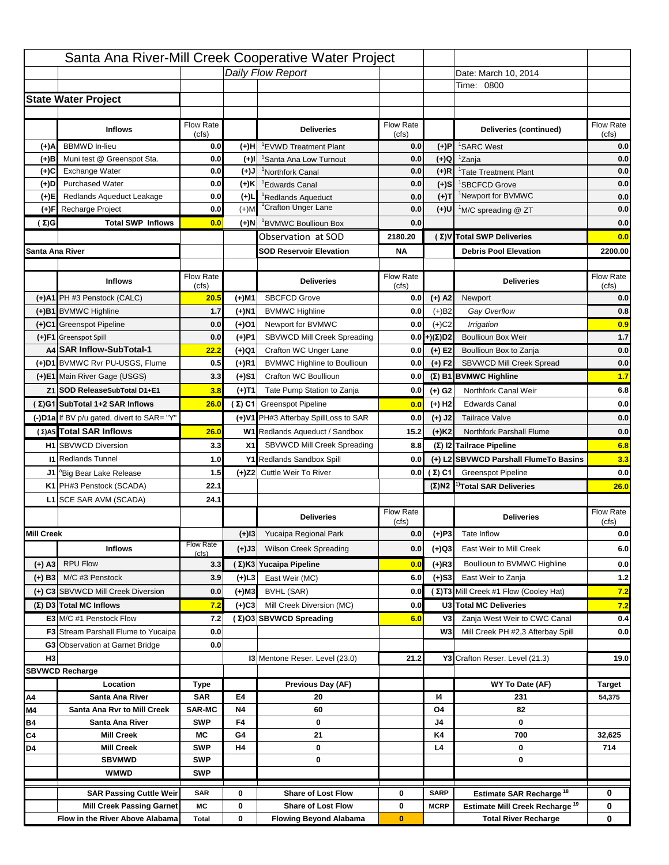|                   |                                            |                    |           | Santa Ana River-Mill Creek Cooperative Water Project |                           |                      |                                                  |                    |
|-------------------|--------------------------------------------|--------------------|-----------|------------------------------------------------------|---------------------------|----------------------|--------------------------------------------------|--------------------|
|                   |                                            |                    |           | Daily Flow Report                                    |                           |                      | Date: March 10, 2014                             |                    |
|                   |                                            |                    |           |                                                      |                           |                      | Time: 0800                                       |                    |
|                   | <b>State Water Project</b>                 |                    |           |                                                      |                           |                      |                                                  |                    |
|                   |                                            |                    |           |                                                      |                           |                      |                                                  |                    |
|                   | <b>Inflows</b>                             | Flow Rate<br>(cfs) |           | <b>Deliveries</b>                                    | <b>Flow Rate</b><br>(cfs) |                      | Deliveries (continued)                           | Flow Rate<br>(cfs) |
| (+)A              | <b>BBMWD</b> In-lieu                       | 0.0                | (+)H      | 'EVWD Treatment Plant                                | 0.0                       | (+)P                 | <sup>1</sup> SARC West                           | 0.0                |
| (+)B              | Muni test @ Greenspot Sta.                 | 0.0                | $(+)$ l   | <sup>1</sup> Santa Ana Low Turnout                   | 0.0                       | $(+)Q$               | <sup>1</sup> Zanja                               | 0.0                |
| (+)C              | Exchange Water                             | 0.0                | $(L(+)$   | <sup>1</sup> Northfork Canal                         | 0.0                       | $(+)R$               | <sup>1</sup> Tate Treatment Plant                | 0.0                |
| (+)D              | <b>Purchased Water</b>                     | 0.0                | (+)K      | <sup>1</sup> Edwards Canal                           | 0.0                       | $(+)$ S              | <sup>1</sup> SBCFCD Grove                        | 0.0                |
| (+)E              | Redlands Aqueduct Leakage                  | 0.0                | $(+)1$    | <sup>1</sup> Redlands Aqueduct                       | 0.0                       | $(+)T$               | <sup>1</sup> Newport for BVMWC                   | 0.0                |
| (+)F              | Recharge Project                           | 0.0                | $(+)$ M   | <sup>1</sup> Crafton Unger Lane                      | 0.0                       | (+)U                 | <sup>1</sup> M/C spreading @ ZT                  | 0.0                |
| (Σ)G              | <b>Total SWP Inflows</b>                   | 0.0                | (+)N      | <sup>1</sup> BVMWC Boullioun Box                     | 0.0                       |                      |                                                  | 0.0                |
|                   |                                            |                    |           | Observation at SOD                                   | 2180.20                   |                      | (Σ)V Total SWP Deliveries                        | 0.0                |
| Santa Ana River   |                                            |                    |           | <b>SOD Reservoir Elevation</b>                       | <b>NA</b>                 |                      | <b>Debris Pool Elevation</b>                     | 2200.00            |
|                   |                                            |                    |           |                                                      |                           |                      |                                                  |                    |
|                   | <b>Inflows</b>                             | Flow Rate          |           | <b>Deliveries</b>                                    | Flow Rate                 |                      | <b>Deliveries</b>                                | Flow Rate<br>(cfs) |
|                   | (+)A1 PH #3 Penstock (CALC)                | (cfs)<br>20.5      | (+)M1     | <b>SBCFCD Grove</b>                                  | (cfs)<br>0.0              | $(+)$ A2             | Newport                                          | 0.0                |
|                   | (+)B1 BVMWC Highline                       | 1.7                | (+)N1     | <b>BVMWC Highline</b>                                | 0.0                       | $(+)B2$              | Gay Overflow                                     | 0.8                |
|                   | (+)C1 Greenspot Pipeline                   | 0.0                | (+)01     | Newport for BVMWC                                    | 0.0                       | $(+)$ C <sub>2</sub> | Irrigation                                       | 0.9                |
|                   | (+)F1 Greenspot Spill                      | 0.0                | (+)P1     | SBVWCD Mill Creek Spreading                          | 0.0                       | (+)(Σ)D2             | <b>Boullioun Box Weir</b>                        | $1.7$              |
|                   | A4 SAR Inflow-SubTotal-1                   | 22.2               | (+)Q1     | Crafton WC Unger Lane                                | 0.0                       | $(+) E2$             | Boullioun Box to Zanja                           | 0.0                |
|                   | (+)D1 BVMWC Rvr PU-USGS, Flume             | 0.5                | $(+)$ R1  | <b>BVMWC Highline to Boullioun</b>                   | 0.0                       | $(+) F2$             | <b>SBVWCD Mill Creek Spread</b>                  | 0.0                |
|                   | (+)E1 Main River Gage (USGS)               | 3.3                | (+)S1     | Crafton WC Boullioun                                 | 0.0                       |                      | $(\Sigma)$ B1 BVMWC Highline                     | 1.7                |
|                   | Z1 SOD ReleaseSubTotal D1+E1               | 3.8                |           | Tate Pump Station to Zanja                           | 0.0                       |                      | Northfork Canal Weir                             | 6.8                |
|                   | (Σ)G1 SubTotal 1+2 SAR Inflows             | 26.0               | (+)T1     | (Σ) C1 Greenspot Pipeline                            |                           | (+) G2               | <b>Edwards Canal</b>                             | 0.0                |
|                   |                                            |                    |           |                                                      | 0.0                       | $(+)$ H <sub>2</sub> |                                                  |                    |
|                   | (-)D1a If BV p/u gated, divert to SAR= "Y" |                    |           | (+)V1 PH#3 Afterbay SpillLoss to SAR                 | 0.0                       | $(+)$ J2             | <b>Tailrace Valve</b>                            | 0.0                |
|                   | (Σ) A5 Total SAR Inflows                   | 26.0               |           | W1 Redlands Aqueduct / Sandbox                       | 15.2                      | $(+)$ K <sub>2</sub> | <b>Northfork Parshall Flume</b>                  | 0.0                |
|                   | <b>H1</b> SBVWCD Diversion                 | 3.3                | X1        | SBVWCD Mill Creek Spreading                          | 8.8                       |                      | (Σ) I2 Tailrace Pipeline                         | 6.8                |
|                   | <b>11 Redlands Tunnel</b>                  | 1.0                |           | Y1 Redlands Sandbox Spill                            | 0.0                       |                      | (+) L2 SBVWCD Parshall FlumeTo Basins            | 3.3                |
|                   | J1 <sup>a</sup> Big Bear Lake Release      | 1.5                |           | (+)Z2 Cuttle Weir To River                           |                           | 0.0 $(\Sigma)$ C1    | <b>Greenspot Pipeline</b>                        | 0.0                |
|                   | K1 PH#3 Penstock (SCADA)                   | 22.1               |           |                                                      |                           |                      | $(\Sigma)$ N2 <sup>1)</sup> Total SAR Deliveries | 26.0               |
|                   | L1 SCE SAR AVM (SCADA)                     | 24.1               |           |                                                      |                           |                      |                                                  |                    |
|                   |                                            |                    |           | <b>Deliveries</b>                                    | <b>Flow Rate</b><br>(cfs) |                      | <b>Deliveries</b>                                | Flow Rate<br>(cfs) |
| <b>Mill Creek</b> |                                            |                    | $(+)$ 13  | Yucaipa Regional Park                                | 0.0                       | $(+)P3$              | Tate Inflow                                      | 0.0                |
|                   | <b>Inflows</b>                             | <b>Flow Rate</b>   | (+)J3     | <b>Wilson Creek Spreading</b>                        | 0.0                       | (+)Q3                | East Weir to Mill Creek                          | 6.0                |
| (+) A3            | <b>RPU Flow</b>                            | (cfs)<br>3.3       |           | (Σ)K3 Yucaipa Pipeline                               | 0.0                       | $(+)$ R3             | Boullioun to BVMWC Highline                      | 0.0                |
|                   | M/C #3 Penstock                            |                    |           |                                                      |                           |                      | East Weir to Zanja                               |                    |
| $(+)$ B3          |                                            | 3.9                | $(+)$ L3  | East Weir (MC)                                       | 6.0                       | $(+)$ S3             | (Σ) T3 Mill Creek #1 Flow (Cooley Hat)           | $1.2$              |
|                   | (+) C3 SBVWCD Mill Creek Diversion         | 0.0                | (+)M3     | BVHL (SAR)                                           | 0.0                       |                      |                                                  | 7.2                |
|                   | (Σ) D3 Total MC Inflows                    | 7.2                | $(+)C3$   | Mill Creek Diversion (MC)                            | 0.0                       |                      | U3 Total MC Deliveries                           | 7.2                |
|                   | E3 M/C #1 Penstock Flow                    | 7.2                |           | (Σ)O3 SBVWCD Spreading                               | 6.0                       | V3                   | Zanja West Weir to CWC Canal                     | 0.4                |
|                   | <b>F3</b> Stream Parshall Flume to Yucaipa | 0.0                |           |                                                      |                           | W <sub>3</sub>       | Mill Creek PH #2,3 Afterbay Spill                | 0.0                |
| H <sub>3</sub>    | G3 Observation at Garnet Bridge            | 0.0                |           |                                                      |                           |                      |                                                  |                    |
|                   |                                            |                    |           | 13 Mentone Reser. Level (23.0)                       | 21.2                      |                      | Y3 Crafton Reser. Level (21.3)                   | 19.0               |
|                   | <b>SBVWCD Recharge</b><br>Location         |                    |           | Previous Day (AF)                                    |                           |                      | WY To Date (AF)                                  |                    |
| Α4                | Santa Ana River                            | Type<br><b>SAR</b> | E4        | 20                                                   |                           | 14                   | 231                                              | Target<br>54,375   |
| M4                | Santa Ana Rvr to Mill Creek                | <b>SAR-MC</b>      | <b>N4</b> | 60                                                   |                           | O4                   | 82                                               |                    |
| Β4                | Santa Ana River                            | <b>SWP</b>         | F4        | 0                                                    |                           | J4                   | 0                                                |                    |
| C4                | <b>Mill Creek</b>                          | МC                 | G4        | 21                                                   |                           | K4                   | 700                                              | 32,625             |
| D4                | <b>Mill Creek</b>                          | <b>SWP</b>         | H4        | 0                                                    |                           | L4                   | 0                                                | 714                |
|                   | <b>SBVMWD</b>                              | <b>SWP</b>         |           | 0                                                    |                           |                      | 0                                                |                    |
|                   | <b>WMWD</b>                                | <b>SWP</b>         |           |                                                      |                           |                      |                                                  |                    |
|                   | <b>SAR Passing Cuttle Weir</b>             | <b>SAR</b>         | 0         | <b>Share of Lost Flow</b>                            | 0                         | <b>SARP</b>          | Estimate SAR Recharge <sup>18</sup>              | 0                  |
|                   |                                            |                    |           |                                                      |                           | <b>MCRP</b>          | Estimate Mill Creek Recharge <sup>19</sup>       |                    |
|                   | <b>Mill Creek Passing Garnet</b>           | МC                 | 0         | <b>Share of Lost Flow</b>                            | 0                         |                      |                                                  | 0                  |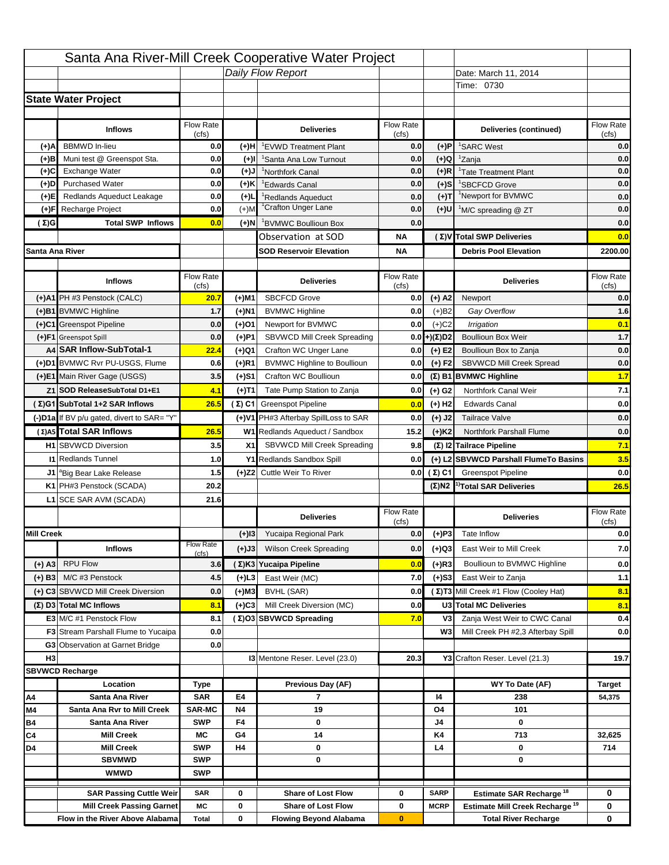|                   |                                                   |                    |                   | Santa Ana River-Mill Creek Cooperative Water Project        |                           |                      |                                                           |                                                       |
|-------------------|---------------------------------------------------|--------------------|-------------------|-------------------------------------------------------------|---------------------------|----------------------|-----------------------------------------------------------|-------------------------------------------------------|
|                   |                                                   |                    |                   | Daily Flow Report                                           |                           |                      | Date: March 11, 2014                                      |                                                       |
|                   |                                                   |                    |                   |                                                             |                           |                      | Time: 0730                                                |                                                       |
|                   | <b>State Water Project</b>                        |                    |                   |                                                             |                           |                      |                                                           |                                                       |
|                   |                                                   |                    |                   |                                                             |                           |                      |                                                           |                                                       |
|                   | <b>Inflows</b>                                    | Flow Rate<br>(cfs) |                   | <b>Deliveries</b>                                           | <b>Flow Rate</b><br>(cfs) |                      | Deliveries (continued)                                    | Flow Rate<br>(cfs)                                    |
| (+)A              | <b>BBMWD</b> In-lieu                              | 0.0                | (+)H              | 'EVWD Treatment Plant                                       | 0.0                       | (+)P                 | <sup>1</sup> SARC West                                    | 0.0                                                   |
| (+)B              | Muni test @ Greenspot Sta.                        | 0.0                | $(+)$ l           | 'Santa Ana Low Turnout                                      | 0.0                       | $(+)Q$               | <sup>1</sup> Zanja                                        | 0.0                                                   |
| (+)C              | Exchange Water                                    | 0.0                | $(L(+)$           | <sup>1</sup> Northfork Canal                                | 0.0                       | $(+)R$               | <sup>1</sup> Tate Treatment Plant                         | 0.0                                                   |
| (+)D              | <b>Purchased Water</b>                            | 0.0                | (+)K              | <sup>1</sup> Edwards Canal                                  | 0.0                       | $(+)$ S              | <sup>1</sup> SBCFCD Grove                                 | 0.0                                                   |
| (+)E              | Redlands Aqueduct Leakage                         | 0.0                | $(+)1$            | <sup>1</sup> Redlands Aqueduct                              | 0.0                       | $(+)$ T              | <sup>1</sup> Newport for BVMWC                            | 0.0                                                   |
| (+)F              | Recharge Project                                  | 0.0                | $(+)$ M           | <sup>1</sup> Crafton Unger Lane                             | 0.0                       | $(+)$ U              | <sup>1</sup> M/C spreading @ ZT                           | 0.0                                                   |
| (Σ)G              | <b>Total SWP Inflows</b>                          | 0.0                | (+)N              | <sup>1</sup> BVMWC Boullioun Box                            | 0.0                       |                      |                                                           | 0.0                                                   |
|                   |                                                   |                    |                   | Observation at SOD                                          | ΝA                        |                      | (Σ) V Total SWP Deliveries                                | 0.0                                                   |
| Santa Ana River   |                                                   |                    |                   | <b>SOD Reservoir Elevation</b>                              | ΝA                        |                      | <b>Debris Pool Elevation</b>                              | 2200.00                                               |
|                   |                                                   |                    |                   |                                                             |                           |                      |                                                           |                                                       |
|                   | <b>Inflows</b>                                    | Flow Rate          |                   | <b>Deliveries</b>                                           | Flow Rate                 |                      | <b>Deliveries</b>                                         | Flow Rate                                             |
|                   |                                                   | (cfs)              |                   |                                                             | (cfs)                     |                      |                                                           | (cfs)                                                 |
|                   | (+)A1 PH #3 Penstock (CALC)                       | 20.7               | (+)M1             | <b>SBCFCD Grove</b>                                         | 0.0                       | $(+)$ A2             | Newport                                                   | 0.0                                                   |
|                   | (+)B1 BVMWC Highline                              | 1.7                | (+)N1             | <b>BVMWC Highline</b>                                       | 0.0                       | $(+)B2$              | Gay Overflow                                              | 1.6                                                   |
|                   | (+)C1 Greenspot Pipeline                          | 0.0                | (+)01             | Newport for BVMWC<br>SBVWCD Mill Creek Spreading            | 0.0                       | $(+)$ C <sub>2</sub> | Irrigation                                                | 0.1<br>$1.7$                                          |
|                   | (+)F1 Greenspot Spill<br>A4 SAR Inflow-SubTotal-1 | 0.0                | (+)P1             |                                                             | 0.0                       | (+)(Σ)D2             | <b>Boullioun Box Weir</b>                                 |                                                       |
|                   | (+)D1 BVMWC Rvr PU-USGS, Flume                    | 22.4<br>0.6        | (+)Q1<br>$(+)$ R1 | Crafton WC Unger Lane<br><b>BVMWC Highline to Boullioun</b> | 0.0<br>0.0                | $(+) E2$<br>$(+) F2$ | Boullioun Box to Zanja<br><b>SBVWCD Mill Creek Spread</b> | 0.0<br>0.0                                            |
|                   | (+)E1 Main River Gage (USGS)                      | 3.5                |                   | Crafton WC Boullioun                                        | 0.0                       |                      |                                                           | 1.7                                                   |
|                   |                                                   |                    | (+)S1             |                                                             |                           |                      | $(\Sigma)$ B1 BVMWC Highline                              |                                                       |
|                   | Z1 SOD ReleaseSubTotal D1+E1                      | 4.1                | (+)T1             | Tate Pump Station to Zanja                                  | 0.0                       | (+) G2               | Northfork Canal Weir                                      | 7.1                                                   |
|                   | (Σ)G1 SubTotal 1+2 SAR Inflows                    | 26.5               |                   | (Σ) C1 Greenspot Pipeline                                   | 0.0                       | $(+)$ H <sub>2</sub> | <b>Edwards Canal</b>                                      | 0.0                                                   |
|                   | (-)D1a If BV p/u gated, divert to SAR= "Y"        |                    |                   | (+)V1 PH#3 Afterbay SpillLoss to SAR                        | 0.0                       | $(+)$ J2             | <b>Tailrace Valve</b>                                     | 0.0                                                   |
|                   | (Σ) A5 Total SAR Inflows                          | 26.5               |                   | W1 Redlands Aqueduct / Sandbox                              | 15.2                      | $(+)$ K <sub>2</sub> | <b>Northfork Parshall Flume</b>                           | 0.0                                                   |
|                   | <b>H1</b> SBVWCD Diversion                        | 3.5                | X1                |                                                             |                           |                      | (Σ) I2 Tailrace Pipeline                                  |                                                       |
|                   |                                                   |                    |                   | SBVWCD Mill Creek Spreading                                 | 9.8                       |                      |                                                           |                                                       |
|                   | <b>11 Redlands Tunnel</b>                         | 1.0                |                   | Y1 Redlands Sandbox Spill                                   | 0.0                       |                      | (+) L2 SBVWCD Parshall FlumeTo Basins                     |                                                       |
|                   | J1 <sup>a</sup> Big Bear Lake Release             | 1.5                |                   | (+)Z2 Cuttle Weir To River                                  |                           |                      | <b>0.0 (Σ) C1</b> Greenspot Pipeline                      |                                                       |
|                   | K1 PH#3 Penstock (SCADA)                          | 20.2               |                   |                                                             |                           |                      | $(\Sigma)$ N2 <sup>1)</sup> Total SAR Deliveries          |                                                       |
|                   | L1 SCE SAR AVM (SCADA)                            | 21.6               |                   |                                                             |                           |                      |                                                           |                                                       |
|                   |                                                   |                    |                   | <b>Deliveries</b>                                           | <b>Flow Rate</b>          |                      | <b>Deliveries</b>                                         | Flow Rate                                             |
|                   |                                                   |                    |                   |                                                             | (cfs)                     |                      |                                                           | (cfs)                                                 |
| <b>Mill Creek</b> |                                                   | <b>Flow Rate</b>   | $(+)$ 13          | Yucaipa Regional Park                                       | 0.0                       | $(+)P3$              | Tate Inflow                                               |                                                       |
|                   | <b>Inflows</b>                                    | (cfs)              | (+)J3             | <b>Wilson Creek Spreading</b>                               | 0.0                       | (+)Q3                | East Weir to Mill Creek                                   |                                                       |
| (+) A3            | <b>RPU Flow</b>                                   | 3.6                |                   | (Σ)K3 Yucaipa Pipeline                                      | 0.0                       | $(+)$ R3             | Boullioun to BVMWC Highline                               |                                                       |
| $(+)$ B3          | M/C #3 Penstock                                   | 4.5                | $(+)$ L3          | East Weir (MC)                                              | 7.0                       | $(+)$ S3             | East Weir to Zanja                                        | 7.1<br>3.5<br>0.0<br>26.5<br>0.0<br>7.0<br>0.0<br>1.1 |
|                   | (+) C3 SBVWCD Mill Creek Diversion                | 0.0                | (+)M3             | BVHL (SAR)                                                  | 0.0                       |                      | (Σ) T3 Mill Creek #1 Flow (Cooley Hat)                    | 8.1                                                   |
|                   | (Σ) D3 Total MC Inflows                           | 8.1                | $(+)C3$           | Mill Creek Diversion (MC)                                   | 0.0                       |                      | U3 Total MC Deliveries                                    | 8.1                                                   |
|                   | E3 M/C #1 Penstock Flow                           | 8.1                |                   | (Σ)O3 SBVWCD Spreading                                      | 7.0                       | V3                   | Zanja West Weir to CWC Canal                              | 0.4                                                   |
|                   | <b>F3</b> Stream Parshall Flume to Yucaipa        | 0.0                |                   |                                                             |                           | W <sub>3</sub>       | Mill Creek PH #2,3 Afterbay Spill                         |                                                       |
|                   | G3 Observation at Garnet Bridge                   | 0.0                |                   |                                                             |                           |                      |                                                           | 0.0                                                   |
| H <sub>3</sub>    |                                                   |                    |                   | 13 Mentone Reser. Level (23.0)                              | 20.3                      |                      | Y3 Crafton Reser. Level (21.3)                            | 19.7                                                  |
|                   | <b>SBVWCD Recharge</b>                            |                    |                   |                                                             |                           |                      |                                                           |                                                       |
|                   | Location                                          | Type               |                   | Previous Day (AF)                                           |                           |                      | WY To Date (AF)                                           | <b>Target</b>                                         |
| Α4                | Santa Ana River                                   | <b>SAR</b>         | E4                | 7                                                           |                           | 14                   | 238                                                       | 54,375                                                |
| M4                | Santa Ana Rvr to Mill Creek                       | <b>SAR-MC</b>      | <b>N4</b>         | 19                                                          |                           | O4                   | 101                                                       |                                                       |
| Β4                | Santa Ana River                                   | <b>SWP</b>         | F4                | 0                                                           |                           | J4                   | 0                                                         |                                                       |
| C4                | <b>Mill Creek</b>                                 | МC                 | G4                | 14                                                          |                           | K4                   | 713                                                       | 32,625                                                |
| D4                | <b>Mill Creek</b>                                 | <b>SWP</b>         | H4                | 0                                                           |                           | L4                   | 0                                                         | 714                                                   |
|                   | <b>SBVMWD</b>                                     | <b>SWP</b>         |                   | 0                                                           |                           |                      | 0                                                         |                                                       |
|                   | <b>WMWD</b>                                       | <b>SWP</b>         |                   |                                                             |                           |                      |                                                           |                                                       |
|                   | <b>SAR Passing Cuttle Weir</b>                    | <b>SAR</b>         | 0                 | <b>Share of Lost Flow</b>                                   | 0                         | <b>SARP</b>          | Estimate SAR Recharge <sup>18</sup>                       | 0                                                     |
|                   | <b>Mill Creek Passing Garnet</b>                  | МC                 | 0                 | <b>Share of Lost Flow</b><br><b>Flowing Beyond Alabama</b>  | 0                         | <b>MCRP</b>          | Estimate Mill Creek Recharge <sup>19</sup>                | 0                                                     |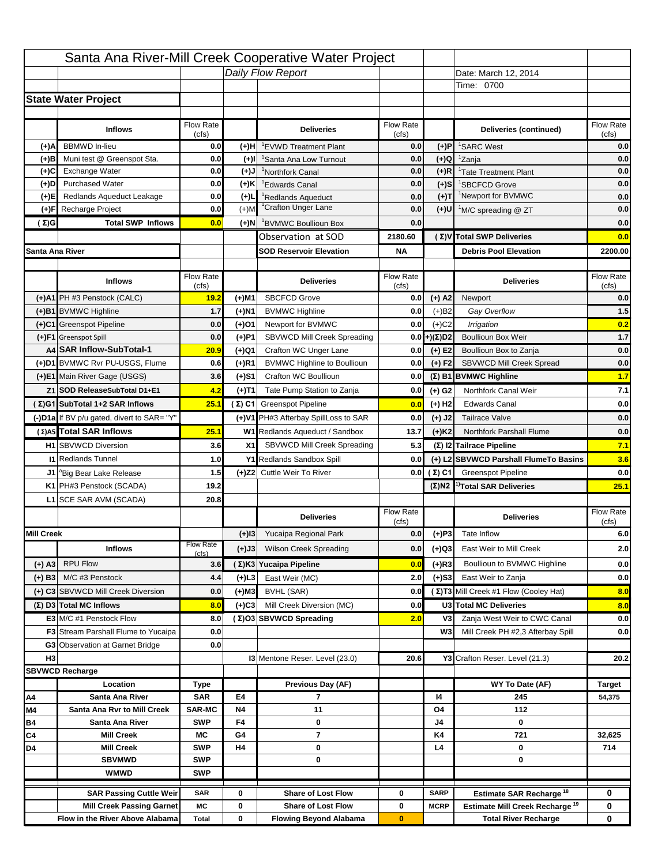|                   |                                                                     |                             |                   | Santa Ana River-Mill Creek Cooperative Water Project        |                           |                            |                                                                           |                    |
|-------------------|---------------------------------------------------------------------|-----------------------------|-------------------|-------------------------------------------------------------|---------------------------|----------------------------|---------------------------------------------------------------------------|--------------------|
|                   |                                                                     |                             |                   | Daily Flow Report                                           |                           |                            | Date: March 12, 2014                                                      |                    |
|                   |                                                                     |                             |                   |                                                             |                           |                            | Time: 0700                                                                |                    |
|                   | <b>State Water Project</b>                                          |                             |                   |                                                             |                           |                            |                                                                           |                    |
|                   |                                                                     |                             |                   |                                                             |                           |                            |                                                                           |                    |
|                   | <b>Inflows</b>                                                      | Flow Rate                   |                   | <b>Deliveries</b>                                           | <b>Flow Rate</b>          |                            | Deliveries (continued)                                                    | Flow Rate          |
| (+)A              | <b>BBMWD</b> In-lieu                                                | (cfs)<br>0.0                | (+)H              | 'EVWD Treatment Plant                                       | (cfs)<br>0.0              | (+)P                       | <sup>1</sup> SARC West                                                    | (cfs)<br>0.0       |
| (+)B              | Muni test @ Greenspot Sta.                                          | 0.0                         | $(+)$ l           | 'Santa Ana Low Turnout                                      | 0.0                       | $(+)Q$                     | <sup>1</sup> Zanja                                                        | 0.0                |
| (+)C              | Exchange Water                                                      | 0.0                         | $(L(+)$           | <sup>1</sup> Northfork Canal                                | 0.0                       | $(+)R$                     | <sup>1</sup> Tate Treatment Plant                                         | 0.0                |
| (+)D              | <b>Purchased Water</b>                                              | 0.0                         | (+)K              | <sup>1</sup> Edwards Canal                                  | 0.0                       | $(+)$ S                    | <sup>1</sup> SBCFCD Grove                                                 | 0.0                |
| (+)E              | Redlands Aqueduct Leakage                                           | 0.0                         | $(+)1$            | <sup>1</sup> Redlands Aqueduct                              | 0.0                       | $(+)T$                     | <sup>1</sup> Newport for BVMWC                                            | 0.0                |
| (+)F              | Recharge Project                                                    | 0.0                         | $(+)$ M           | <sup>1</sup> Crafton Unger Lane                             | 0.0                       | $(+)$ U                    | <sup>1</sup> M/C spreading @ ZT                                           | 0.0                |
| (Σ)G              | <b>Total SWP Inflows</b>                                            | 0.0                         | (+)N              | <sup>1</sup> BVMWC Boullioun Box                            | 0.0                       |                            |                                                                           | 0.0                |
|                   |                                                                     |                             |                   | Observation at SOD                                          | 2180.60                   |                            | (Σ) V Total SWP Deliveries                                                | 0.0                |
| Santa Ana River   |                                                                     |                             |                   | <b>SOD Reservoir Elevation</b>                              | <b>NA</b>                 |                            | <b>Debris Pool Elevation</b>                                              | 2200.00            |
|                   |                                                                     |                             |                   |                                                             |                           |                            |                                                                           |                    |
|                   | <b>Inflows</b>                                                      | Flow Rate                   |                   | <b>Deliveries</b>                                           | Flow Rate                 |                            | <b>Deliveries</b>                                                         | Flow Rate          |
|                   | (+)A1 PH #3 Penstock (CALC)                                         | (cfs)                       |                   | <b>SBCFCD Grove</b>                                         | (cfs)                     |                            |                                                                           | (cfs)              |
|                   |                                                                     | 19.2                        | (+)M1             |                                                             | 0.0                       | $(+)$ A2                   | Newport                                                                   | 0.0                |
|                   | (+)B1 BVMWC Highline                                                | 1.7                         | (+)N1             | <b>BVMWC Highline</b>                                       | 0.0                       | $(+)B2$                    | Gay Overflow                                                              | 1.5                |
|                   | (+)C1 Greenspot Pipeline                                            | 0.0                         | (+)01             | Newport for BVMWC                                           | 0.0                       | $(+)$ C <sub>2</sub>       | Irrigation                                                                | 0.2<br>$1.7$       |
|                   | (+)F1 Greenspot Spill<br>A4 SAR Inflow-SubTotal-1                   | 0.0                         | (+)P1             | SBVWCD Mill Creek Spreading                                 | 0.0                       | (+)(Σ)D2                   | <b>Boullioun Box Weir</b>                                                 |                    |
|                   | (+)D1 BVMWC Rvr PU-USGS, Flume                                      | 20.9<br>0.6                 | (+)Q1<br>$(+)$ R1 | Crafton WC Unger Lane<br><b>BVMWC Highline to Boullioun</b> | 0.0<br>0.0                | $(+) E2$<br>$(+) F2$       | Boullioun Box to Zanja<br><b>SBVWCD Mill Creek Spread</b>                 | 0.0<br>0.0         |
|                   | (+)E1 Main River Gage (USGS)                                        | 3.6                         |                   | Crafton WC Boullioun                                        | 0.0                       |                            |                                                                           | 1.7                |
|                   |                                                                     |                             | (+)S1             |                                                             |                           |                            | $(\Sigma)$ B1 BVMWC Highline                                              |                    |
|                   | Z1 SOD ReleaseSubTotal D1+E1                                        | 4.2                         | (+)T1             | Tate Pump Station to Zanja                                  | 0.0                       | (+) G2                     | Northfork Canal Weir                                                      | 7.1                |
|                   | (Σ)G1 SubTotal 1+2 SAR Inflows                                      | 25.1                        |                   | (Σ) C1 Greenspot Pipeline                                   | 0.0                       | $(+)$ H <sub>2</sub>       | <b>Edwards Canal</b>                                                      | 0.0                |
|                   | (-)D1a If BV p/u gated, divert to SAR= "Y"                          |                             |                   | (+)V1 PH#3 Afterbay SpillLoss to SAR                        | 0.0                       | $(+)$ J2                   | <b>Tailrace Valve</b>                                                     | 0.0                |
|                   | (Σ) A5 Total SAR Inflows                                            | 25.1                        |                   | W1 Redlands Aqueduct / Sandbox                              | 13.7                      | $(+)$ K <sub>2</sub>       | <b>Northfork Parshall Flume</b>                                           | 0.0                |
|                   | <b>H1</b> SBVWCD Diversion                                          | 3.6                         | X1                | SBVWCD Mill Creek Spreading                                 | 5.3                       |                            | (Σ) I2 Tailrace Pipeline                                                  | 7.1                |
|                   | <b>11 Redlands Tunnel</b>                                           | 1.0                         |                   | Y1 Redlands Sandbox Spill                                   | 0.0                       |                            | (+) L2 SBVWCD Parshall FlumeTo Basins                                     | 3.6                |
|                   | J1 <sup>a</sup> Big Bear Lake Release                               | 1.5                         |                   | (+)Z2 Cuttle Weir To River                                  |                           | 0.0 $(\Sigma)$ C1          | <b>Greenspot Pipeline</b>                                                 | 0.0                |
|                   | K1 PH#3 Penstock (SCADA)                                            | 19.2                        |                   |                                                             |                           |                            | $(\Sigma)$ N2 <sup>1)</sup> Total SAR Deliveries                          | 25.1               |
|                   | L1 SCE SAR AVM (SCADA)                                              | 20.8                        |                   |                                                             |                           |                            |                                                                           |                    |
|                   |                                                                     |                             |                   | <b>Deliveries</b>                                           | <b>Flow Rate</b><br>(cfs) |                            | <b>Deliveries</b>                                                         | Flow Rate<br>(cfs) |
| <b>Mill Creek</b> |                                                                     |                             | $(+)$ 13          | Yucaipa Regional Park                                       | 0.0                       | $(+)P3$                    | Tate Inflow                                                               | 6.0                |
|                   | <b>Inflows</b>                                                      | <b>Flow Rate</b>            | (+)J3             | <b>Wilson Creek Spreading</b>                               | 0.0                       | (+)Q3                      | East Weir to Mill Creek                                                   | 2.0                |
|                   |                                                                     | (cfs)                       |                   |                                                             |                           |                            |                                                                           |                    |
| (+) A3            | <b>RPU Flow</b>                                                     | 3.6                         |                   | (Σ)K3 Yucaipa Pipeline                                      | 0.0                       | $(+)$ R3                   | Boullioun to BVMWC Highline                                               | 0.0                |
| $(+)$ B3          | M/C #3 Penstock                                                     | 4.4                         | (+)L3             | East Weir (MC)                                              | 2.0                       | $(+)$ S3                   | East Weir to Zanja                                                        | 0.0                |
|                   | (+) C3 SBVWCD Mill Creek Diversion                                  | 0.0                         | (+)M3             | BVHL (SAR)                                                  | 0.0                       |                            | (Σ) T3 Mill Creek #1 Flow (Cooley Hat)                                    | 8.0                |
|                   | (Σ) D3 Total MC Inflows                                             | 8.0                         | $(+)C3$           | Mill Creek Diversion (MC)                                   | 0.0                       |                            | U3 Total MC Deliveries                                                    | 8.0                |
|                   | E3 M/C #1 Penstock Flow                                             | 8.0                         |                   | (Σ)O3 SBVWCD Spreading                                      | 2.0                       | V3                         | Zanja West Weir to CWC Canal                                              | 0.0                |
|                   | <b>F3</b> Stream Parshall Flume to Yucaipa                          | 0.0                         |                   |                                                             |                           | W <sub>3</sub>             | Mill Creek PH #2,3 Afterbay Spill                                         | 0.0                |
|                   | G3 Observation at Garnet Bridge                                     | 0.0                         |                   |                                                             |                           |                            |                                                                           |                    |
| H <sub>3</sub>    |                                                                     |                             |                   | 13 Mentone Reser. Level (23.0)                              | 20.6                      |                            | Y3 Crafton Reser. Level (21.3)                                            | 20.2               |
|                   | <b>SBVWCD Recharge</b>                                              |                             |                   |                                                             |                           |                            |                                                                           |                    |
|                   | Location                                                            | Type                        |                   | Previous Day (AF)                                           |                           |                            | WY To Date (AF)                                                           | Target             |
| Α4                | Santa Ana River<br>Santa Ana Rvr to Mill Creek                      | <b>SAR</b><br><b>SAR-MC</b> | E4<br><b>N4</b>   | 7<br>11                                                     |                           | 14                         | 245<br>112                                                                | 54,375             |
| M4<br>Β4          | Santa Ana River                                                     | <b>SWP</b>                  | F4                | 0                                                           |                           | O4<br>J4                   | 0                                                                         |                    |
| C4                | <b>Mill Creek</b>                                                   | МC                          | G4                | 7                                                           |                           | K4                         | 721                                                                       | 32,625             |
| D4                | <b>Mill Creek</b>                                                   | <b>SWP</b>                  | H4                | 0                                                           |                           | L4                         | 0                                                                         | 714                |
|                   | <b>SBVMWD</b>                                                       | <b>SWP</b>                  |                   | 0                                                           |                           |                            | 0                                                                         |                    |
|                   | <b>WMWD</b>                                                         | <b>SWP</b>                  |                   |                                                             |                           |                            |                                                                           |                    |
|                   |                                                                     |                             |                   |                                                             |                           |                            |                                                                           |                    |
|                   | <b>SAR Passing Cuttle Weir</b>                                      | <b>SAR</b>                  | 0                 | <b>Share of Lost Flow</b>                                   | 0                         | <b>SARP</b><br><b>MCRP</b> | Estimate SAR Recharge <sup>18</sup>                                       | 0                  |
|                   |                                                                     |                             |                   |                                                             |                           |                            |                                                                           |                    |
|                   | <b>Mill Creek Passing Garnet</b><br>Flow in the River Above Alabama | МC<br><b>Total</b>          | 0<br>0            | <b>Share of Lost Flow</b><br><b>Flowing Beyond Alabama</b>  | 0<br>$\bf{0}$             |                            | Estimate Mill Creek Recharge <sup>19</sup><br><b>Total River Recharge</b> | 0<br>0             |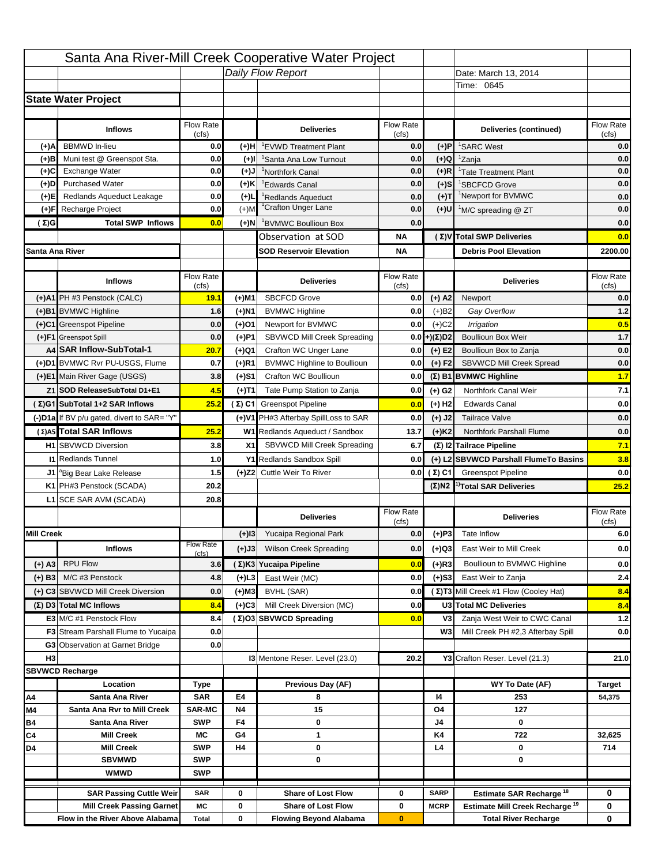|                   |                                                                     |                          |           | Santa Ana River-Mill Creek Cooperative Water Project       |                           |                      |                                                                           |                    |
|-------------------|---------------------------------------------------------------------|--------------------------|-----------|------------------------------------------------------------|---------------------------|----------------------|---------------------------------------------------------------------------|--------------------|
|                   |                                                                     |                          |           | Daily Flow Report                                          |                           |                      | Date: March 13, 2014                                                      |                    |
|                   |                                                                     |                          |           |                                                            |                           |                      | Time: 0645                                                                |                    |
|                   | <b>State Water Project</b>                                          |                          |           |                                                            |                           |                      |                                                                           |                    |
|                   |                                                                     |                          |           |                                                            |                           |                      |                                                                           |                    |
|                   | <b>Inflows</b>                                                      | Flow Rate<br>(cfs)       |           | <b>Deliveries</b>                                          | <b>Flow Rate</b><br>(cfs) |                      | Deliveries (continued)                                                    | Flow Rate<br>(cfs) |
| (+)A              | <b>BBMWD</b> In-lieu                                                | 0.0                      | (+)H      | 'EVWD Treatment Plant                                      | 0.0                       | (+)P                 | <sup>1</sup> SARC West                                                    | 0.0                |
| (+)B              | Muni test @ Greenspot Sta.                                          | 0.0                      | $(+)$ l   | 'Santa Ana Low Turnout                                     | 0.0                       | $(+)Q$               | <sup>1</sup> Zanja                                                        | 0.0                |
| (+)C              | Exchange Water                                                      | 0.0                      | $(L(+)$   | <sup>1</sup> Northfork Canal                               | 0.0                       | $(+)R$               | <sup>1</sup> Tate Treatment Plant                                         | 0.0                |
| (+)D              | <b>Purchased Water</b>                                              | 0.0                      | (+)K      | <sup>1</sup> Edwards Canal                                 | 0.0                       | $(+)$ S              | <sup>1</sup> SBCFCD Grove                                                 | 0.0                |
| (+)E              | Redlands Aqueduct Leakage                                           | 0.0                      | $(+)1$    | <sup>1</sup> Redlands Aqueduct                             | 0.0                       | $(+)T$               | <sup>1</sup> Newport for BVMWC                                            | 0.0                |
| (+)F              | Recharge Project                                                    | 0.0                      | $(+)$ M   | <sup>1</sup> Crafton Unger Lane                            | 0.0                       | $(+)$ U              | <sup>1</sup> M/C spreading @ ZT                                           | 0.0                |
| (Σ)G              | <b>Total SWP Inflows</b>                                            | 0.0                      | (+)N      | <sup>1</sup> BVMWC Boullioun Box                           | 0.0                       |                      |                                                                           | 0.0                |
|                   |                                                                     |                          |           | Observation at SOD                                         | ΝA                        |                      | (Σ) V Total SWP Deliveries                                                | 0.0                |
| Santa Ana River   |                                                                     |                          |           | <b>SOD Reservoir Elevation</b>                             | ΝA                        |                      | <b>Debris Pool Elevation</b>                                              | 2200.00            |
|                   |                                                                     |                          |           |                                                            |                           |                      |                                                                           |                    |
|                   | <b>Inflows</b>                                                      | Flow Rate                |           | <b>Deliveries</b>                                          | Flow Rate                 |                      | <b>Deliveries</b>                                                         | Flow Rate<br>(cfs) |
|                   | (+)A1 PH #3 Penstock (CALC)                                         | (cfs)<br>19.1            | (+)M1     | <b>SBCFCD Grove</b>                                        | (cfs)<br>0.0              | $(+)$ A2             | Newport                                                                   | 0.0                |
|                   | (+)B1 BVMWC Highline                                                | 1.6                      | (+)N1     | <b>BVMWC Highline</b>                                      | 0.0                       | $(+)B2$              | Gay Overflow                                                              | 1.2                |
|                   | (+)C1 Greenspot Pipeline                                            | 0.0                      | (+)01     | Newport for BVMWC                                          | 0.0                       | $(+)$ C <sub>2</sub> | Irrigation                                                                | 0.5                |
|                   | (+)F1 Greenspot Spill                                               | 0.0                      | (+)P1     | SBVWCD Mill Creek Spreading                                | 0.0                       | (+)(Σ)D2             | <b>Boullioun Box Weir</b>                                                 | $1.7$              |
|                   | A4 SAR Inflow-SubTotal-1                                            | 20.7                     | (+)Q1     | Crafton WC Unger Lane                                      | 0.0                       | $(+) E2$             | Boullioun Box to Zanja                                                    | 0.0                |
|                   | (+)D1 BVMWC Rvr PU-USGS, Flume                                      | 0.7                      | $(+)$ R1  | <b>BVMWC Highline to Boullioun</b>                         | 0.0                       | $(+) F2$             | <b>SBVWCD Mill Creek Spread</b>                                           | 0.0                |
|                   | (+)E1 Main River Gage (USGS)                                        | 3.8                      | (+)S1     | Crafton WC Boullioun                                       | 0.0                       |                      | $(\Sigma)$ B1 BVMWC Highline                                              | 1.7                |
|                   | Z1 SOD ReleaseSubTotal D1+E1                                        | 4.5                      |           | Tate Pump Station to Zanja                                 | 0.0                       |                      | Northfork Canal Weir                                                      | 7.1                |
|                   | (Σ)G1 SubTotal 1+2 SAR Inflows                                      | 25.2                     | (+)T1     |                                                            |                           | (+) G2               | <b>Edwards Canal</b>                                                      | 0.0                |
|                   |                                                                     |                          |           | (Σ) C1 Greenspot Pipeline                                  | 0.0                       | $(+)$ H <sub>2</sub> |                                                                           |                    |
|                   | (-)D1a If BV p/u gated, divert to SAR= "Y"                          |                          |           | (+)V1 PH#3 Afterbay SpillLoss to SAR                       | 0.0                       | $(+)$ J2             | <b>Tailrace Valve</b>                                                     | 0.0                |
|                   | (Σ) A5 Total SAR Inflows                                            | 25.2                     |           | W1 Redlands Aqueduct / Sandbox                             | 13.7                      | $(+)$ K <sub>2</sub> | <b>Northfork Parshall Flume</b>                                           | 0.0                |
|                   | <b>H1</b> SBVWCD Diversion                                          | 3.8                      | X1        | SBVWCD Mill Creek Spreading                                | 6.7                       |                      | (Σ) I2 Tailrace Pipeline                                                  | 7.1                |
|                   | <b>11 Redlands Tunnel</b>                                           | 1.0                      |           | Y1 Redlands Sandbox Spill                                  | 0.0                       |                      | (+) L2 SBVWCD Parshall FlumeTo Basins                                     | 3.8                |
|                   | J1 <sup>a</sup> Big Bear Lake Release                               | 1.5                      |           | (+)Z2 Cuttle Weir To River                                 |                           | 0.0 $(\Sigma)$ C1    | <b>Greenspot Pipeline</b>                                                 | 0.0                |
|                   | K1 PH#3 Penstock (SCADA)                                            | 20.2                     |           |                                                            |                           |                      | $(\Sigma)$ N2 <sup>1)</sup> Total SAR Deliveries                          | 25.2               |
|                   | L1 SCE SAR AVM (SCADA)                                              | 20.8                     |           |                                                            |                           |                      |                                                                           |                    |
|                   |                                                                     |                          |           | <b>Deliveries</b>                                          | <b>Flow Rate</b><br>(cfs) |                      | <b>Deliveries</b>                                                         | Flow Rate<br>(cfs) |
| <b>Mill Creek</b> |                                                                     |                          | $(+)$ 13  | Yucaipa Regional Park                                      | 0.0                       | $(+)P3$              | Tate Inflow                                                               | 6.0                |
|                   | <b>Inflows</b>                                                      | <b>Flow Rate</b>         | (+)J3     | <b>Wilson Creek Spreading</b>                              | 0.0                       | (+)Q3                | East Weir to Mill Creek                                                   | 0.0                |
|                   | <b>RPU Flow</b>                                                     | (cfs)                    |           | (Σ)K3 Yucaipa Pipeline                                     | 0.0                       | $(+)$ R3             | Boullioun to BVMWC Highline                                               |                    |
| (+) A3            |                                                                     | 3.6                      |           |                                                            |                           |                      |                                                                           | 0.0                |
| $(+)$ B3          | M/C #3 Penstock                                                     | 4.8                      | $(+)$ L3  | East Weir (MC)                                             | 0.0                       | $(+)$ S3             | East Weir to Zanja                                                        | 2.4                |
|                   | (+) C3 SBVWCD Mill Creek Diversion                                  | 0.0                      | (+)M3     | BVHL (SAR)                                                 | 0.0                       |                      | (Σ) T3 Mill Creek #1 Flow (Cooley Hat)                                    | 8.4                |
|                   | (Σ) D3 Total MC Inflows                                             | 8.4                      | $(+)C3$   | Mill Creek Diversion (MC)                                  | 0.0                       |                      | U3 Total MC Deliveries                                                    | 8.4                |
|                   | E3 M/C #1 Penstock Flow                                             | 8.4                      |           | (Σ)O3 SBVWCD Spreading                                     | 0.0                       | V3                   | Zanja West Weir to CWC Canal                                              | $1.2$              |
|                   | <b>F3</b> Stream Parshall Flume to Yucaipa                          | 0.0                      |           |                                                            |                           | W <sub>3</sub>       | Mill Creek PH #2,3 Afterbay Spill                                         | 0.0                |
|                   | G3 Observation at Garnet Bridge                                     | 0.0                      |           |                                                            |                           |                      |                                                                           |                    |
| H <sub>3</sub>    |                                                                     |                          |           | 13 Mentone Reser. Level (23.0)                             | 20.2                      |                      | Y3 Crafton Reser. Level (21.3)                                            | 21.0               |
|                   | <b>SBVWCD Recharge</b>                                              |                          |           |                                                            |                           |                      | WY To Date (AF)                                                           |                    |
|                   |                                                                     |                          |           |                                                            |                           |                      |                                                                           | <b>Target</b>      |
| Α4                | Location                                                            | Type                     |           | Previous Day (AF)                                          |                           |                      |                                                                           |                    |
|                   | Santa Ana River                                                     | <b>SAR</b>               | E4        | 8                                                          |                           | 14                   | 253                                                                       | 54,375             |
| M4                | Santa Ana Rvr to Mill Creek                                         | <b>SAR-MC</b>            | <b>N4</b> | 15                                                         |                           | O4                   | 127                                                                       |                    |
| Β4                | Santa Ana River                                                     | <b>SWP</b>               | F4        | 0                                                          |                           | J4                   | 0                                                                         |                    |
| C4                | <b>Mill Creek</b>                                                   | МC                       | G4        | 1                                                          |                           | K4                   | 722                                                                       | 32,625             |
| D4                | <b>Mill Creek</b>                                                   | <b>SWP</b><br><b>SWP</b> | H4        | 0<br>0                                                     |                           | L4                   | 0<br>0                                                                    | 714                |
|                   | <b>SBVMWD</b><br><b>WMWD</b>                                        | <b>SWP</b>               |           |                                                            |                           |                      |                                                                           |                    |
|                   |                                                                     |                          |           |                                                            |                           |                      |                                                                           |                    |
|                   | <b>SAR Passing Cuttle Weir</b>                                      | <b>SAR</b>               | 0         | <b>Share of Lost Flow</b>                                  | 0                         | <b>SARP</b>          | Estimate SAR Recharge <sup>18</sup>                                       | 0                  |
|                   | <b>Mill Creek Passing Garnet</b><br>Flow in the River Above Alabama | МC<br><b>Total</b>       | 0<br>0    | <b>Share of Lost Flow</b><br><b>Flowing Beyond Alabama</b> | 0<br>$\bf{0}$             | <b>MCRP</b>          | Estimate Mill Creek Recharge <sup>19</sup><br><b>Total River Recharge</b> | 0<br>0             |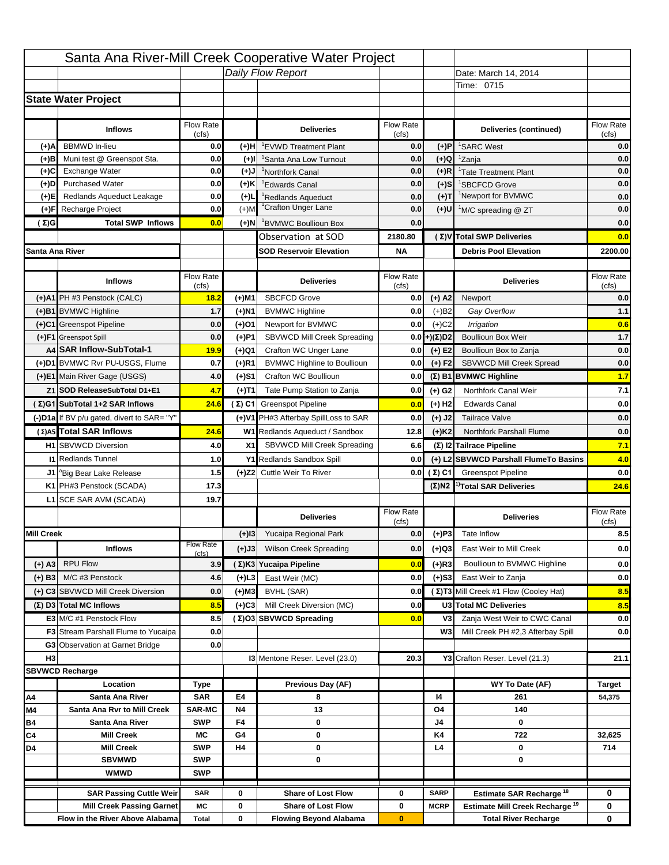|                   |                                                                    |                    |                | Santa Ana River-Mill Creek Cooperative Water Project   |                           |                                  |                                                                                   |                         |
|-------------------|--------------------------------------------------------------------|--------------------|----------------|--------------------------------------------------------|---------------------------|----------------------------------|-----------------------------------------------------------------------------------|-------------------------|
|                   |                                                                    |                    |                | Daily Flow Report                                      |                           |                                  | Date: March 14, 2014                                                              |                         |
|                   |                                                                    |                    |                |                                                        |                           |                                  | Time: 0715                                                                        |                         |
|                   | <b>State Water Project</b>                                         |                    |                |                                                        |                           |                                  |                                                                                   |                         |
|                   |                                                                    |                    |                |                                                        |                           |                                  |                                                                                   |                         |
|                   | <b>Inflows</b>                                                     | Flow Rate          |                | <b>Deliveries</b>                                      | <b>Flow Rate</b>          |                                  | Deliveries (continued)                                                            | Flow Rate               |
| (+)A              | <b>BBMWD</b> In-lieu                                               | (cfs)<br>0.0       | (+)H           | 'EVWD Treatment Plant                                  | (cfs)<br>0.0              | (+)P                             | <sup>1</sup> SARC West                                                            | (cfs)<br>0.0            |
| (+)B              | Muni test @ Greenspot Sta.                                         | 0.0                | $(+)$ l        | 'Santa Ana Low Turnout                                 | 0.0                       | $(+)Q$                           | <sup>1</sup> Zanja                                                                | 0.0                     |
| (+)C              | Exchange Water                                                     | 0.0                | $(L(+)$        | <sup>1</sup> Northfork Canal                           | 0.0                       | $(+)R$                           | <sup>1</sup> Tate Treatment Plant                                                 | 0.0                     |
| (+)D              | <b>Purchased Water</b>                                             | 0.0                | (+)K           | <sup>1</sup> Edwards Canal                             | 0.0                       | $(+)$ S                          | <sup>1</sup> SBCFCD Grove                                                         | 0.0                     |
| (+)E              | Redlands Aqueduct Leakage                                          | 0.0                | $(+)1$         | <sup>1</sup> Redlands Aqueduct                         | 0.0                       | $(+)$ T                          | <sup>1</sup> Newport for BVMWC                                                    | 0.0                     |
| (+)F              | Recharge Project                                                   | 0.0                | $(+)$ M        | <sup>1</sup> Crafton Unger Lane                        | 0.0                       | $(+)$ U                          | <sup>1</sup> M/C spreading @ ZT                                                   | 0.0                     |
| (Σ)G              | <b>Total SWP Inflows</b>                                           | 0.0                | (+)N           | <sup>1</sup> BVMWC Boullioun Box                       | 0.0                       |                                  |                                                                                   | 0.0                     |
|                   |                                                                    |                    |                | Observation at SOD                                     | 2180.80                   |                                  | (Σ) V Total SWP Deliveries                                                        | 0.0                     |
| Santa Ana River   |                                                                    |                    |                | <b>SOD Reservoir Elevation</b>                         | <b>NA</b>                 |                                  | <b>Debris Pool Elevation</b>                                                      | 2200.00                 |
|                   |                                                                    |                    |                |                                                        |                           |                                  |                                                                                   |                         |
|                   | <b>Inflows</b>                                                     | Flow Rate          |                | <b>Deliveries</b>                                      | Flow Rate                 |                                  | <b>Deliveries</b>                                                                 | Flow Rate               |
|                   | (+)A1 PH #3 Penstock (CALC)                                        | (cfs)<br>18.2      |                | <b>SBCFCD Grove</b>                                    | (cfs)<br>0.0              | $(+)$ A2                         | Newport                                                                           | (cfs)<br>0.0            |
|                   |                                                                    |                    | (+)M1          |                                                        |                           |                                  |                                                                                   |                         |
|                   | (+)B1 BVMWC Highline<br>(+)C1 Greenspot Pipeline                   | 1.7                | (+)N1          | <b>BVMWC Highline</b>                                  | 0.0<br>0.0                | $(+)B2$                          | Gay Overflow                                                                      | 1.1<br>0.6              |
|                   | (+)F1 Greenspot Spill                                              | 0.0<br>0.0         | (+)01          | Newport for BVMWC<br>SBVWCD Mill Creek Spreading       | 0.0                       | $(+)$ C <sub>2</sub><br>(+)(Σ)D2 | Irrigation<br><b>Boullioun Box Weir</b>                                           | $1.7$                   |
|                   | A4 SAR Inflow-SubTotal-1                                           | 19.9               | (+)P1<br>(+)Q1 | Crafton WC Unger Lane                                  | 0.0                       | $(+) E2$                         | Boullioun Box to Zanja                                                            | 0.0                     |
|                   | (+)D1 BVMWC Rvr PU-USGS, Flume                                     | 0.7                | $(+)$ R1       | <b>BVMWC Highline to Boullioun</b>                     | 0.0                       | $(+) F2$                         | <b>SBVWCD Mill Creek Spread</b>                                                   | 0.0                     |
|                   | (+)E1 Main River Gage (USGS)                                       | 4.0                | (+)S1          | Crafton WC Boullioun                                   | 0.0                       |                                  | $(\Sigma)$ B1 BVMWC Highline                                                      | 1.7                     |
|                   |                                                                    | 4.7                |                |                                                        |                           |                                  | Northfork Canal Weir                                                              |                         |
|                   | Z1 SOD ReleaseSubTotal D1+E1                                       |                    | (+)T1          | Tate Pump Station to Zanja                             | 0.0                       | (+) G2                           |                                                                                   | 7.1                     |
|                   | (Σ)G1 SubTotal 1+2 SAR Inflows                                     | 24.6               |                | (Σ) C1 Greenspot Pipeline                              | 0.0                       | $(+)$ H <sub>2</sub>             | <b>Edwards Canal</b>                                                              | 0.0                     |
|                   | (-)D1a If BV p/u gated, divert to SAR= "Y"                         |                    |                | (+)V1 PH#3 Afterbay SpillLoss to SAR                   | 0.0                       | $(+)$ J2                         | <b>Tailrace Valve</b>                                                             | 0.0                     |
|                   | (Σ) A5 Total SAR Inflows                                           | 24.6               |                | W1 Redlands Aqueduct / Sandbox                         | 12.8                      | $(+)$ K <sub>2</sub>             | <b>Northfork Parshall Flume</b>                                                   | 0.0                     |
|                   | <b>H1</b> SBVWCD Diversion                                         | 4.0                | X1             | SBVWCD Mill Creek Spreading                            | 6.6                       |                                  | (Σ) I2 Tailrace Pipeline                                                          | 7.1                     |
|                   | <b>11 Redlands Tunnel</b>                                          | 1.0                |                | Y1 Redlands Sandbox Spill                              | 0.0                       |                                  | (+) L2 SBVWCD Parshall FlumeTo Basins                                             | 4.0                     |
|                   | J1 <sup>a</sup> Big Bear Lake Release                              | 1.5                |                | (+)Z2 Cuttle Weir To River                             |                           | 0.0 $(\Sigma)$ C1                | <b>Greenspot Pipeline</b>                                                         | 0.0                     |
|                   | K1 PH#3 Penstock (SCADA)                                           | 17.3               |                |                                                        |                           |                                  | $(\Sigma)$ N2 <sup>1)</sup> Total SAR Deliveries                                  | 24.6                    |
|                   | L1 SCE SAR AVM (SCADA)                                             | 19.7               |                |                                                        |                           |                                  |                                                                                   |                         |
|                   |                                                                    |                    |                | <b>Deliveries</b>                                      | <b>Flow Rate</b><br>(cfs) |                                  | <b>Deliveries</b>                                                                 | Flow Rate<br>(cfs)      |
| <b>Mill Creek</b> |                                                                    |                    | $(+)$ 13       | Yucaipa Regional Park                                  | 0.0                       | $(+)P3$                          | Tate Inflow                                                                       | 8.5                     |
|                   | <b>Inflows</b>                                                     | <b>Flow Rate</b>   | (+)J3          | <b>Wilson Creek Spreading</b>                          | 0.0                       | (+)Q3                            | East Weir to Mill Creek                                                           | 0.0                     |
|                   | <b>RPU Flow</b>                                                    | (cfs)              |                |                                                        |                           | $(+)$ R3                         | Boullioun to BVMWC Highline                                                       |                         |
| (+) A3            |                                                                    | 3.9                |                | (Σ)K3 Yucaipa Pipeline                                 | 0.0                       |                                  |                                                                                   | 0.0                     |
| $(+)$ B3          | M/C #3 Penstock                                                    | 4.6                | $(+)$ L3       | East Weir (MC)                                         | 0.0                       | $(+)$ S3                         | East Weir to Zanja                                                                | 0.0                     |
|                   | (+) C3 SBVWCD Mill Creek Diversion                                 | 0.0                | (+)M3          | BVHL (SAR)                                             | 0.0                       |                                  | (Σ) T3 Mill Creek #1 Flow (Cooley Hat)                                            | 8.5                     |
|                   | (Σ) D3 Total MC Inflows                                            | 8.5                | $(+)C3$        | Mill Creek Diversion (MC)                              | 0.0                       |                                  | U3 Total MC Deliveries                                                            | 8.5                     |
|                   | E3 M/C #1 Penstock Flow                                            | 8.5                |                | (Σ)O3 SBVWCD Spreading                                 | 0.0                       | V3                               | Zanja West Weir to CWC Canal                                                      | 0.0                     |
|                   | <b>F3</b> Stream Parshall Flume to Yucaipa                         | 0.0                |                |                                                        |                           | W <sub>3</sub>                   | Mill Creek PH #2,3 Afterbay Spill                                                 | 0.0                     |
| H <sub>3</sub>    | G3 Observation at Garnet Bridge                                    | 0.0                |                | 13 Mentone Reser. Level (23.0)                         | 20.3                      |                                  | Y3 Crafton Reser. Level (21.3)                                                    | 21.1                    |
|                   |                                                                    |                    |                |                                                        |                           |                                  |                                                                                   |                         |
|                   | <b>SBVWCD Recharge</b><br>Location                                 |                    |                | Previous Day (AF)                                      |                           |                                  | WY To Date (AF)                                                                   |                         |
|                   | Santa Ana River                                                    | Type<br><b>SAR</b> | E4             | 8                                                      |                           | 14                               | 261                                                                               | <b>Target</b><br>54,375 |
| Α4<br>M4          | Santa Ana Rvr to Mill Creek                                        | <b>SAR-MC</b>      | <b>N4</b>      | 13                                                     |                           | O4                               | 140                                                                               |                         |
| Β4                | Santa Ana River                                                    | <b>SWP</b>         | F4             | 0                                                      |                           | J4                               | 0                                                                                 |                         |
| C4                | <b>Mill Creek</b>                                                  | МC                 | G4             | 0                                                      |                           | K4                               | 722                                                                               | 32,625                  |
| D4                |                                                                    |                    | H4             | 0                                                      |                           | L4                               | 0                                                                                 | 714                     |
|                   | <b>Mill Creek</b>                                                  | <b>SWP</b>         |                |                                                        |                           |                                  |                                                                                   |                         |
|                   | <b>SBVMWD</b>                                                      | <b>SWP</b>         |                | 0                                                      |                           |                                  | 0                                                                                 |                         |
|                   | <b>WMWD</b>                                                        | <b>SWP</b>         |                |                                                        |                           |                                  |                                                                                   |                         |
|                   |                                                                    |                    |                |                                                        |                           |                                  |                                                                                   |                         |
|                   | <b>SAR Passing Cuttle Weir</b><br><b>Mill Creek Passing Garnet</b> | <b>SAR</b><br>МC   | 0<br>0         | <b>Share of Lost Flow</b><br><b>Share of Lost Flow</b> | 0<br>0                    | <b>SARP</b><br><b>MCRP</b>       | Estimate SAR Recharge <sup>18</sup><br>Estimate Mill Creek Recharge <sup>19</sup> | 0<br>0                  |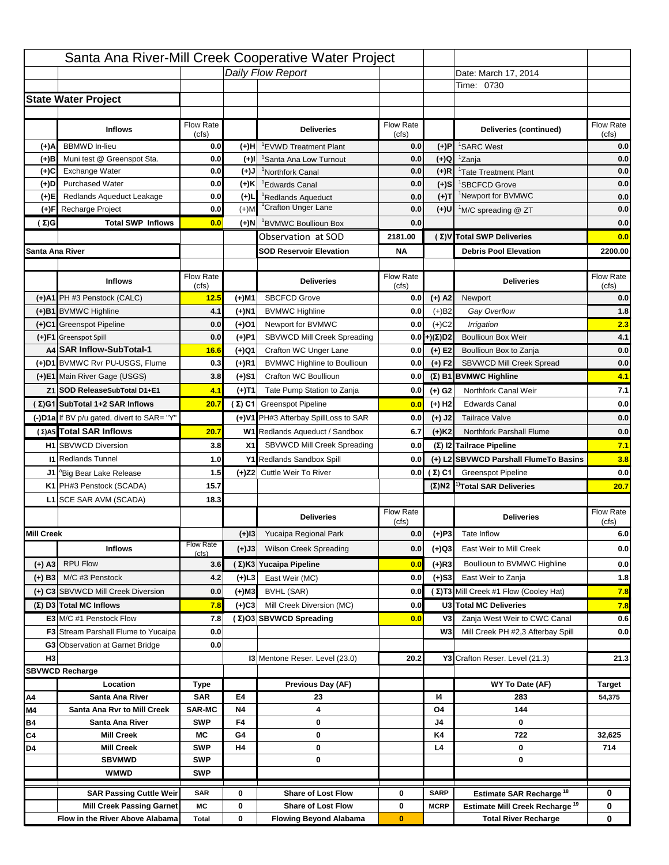|                   |                                                                     |                    |                   | Santa Ana River-Mill Creek Cooperative Water Project        |                  |                      |                                                                           |                                         |
|-------------------|---------------------------------------------------------------------|--------------------|-------------------|-------------------------------------------------------------|------------------|----------------------|---------------------------------------------------------------------------|-----------------------------------------|
|                   |                                                                     |                    |                   | Daily Flow Report                                           |                  |                      | Date: March 17, 2014                                                      |                                         |
|                   |                                                                     |                    |                   |                                                             |                  |                      | Time: 0730                                                                |                                         |
|                   | <b>State Water Project</b>                                          |                    |                   |                                                             |                  |                      |                                                                           |                                         |
|                   |                                                                     |                    |                   |                                                             |                  |                      |                                                                           |                                         |
|                   | <b>Inflows</b>                                                      | Flow Rate          |                   | <b>Deliveries</b>                                           | <b>Flow Rate</b> |                      | Deliveries (continued)                                                    | Flow Rate                               |
| (+)A              | <b>BBMWD</b> In-lieu                                                | (cfs)<br>0.0       | (+)H              | 'EVWD Treatment Plant                                       | (cfs)<br>0.0     | (+)P                 | <sup>1</sup> SARC West                                                    | (cfs)<br>0.0                            |
| (+)B              | Muni test @ Greenspot Sta.                                          | 0.0                | $(+)$ l           | 'Santa Ana Low Turnout                                      | 0.0              | $(+)Q$               | <sup>1</sup> Zanja                                                        | 0.0                                     |
| (+)C              | Exchange Water                                                      | 0.0                | $(L(+)$           | <sup>1</sup> Northfork Canal                                | 0.0              | $(+)R$               | <sup>1</sup> Tate Treatment Plant                                         | 0.0                                     |
| (+)D              | <b>Purchased Water</b>                                              | 0.0                | (+)K              | <sup>1</sup> Edwards Canal                                  | 0.0              | $(+)$ S              | <sup>1</sup> SBCFCD Grove                                                 | 0.0                                     |
| (+)E              | Redlands Aqueduct Leakage                                           | 0.0                | $(+)1$            | <sup>1</sup> Redlands Aqueduct                              | 0.0              | $(+)T$               | <sup>1</sup> Newport for BVMWC                                            | 0.0                                     |
| (+)F              | Recharge Project                                                    | 0.0                | $(+)$ M           | <sup>1</sup> Crafton Unger Lane                             | 0.0              | $(+)$ U              | <sup>1</sup> M/C spreading @ ZT                                           | 0.0                                     |
| (Σ)G              | <b>Total SWP Inflows</b>                                            | 0.0                | (+)N              | <sup>1</sup> BVMWC Boullioun Box                            | 0.0              |                      |                                                                           | 0.0                                     |
|                   |                                                                     |                    |                   | Observation at SOD                                          | 2181.00          |                      | (Σ) V Total SWP Deliveries                                                | 0.0                                     |
| Santa Ana River   |                                                                     |                    |                   | <b>SOD Reservoir Elevation</b>                              | <b>NA</b>        |                      | <b>Debris Pool Elevation</b>                                              | 2200.00                                 |
|                   |                                                                     |                    |                   |                                                             |                  |                      |                                                                           |                                         |
|                   | <b>Inflows</b>                                                      | Flow Rate          |                   | <b>Deliveries</b>                                           | Flow Rate        |                      | <b>Deliveries</b>                                                         | Flow Rate                               |
|                   |                                                                     | (cfs)              |                   |                                                             | (cfs)            |                      |                                                                           | (cfs)                                   |
|                   | (+)A1 PH #3 Penstock (CALC)                                         | 12.5               | (+)M1             | <b>SBCFCD Grove</b>                                         | 0.0              | $(+)$ A2             | Newport                                                                   | 0.0                                     |
|                   | (+)B1 BVMWC Highline                                                | 4.1                | (+)N1             | <b>BVMWC Highline</b>                                       | 0.0              | $(+)B2$              | Gay Overflow                                                              | 1.8                                     |
|                   | (+)C1 Greenspot Pipeline                                            | 0.0                | (+)01             | Newport for BVMWC                                           | 0.0              | $(+)$ C <sub>2</sub> | Irrigation                                                                | 2.3<br>4.1                              |
|                   | (+)F1 Greenspot Spill<br>A4 SAR Inflow-SubTotal-1                   | 0.0                | (+)P1             | SBVWCD Mill Creek Spreading                                 | 0.0              | (+)(Σ)D2             | <b>Boullioun Box Weir</b>                                                 |                                         |
|                   | (+)D1 BVMWC Rvr PU-USGS, Flume                                      | 16.6<br>0.3        | (+)Q1<br>$(+)$ R1 | Crafton WC Unger Lane<br><b>BVMWC Highline to Boullioun</b> | 0.0<br>0.0       | $(+) E2$<br>$(+) F2$ | Boullioun Box to Zanja<br><b>SBVWCD Mill Creek Spread</b>                 | 0.0<br>0.0                              |
|                   | (+)E1 Main River Gage (USGS)                                        | 3.8                |                   | Crafton WC Boullioun                                        | 0.0              |                      |                                                                           | 4.1                                     |
|                   |                                                                     |                    | (+)S1             |                                                             |                  |                      | $(\Sigma)$ B1 BVMWC Highline                                              |                                         |
|                   | Z1 SOD ReleaseSubTotal D1+E1                                        | 4.1                | (+)T1             | Tate Pump Station to Zanja                                  | 0.0              | (+) G2               | Northfork Canal Weir                                                      | 7.1                                     |
|                   | (Σ)G1 SubTotal 1+2 SAR Inflows                                      | 20.7               |                   | (Σ) C1 Greenspot Pipeline                                   | 0.0              | $(+)$ H <sub>2</sub> | <b>Edwards Canal</b>                                                      | 0.0                                     |
|                   | (-)D1a If BV p/u gated, divert to SAR= "Y"                          |                    |                   | (+)V1 PH#3 Afterbay SpillLoss to SAR                        | 0.0              | $(+)$ J2             | <b>Tailrace Valve</b>                                                     | 0.0                                     |
|                   | (Σ) A5 Total SAR Inflows                                            | 20.7               |                   | W1 Redlands Aqueduct / Sandbox                              | 6.7              | $(+)$ K <sub>2</sub> | Northfork Parshall Flume                                                  | 0.0                                     |
|                   | <b>H1</b> SBVWCD Diversion                                          | 3.8                | X1                | SBVWCD Mill Creek Spreading                                 | 0.0              |                      | (Σ) I2 Tailrace Pipeline                                                  | 7.1                                     |
|                   |                                                                     |                    |                   |                                                             |                  |                      |                                                                           |                                         |
|                   | <b>11 Redlands Tunnel</b>                                           | 1.0                |                   | Y1 Redlands Sandbox Spill                                   | 0.0              |                      | (+) L2 SBVWCD Parshall FlumeTo Basins                                     | 3.8                                     |
|                   | J1 <sup>a</sup> Big Bear Lake Release                               | 1.5                |                   | (+)Z2 Cuttle Weir To River                                  |                  | 0.0 $(\Sigma)$ C1    | <b>Greenspot Pipeline</b>                                                 |                                         |
|                   | K1 PH#3 Penstock (SCADA)                                            | 15.7               |                   |                                                             |                  |                      | $(\Sigma)$ N2 <sup>1)</sup> Total SAR Deliveries                          |                                         |
|                   | L1 SCE SAR AVM (SCADA)                                              | 18.3               |                   |                                                             |                  |                      |                                                                           |                                         |
|                   |                                                                     |                    |                   | <b>Deliveries</b>                                           | <b>Flow Rate</b> |                      | <b>Deliveries</b>                                                         | Flow Rate                               |
|                   |                                                                     |                    |                   |                                                             | (cfs)            |                      |                                                                           | (cfs)                                   |
| <b>Mill Creek</b> |                                                                     | <b>Flow Rate</b>   | $(+)$ 13          | Yucaipa Regional Park                                       | 0.0              | $(+)P3$              | Tate Inflow                                                               |                                         |
|                   | <b>Inflows</b>                                                      | (cfs)              | (+)J3             | <b>Wilson Creek Spreading</b>                               | 0.0              | (+)Q3                | East Weir to Mill Creek                                                   |                                         |
| (+) A3            | <b>RPU Flow</b>                                                     | 3.6                |                   | (Σ)K3 Yucaipa Pipeline                                      | 0.0              | $(+)$ R3             | Boullioun to BVMWC Highline                                               |                                         |
| $(+)$ B3          | M/C #3 Penstock                                                     | 4.2                | $(+)$ L3          | East Weir (MC)                                              | 0.0              | $(+)$ S3             | East Weir to Zanja                                                        | 0.0<br>20.7<br>6.0<br>0.0<br>0.0<br>1.8 |
|                   | (+) C3 SBVWCD Mill Creek Diversion                                  | 0.0                | (+)M3             | BVHL (SAR)                                                  | 0.0              |                      | (Σ) T3 Mill Creek #1 Flow (Cooley Hat)                                    | 7.8                                     |
|                   | (Σ) D3 Total MC Inflows                                             | 7.8                | $(+)C3$           | Mill Creek Diversion (MC)                                   | 0.0              |                      | U3 Total MC Deliveries                                                    | 7.8                                     |
|                   | E3 M/C #1 Penstock Flow                                             | 7.8                |                   | (Σ)O3 SBVWCD Spreading                                      | 0.0              | V3                   | Zanja West Weir to CWC Canal                                              |                                         |
|                   | <b>F3</b> Stream Parshall Flume to Yucaipa                          | 0.0                |                   |                                                             |                  | W <sub>3</sub>       | Mill Creek PH #2,3 Afterbay Spill                                         |                                         |
|                   | G3 Observation at Garnet Bridge                                     | 0.0                |                   |                                                             |                  |                      |                                                                           | 0.6<br>0.0                              |
| H <sub>3</sub>    |                                                                     |                    |                   | 13 Mentone Reser. Level (23.0)                              | 20.2             |                      | Y3 Crafton Reser. Level (21.3)                                            | 21.3                                    |
|                   | <b>SBVWCD Recharge</b>                                              |                    |                   |                                                             |                  |                      |                                                                           |                                         |
|                   | Location                                                            | Type               |                   | Previous Day (AF)                                           |                  |                      | WY To Date (AF)                                                           | <b>Target</b>                           |
| Α4                | Santa Ana River                                                     | <b>SAR</b>         | E4                | 23                                                          |                  | 14                   | 283                                                                       | 54,375                                  |
| M4                | Santa Ana Rvr to Mill Creek                                         | <b>SAR-MC</b>      | <b>N4</b>         | 4                                                           |                  | O4                   | 144                                                                       |                                         |
| Β4                | Santa Ana River                                                     | <b>SWP</b>         | F4                | 0                                                           |                  | J4                   | 0                                                                         |                                         |
| C4                | <b>Mill Creek</b>                                                   | МC                 | G4                | 0                                                           |                  | K4                   | 722                                                                       | 32,625                                  |
| D4                | <b>Mill Creek</b>                                                   | <b>SWP</b>         | H4                | 0                                                           |                  | L4                   | 0                                                                         | 714                                     |
|                   | <b>SBVMWD</b>                                                       | <b>SWP</b>         |                   | 0                                                           |                  |                      | 0                                                                         |                                         |
|                   | <b>WMWD</b>                                                         | <b>SWP</b>         |                   |                                                             |                  |                      |                                                                           |                                         |
|                   | <b>SAR Passing Cuttle Weir</b>                                      | <b>SAR</b>         | 0                 | <b>Share of Lost Flow</b>                                   | 0                | <b>SARP</b>          | Estimate SAR Recharge <sup>18</sup>                                       | 0                                       |
|                   | <b>Mill Creek Passing Garnet</b><br>Flow in the River Above Alabama | МC<br><b>Total</b> | 0<br>0            | <b>Share of Lost Flow</b><br><b>Flowing Beyond Alabama</b>  | 0<br>$\bf{0}$    | <b>MCRP</b>          | Estimate Mill Creek Recharge <sup>19</sup><br><b>Total River Recharge</b> | 0<br>0                                  |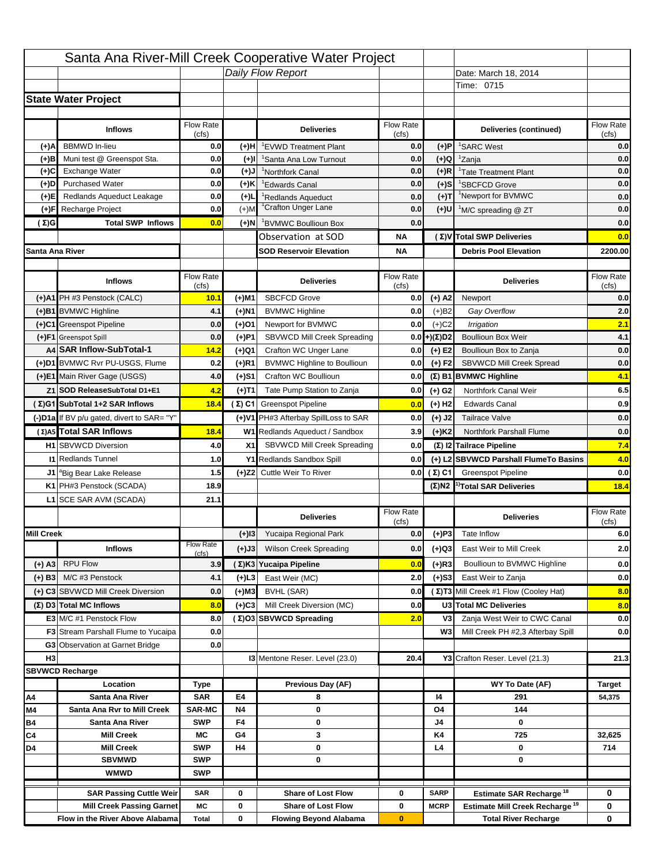|                   |                                                            |                           |           | Santa Ana River-Mill Creek Cooperative Water Project |                  |                      |                                                  |                                                       |
|-------------------|------------------------------------------------------------|---------------------------|-----------|------------------------------------------------------|------------------|----------------------|--------------------------------------------------|-------------------------------------------------------|
|                   |                                                            |                           |           | Daily Flow Report                                    |                  |                      | Date: March 18, 2014                             |                                                       |
|                   |                                                            |                           |           |                                                      |                  |                      | Time: 0715                                       |                                                       |
|                   | <b>State Water Project</b>                                 |                           |           |                                                      |                  |                      |                                                  |                                                       |
|                   |                                                            |                           |           |                                                      |                  |                      |                                                  |                                                       |
|                   | <b>Inflows</b>                                             | Flow Rate                 |           | <b>Deliveries</b>                                    | <b>Flow Rate</b> |                      | Deliveries (continued)                           | Flow Rate                                             |
| (+)A              | <b>BBMWD</b> In-lieu                                       | (cfs)<br>0.0              | (+)H      | 'EVWD Treatment Plant                                | (cfs)<br>0.0     | (+)P                 | <sup>1</sup> SARC West                           | (cfs)<br>0.0                                          |
| (+)B              | Muni test @ Greenspot Sta.                                 | 0.0                       | $(+)$ l   | 'Santa Ana Low Turnout                               | 0.0              | $(+)Q$               | <sup>1</sup> Zanja                               | 0.0                                                   |
| (+)C              | Exchange Water                                             | 0.0                       | $(L(+)$   | <sup>1</sup> Northfork Canal                         | 0.0              | $(+)R$               | <sup>1</sup> Tate Treatment Plant                | 0.0                                                   |
| (+)D              | <b>Purchased Water</b>                                     | 0.0                       | (+)K      | <sup>1</sup> Edwards Canal                           | 0.0              | $(+)$ S              | <sup>1</sup> SBCFCD Grove                        | 0.0                                                   |
| (+)E              | Redlands Aqueduct Leakage                                  | 0.0                       | $(+)1$    | <sup>1</sup> Redlands Aqueduct                       | 0.0              | $(+)$ T              | <sup>1</sup> Newport for BVMWC                   | 0.0                                                   |
| (+)F              | Recharge Project                                           | 0.0                       | $(+)$ M   | <sup>1</sup> Crafton Unger Lane                      | 0.0              | $(+)$ U              | <sup>1</sup> M/C spreading @ ZT                  | 0.0                                                   |
| (Σ)G              | <b>Total SWP Inflows</b>                                   | 0.0                       | (+)N      | <sup>1</sup> BVMWC Boullioun Box                     | 0.0              |                      |                                                  | 0.0                                                   |
|                   |                                                            |                           |           | Observation at SOD                                   | ΝA               |                      | (Σ) V Total SWP Deliveries                       | 0.0                                                   |
| Santa Ana River   |                                                            |                           |           | <b>SOD Reservoir Elevation</b>                       | ΝA               |                      | <b>Debris Pool Elevation</b>                     | 2200.00                                               |
|                   |                                                            |                           |           |                                                      |                  |                      |                                                  |                                                       |
|                   | <b>Inflows</b>                                             | Flow Rate                 |           | <b>Deliveries</b>                                    | Flow Rate        |                      | <b>Deliveries</b>                                | Flow Rate                                             |
|                   |                                                            | (cfs)                     |           |                                                      | (cfs)            |                      |                                                  | (cfs)                                                 |
|                   | (+)A1 PH #3 Penstock (CALC)                                | 10.1                      | (+)M1     | <b>SBCFCD Grove</b>                                  | 0.0              | $(+)$ A2             | Newport                                          | 0.0                                                   |
|                   | (+)B1 BVMWC Highline                                       | 4.1                       | (+)N1     | <b>BVMWC Highline</b>                                | 0.0              | $(+)B2$              | Gay Overflow                                     | 2.0                                                   |
|                   | (+)C1 Greenspot Pipeline                                   | 0.0                       | (+)01     | Newport for BVMWC                                    | 0.0              | $(+)$ C <sub>2</sub> | Irrigation                                       | 2.1                                                   |
|                   | (+)F1 Greenspot Spill                                      | 0.0                       | (+)P1     | SBVWCD Mill Creek Spreading                          | 0.0              | (+)(Σ)D2             | <b>Boullioun Box Weir</b>                        | 4.1                                                   |
|                   | A4 SAR Inflow-SubTotal-1<br>(+)D1 BVMWC Rvr PU-USGS, Flume | 14.2                      | (+)Q1     | Crafton WC Unger Lane                                | 0.0              | $(+) E2$             | Boullioun Box to Zanja                           | 0.0                                                   |
|                   |                                                            | 0.2                       | $(+)$ R1  | <b>BVMWC Highline to Boullioun</b>                   | 0.0              | $(+) F2$             | <b>SBVWCD Mill Creek Spread</b>                  | 0.0                                                   |
|                   | (+)E1 Main River Gage (USGS)                               | 4.0                       | (+)S1     | Crafton WC Boullioun                                 | 0.0              |                      | $(\Sigma)$ B1 BVMWC Highline                     | 4.1                                                   |
|                   | Z1 SOD ReleaseSubTotal D1+E1                               | 4.2                       | (+)T1     | Tate Pump Station to Zanja                           | 0.0              | (+) G2               | Northfork Canal Weir                             | 6.5                                                   |
|                   | (Σ)G1 SubTotal 1+2 SAR Inflows                             | 18.4                      |           | (Σ) C1 Greenspot Pipeline                            | 0.0              | $(+)$ H <sub>2</sub> | <b>Edwards Canal</b>                             | 0.9                                                   |
|                   | (-)D1a If BV p/u gated, divert to SAR= "Y"                 |                           |           | (+)V1 PH#3 Afterbay SpillLoss to SAR                 | 0.0              | $(+)$ J2             | <b>Tailrace Valve</b>                            | 0.0                                                   |
|                   | (Σ) A5 Total SAR Inflows                                   | 18.4                      |           | W1 Redlands Aqueduct / Sandbox                       | 3.9              | $(+)$ K <sub>2</sub> | <b>Northfork Parshall Flume</b>                  | 0.0                                                   |
|                   |                                                            |                           |           |                                                      |                  |                      |                                                  |                                                       |
|                   | <b>H1</b> SBVWCD Diversion                                 | 4.0                       | X1        | SBVWCD Mill Creek Spreading                          | 0.0              |                      | (Σ) I2 Tailrace Pipeline                         |                                                       |
|                   | <b>11 Redlands Tunnel</b>                                  | 1.0                       |           | Y1 Redlands Sandbox Spill                            | 0.0              |                      | (+) L2 SBVWCD Parshall FlumeTo Basins            |                                                       |
|                   | J1 <sup>a</sup> Big Bear Lake Release                      | 1.5                       |           | (+)Z2 Cuttle Weir To River                           |                  | 0.0 $(\Sigma)$ C1    | <b>Greenspot Pipeline</b>                        |                                                       |
|                   | K1 PH#3 Penstock (SCADA)                                   | 18.9                      |           |                                                      |                  |                      | $(\Sigma)$ N2 <sup>1)</sup> Total SAR Deliveries |                                                       |
|                   | L1 SCE SAR AVM (SCADA)                                     | 21.1                      |           |                                                      |                  |                      |                                                  |                                                       |
|                   |                                                            |                           |           | <b>Deliveries</b>                                    | <b>Flow Rate</b> |                      | <b>Deliveries</b>                                | Flow Rate                                             |
|                   |                                                            |                           |           |                                                      | (cfs)            |                      |                                                  | (cfs)                                                 |
| <b>Mill Creek</b> |                                                            |                           | $(+)$ 13  | Yucaipa Regional Park                                | 0.0              | $(+)P3$              | Tate Inflow                                      |                                                       |
|                   | <b>Inflows</b>                                             | <b>Flow Rate</b><br>(cfs) | (+)J3     | <b>Wilson Creek Spreading</b>                        | 0.0              | (+)Q3                | East Weir to Mill Creek                          |                                                       |
| (+) A3            | <b>RPU Flow</b>                                            | 3.9                       |           | (Σ)K3 Yucaipa Pipeline                               | 0.0              | $(+)$ R3             | Boullioun to BVMWC Highline                      |                                                       |
| $(+)$ B3          | M/C #3 Penstock                                            | 4.1                       | (+)L3     | East Weir (MC)                                       | 2.0              | $(+)$ S3             | East Weir to Zanja                               | 7.4<br>4.0<br>0.0<br>18.4<br>6.0<br>2.0<br>0.0<br>0.0 |
|                   | (+) C3 SBVWCD Mill Creek Diversion                         | 0.0                       | (+)M3     | BVHL (SAR)                                           | 0.0              |                      | (Σ) T3 Mill Creek #1 Flow (Cooley Hat)           | 8.0                                                   |
|                   | (Σ) D3 Total MC Inflows                                    | 8.0                       | $(+)C3$   | Mill Creek Diversion (MC)                            | 0.0              |                      | U3 Total MC Deliveries                           |                                                       |
|                   | E3 M/C #1 Penstock Flow                                    | 8.0                       |           | (Σ)O3 SBVWCD Spreading                               | 2.0              | V3                   | Zanja West Weir to CWC Canal                     | 8.0<br>0.0                                            |
|                   | <b>F3</b> Stream Parshall Flume to Yucaipa                 | 0.0                       |           |                                                      |                  | W <sub>3</sub>       | Mill Creek PH #2,3 Afterbay Spill                |                                                       |
|                   | G3 Observation at Garnet Bridge                            | 0.0                       |           |                                                      |                  |                      |                                                  |                                                       |
| H <sub>3</sub>    |                                                            |                           |           | 13 Mentone Reser. Level (23.0)                       | 20.4             |                      | Y3 Crafton Reser. Level (21.3)                   |                                                       |
|                   | <b>SBVWCD Recharge</b>                                     |                           |           |                                                      |                  |                      |                                                  | 0.0<br>21.3                                           |
|                   | Location                                                   | Type                      |           | Previous Day (AF)                                    |                  |                      | WY To Date (AF)                                  | <b>Target</b>                                         |
| Α4                | Santa Ana River                                            | <b>SAR</b>                | E4        | 8                                                    |                  | 14                   | 291                                              | 54,375                                                |
| M4                | Santa Ana Rvr to Mill Creek                                | <b>SAR-MC</b>             | <b>N4</b> | 0                                                    |                  | O4                   | 144                                              |                                                       |
| Β4                | Santa Ana River                                            | <b>SWP</b>                | F4        | 0                                                    |                  | J4                   | 0                                                |                                                       |
| C4                | <b>Mill Creek</b>                                          | МC                        | G4        | 3                                                    |                  | K4                   | 725                                              | 32,625                                                |
| D4                | <b>Mill Creek</b>                                          | <b>SWP</b>                | H4        | 0                                                    |                  | L4                   | 0                                                | 714                                                   |
|                   | <b>SBVMWD</b>                                              | <b>SWP</b>                |           | 0                                                    |                  |                      | 0                                                |                                                       |
|                   | <b>WMWD</b>                                                | <b>SWP</b>                |           |                                                      |                  |                      |                                                  |                                                       |
|                   | <b>SAR Passing Cuttle Weir</b>                             | <b>SAR</b>                | 0         | <b>Share of Lost Flow</b>                            | 0                | <b>SARP</b>          | Estimate SAR Recharge <sup>18</sup>              | 0                                                     |
|                   | <b>Mill Creek Passing Garnet</b>                           | МC                        | 0         | <b>Share of Lost Flow</b>                            | 0                | <b>MCRP</b>          | Estimate Mill Creek Recharge <sup>19</sup>       | 0                                                     |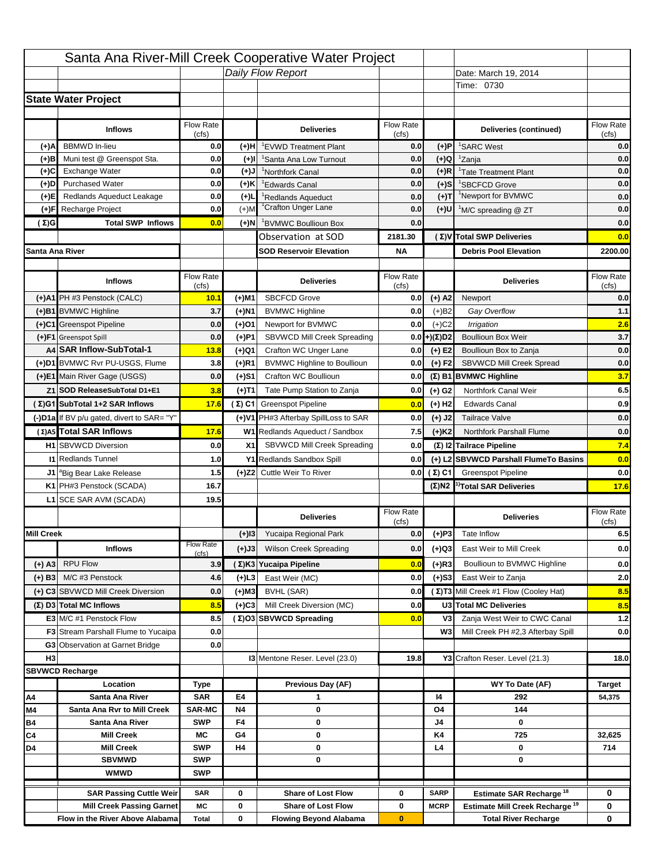|                   |                                                                    |                    |           | Santa Ana River-Mill Creek Cooperative Water Project   |                           |                            |                                                                                   |                    |
|-------------------|--------------------------------------------------------------------|--------------------|-----------|--------------------------------------------------------|---------------------------|----------------------------|-----------------------------------------------------------------------------------|--------------------|
|                   |                                                                    |                    |           | Daily Flow Report                                      |                           |                            | Date: March 19, 2014                                                              |                    |
|                   |                                                                    |                    |           |                                                        |                           |                            | Time: 0730                                                                        |                    |
|                   | <b>State Water Project</b>                                         |                    |           |                                                        |                           |                            |                                                                                   |                    |
|                   |                                                                    |                    |           |                                                        |                           |                            |                                                                                   |                    |
|                   | <b>Inflows</b>                                                     | Flow Rate<br>(cfs) |           | <b>Deliveries</b>                                      | <b>Flow Rate</b><br>(cfs) |                            | Deliveries (continued)                                                            | Flow Rate<br>(cfs) |
| (+)A              | <b>BBMWD</b> In-lieu                                               | 0.0                | (+)H      | 'EVWD Treatment Plant                                  | 0.0                       | (+)P                       | <sup>1</sup> SARC West                                                            | 0.0                |
| (+)B              | Muni test @ Greenspot Sta.                                         | 0.0                | $(+)$ l   | 'Santa Ana Low Turnout                                 | 0.0                       | $(+)Q$                     | <sup>1</sup> Zanja                                                                | 0.0                |
| (+)C              | Exchange Water                                                     | 0.0                | $(L(+)$   | <sup>1</sup> Northfork Canal                           | 0.0                       | $(+)R$                     | <sup>1</sup> Tate Treatment Plant                                                 | 0.0                |
| (+)D              | <b>Purchased Water</b>                                             | 0.0                | (+)K      | <sup>1</sup> Edwards Canal                             | 0.0                       | $(+)$ S                    | <sup>1</sup> SBCFCD Grove                                                         | 0.0                |
| (+)E              | Redlands Aqueduct Leakage                                          | 0.0                | $(+)1$    | <sup>1</sup> Redlands Aqueduct                         | 0.0                       | $(+)T$                     | <sup>1</sup> Newport for BVMWC                                                    | 0.0                |
| (+)F              | Recharge Project                                                   | 0.0                | $(+)$ M   | <sup>1</sup> Crafton Unger Lane                        | 0.0                       | $(+)$ U                    | <sup>1</sup> M/C spreading @ ZT                                                   | 0.0                |
| (Σ)G              | <b>Total SWP Inflows</b>                                           | 0.0                | (+)N      | <sup>1</sup> BVMWC Boullioun Box                       | 0.0                       |                            |                                                                                   | 0.0                |
|                   |                                                                    |                    |           | Observation at SOD                                     | 2181.30                   |                            | (Σ)V Total SWP Deliveries                                                         | 0.0                |
| Santa Ana River   |                                                                    |                    |           | <b>SOD Reservoir Elevation</b>                         | <b>NA</b>                 |                            | <b>Debris Pool Elevation</b>                                                      | 2200.00            |
|                   |                                                                    |                    |           |                                                        |                           |                            |                                                                                   |                    |
|                   | <b>Inflows</b>                                                     | Flow Rate          |           | <b>Deliveries</b>                                      | Flow Rate                 |                            | <b>Deliveries</b>                                                                 | Flow Rate<br>(cfs) |
|                   | (+)A1 PH #3 Penstock (CALC)                                        | (cfs)<br>10.1      | (+)M1     | <b>SBCFCD Grove</b>                                    | (cfs)<br>0.0              | $(+)$ A2                   | Newport                                                                           | 0.0                |
|                   | (+)B1 BVMWC Highline                                               | 3.7                | (+)N1     | <b>BVMWC Highline</b>                                  | 0.0                       | $(+)B2$                    | Gay Overflow                                                                      | 1.1                |
|                   | (+)C1 Greenspot Pipeline                                           | 0.0                | (+)01     | Newport for BVMWC                                      | 0.0                       | $(+)$ C <sub>2</sub>       | Irrigation                                                                        | 2.6                |
|                   | (+)F1 Greenspot Spill                                              | 0.0                | (+)P1     | SBVWCD Mill Creek Spreading                            | 0.0                       | (+)(Σ)D2                   | <b>Boullioun Box Weir</b>                                                         | 3.7                |
|                   | A4 SAR Inflow-SubTotal-1                                           | 13.8               | (+)Q1     | Crafton WC Unger Lane                                  | 0.0                       | $(+) E2$                   | Boullioun Box to Zanja                                                            | 0.0                |
|                   | (+)D1 BVMWC Rvr PU-USGS, Flume                                     | 3.8                | $(+)$ R1  | <b>BVMWC Highline to Boullioun</b>                     | 0.0                       | $(+) F2$                   | <b>SBVWCD Mill Creek Spread</b>                                                   | 0.0                |
|                   | (+)E1 Main River Gage (USGS)                                       | 0.0                | (+)S1     | Crafton WC Boullioun                                   | 0.0                       |                            | $(\Sigma)$ B1 BVMWC Highline                                                      | 3.7                |
|                   | Z1 SOD ReleaseSubTotal D1+E1                                       | 3.8                |           | Tate Pump Station to Zanja                             | 0.0                       |                            | Northfork Canal Weir                                                              | 6.5                |
|                   | (Σ)G1 SubTotal 1+2 SAR Inflows                                     | 17.6               | (+)T1     |                                                        |                           | (+) G2                     | <b>Edwards Canal</b>                                                              |                    |
|                   |                                                                    |                    |           | (Σ) C1 Greenspot Pipeline                              | 0.0                       | $(+)$ H <sub>2</sub>       |                                                                                   | 0.9                |
|                   | (-)D1a If BV p/u gated, divert to SAR= "Y"                         |                    |           | (+)V1 PH#3 Afterbay SpillLoss to SAR                   | 0.0                       | $(+)$ J2                   | <b>Tailrace Valve</b>                                                             | 0.0                |
|                   | (Σ) A5 Total SAR Inflows                                           | 17.6               |           | W1 Redlands Aqueduct / Sandbox                         | 7.5                       | $(+)$ K <sub>2</sub>       | <b>Northfork Parshall Flume</b>                                                   | 0.0                |
|                   | <b>H1</b> SBVWCD Diversion                                         | 0.0                | X1        | SBVWCD Mill Creek Spreading                            | 0.0                       |                            | (Σ) I2 Tailrace Pipeline                                                          | 7.4                |
|                   | <b>11 Redlands Tunnel</b>                                          | 1.0                |           | Y1 Redlands Sandbox Spill                              | 0.0                       |                            | (+) L2 SBVWCD Parshall FlumeTo Basins                                             | 0.0                |
|                   | J1 <sup>a</sup> Big Bear Lake Release                              | 1.5                |           | (+)Z2 Cuttle Weir To River                             |                           | 0.0 $(\Sigma)$ C1          | <b>Greenspot Pipeline</b>                                                         | 0.0                |
|                   | K1 PH#3 Penstock (SCADA)                                           | 16.7               |           |                                                        |                           |                            | $(\Sigma)$ N2 <sup>1)</sup> Total SAR Deliveries                                  | 17.6               |
|                   | L1 SCE SAR AVM (SCADA)                                             | 19.5               |           |                                                        |                           |                            |                                                                                   |                    |
|                   |                                                                    |                    |           | <b>Deliveries</b>                                      | <b>Flow Rate</b><br>(cfs) |                            | <b>Deliveries</b>                                                                 | Flow Rate<br>(cfs) |
| <b>Mill Creek</b> |                                                                    |                    | $(+)$ 13  | Yucaipa Regional Park                                  | 0.0                       | $(+)P3$                    | Tate Inflow                                                                       | 6.5                |
|                   | <b>Inflows</b>                                                     | <b>Flow Rate</b>   | (+)J3     | <b>Wilson Creek Spreading</b>                          | 0.0                       | (+)Q3                      | East Weir to Mill Creek                                                           | 0.0                |
|                   | <b>RPU Flow</b>                                                    | (cfs)<br>3.9       |           | (Σ)K3 Yucaipa Pipeline                                 | 0.0                       | $(+)$ R3                   | Boullioun to BVMWC Highline                                                       |                    |
| (+) A3            |                                                                    |                    |           |                                                        |                           |                            |                                                                                   | 0.0                |
| $(+)$ B3          | M/C #3 Penstock                                                    | 4.6                | $(+)$ L3  | East Weir (MC)                                         | 0.0                       | $(+)$ S3                   | East Weir to Zanja                                                                | 2.0                |
|                   | (+) C3 SBVWCD Mill Creek Diversion                                 | 0.0                | (+)M3     | BVHL (SAR)                                             | 0.0                       |                            | (Σ) T3 Mill Creek #1 Flow (Cooley Hat)                                            | 8.5                |
|                   | (Σ) D3 Total MC Inflows                                            | 8.5                | $(+)C3$   | Mill Creek Diversion (MC)                              | 0.0                       |                            | U3 Total MC Deliveries                                                            | 8.5                |
|                   | E3 M/C #1 Penstock Flow                                            | 8.5                |           | (Σ)O3 SBVWCD Spreading                                 | 0.0                       | V3                         | Zanja West Weir to CWC Canal                                                      | $1.2$              |
|                   | <b>F3</b> Stream Parshall Flume to Yucaipa                         | 0.0                |           |                                                        |                           | W <sub>3</sub>             | Mill Creek PH #2,3 Afterbay Spill                                                 | 0.0                |
| H <sub>3</sub>    | G3 Observation at Garnet Bridge                                    | 0.0                |           |                                                        |                           |                            |                                                                                   |                    |
|                   |                                                                    |                    |           | 13 Mentone Reser. Level (23.0)                         | 19.8                      |                            | Y3 Crafton Reser. Level (21.3)                                                    | 18.0               |
|                   | <b>SBVWCD Recharge</b><br>Location                                 |                    |           | Previous Day (AF)                                      |                           |                            | WY To Date (AF)                                                                   |                    |
| Α4                | Santa Ana River                                                    | Type<br><b>SAR</b> | E4        | 1                                                      |                           | 14                         | 292                                                                               | Target<br>54,375   |
| M4                | Santa Ana Rvr to Mill Creek                                        | <b>SAR-MC</b>      | <b>N4</b> | 0                                                      |                           | O4                         | 144                                                                               |                    |
| Β4                | Santa Ana River                                                    | <b>SWP</b>         | F4        | 0                                                      |                           | J4                         | 0                                                                                 |                    |
| C4                | <b>Mill Creek</b>                                                  | МC                 | G4        | 0                                                      |                           | K4                         | 725                                                                               | 32,625             |
| D4                |                                                                    | <b>SWP</b>         | H4        | 0                                                      |                           | L4                         | 0                                                                                 | 714                |
|                   | <b>Mill Creek</b>                                                  |                    |           |                                                        |                           |                            |                                                                                   |                    |
|                   | <b>SBVMWD</b>                                                      | <b>SWP</b>         |           | 0                                                      |                           |                            | 0                                                                                 |                    |
|                   | <b>WMWD</b>                                                        | <b>SWP</b>         |           |                                                        |                           |                            |                                                                                   |                    |
|                   |                                                                    |                    |           |                                                        |                           |                            |                                                                                   |                    |
|                   | <b>SAR Passing Cuttle Weir</b><br><b>Mill Creek Passing Garnet</b> | <b>SAR</b><br>МC   | 0<br>0    | <b>Share of Lost Flow</b><br><b>Share of Lost Flow</b> | 0<br>0                    | <b>SARP</b><br><b>MCRP</b> | Estimate SAR Recharge <sup>18</sup><br>Estimate Mill Creek Recharge <sup>19</sup> | 0<br>0             |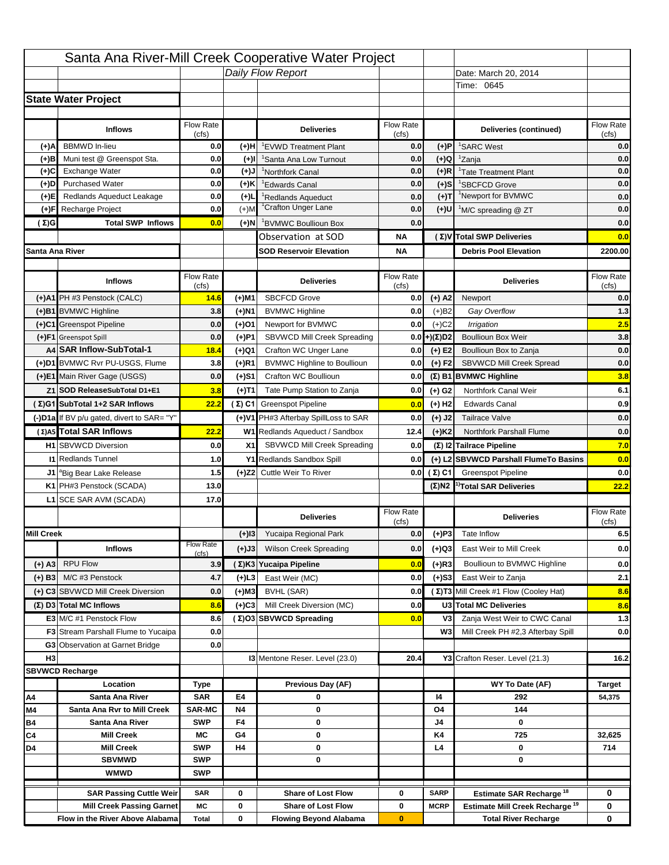|                   |                                                                    |                    |           | Santa Ana River-Mill Creek Cooperative Water Project   |                           |                            |                                                                                   |                          |
|-------------------|--------------------------------------------------------------------|--------------------|-----------|--------------------------------------------------------|---------------------------|----------------------------|-----------------------------------------------------------------------------------|--------------------------|
|                   |                                                                    |                    |           | Daily Flow Report                                      |                           |                            | Date: March 20, 2014                                                              |                          |
|                   |                                                                    |                    |           |                                                        |                           |                            | Time: 0645                                                                        |                          |
|                   | <b>State Water Project</b>                                         |                    |           |                                                        |                           |                            |                                                                                   |                          |
|                   |                                                                    |                    |           |                                                        |                           |                            |                                                                                   |                          |
|                   | <b>Inflows</b>                                                     | Flow Rate<br>(cfs) |           | <b>Deliveries</b>                                      | <b>Flow Rate</b><br>(cfs) |                            | Deliveries (continued)                                                            | Flow Rate<br>(cfs)       |
| (+)A              | <b>BBMWD</b> In-lieu                                               | 0.0                | (+)H      | 'EVWD Treatment Plant                                  | 0.0                       | (+)P                       | <sup>1</sup> SARC West                                                            | 0.0                      |
| (+)B              | Muni test @ Greenspot Sta.                                         | 0.0                | $(+)$ l   | 'Santa Ana Low Turnout                                 | 0.0                       | $(+)Q$                     | <sup>1</sup> Zanja                                                                | 0.0                      |
| (+)C              | Exchange Water                                                     | 0.0                | $(L(+)$   | <sup>1</sup> Northfork Canal                           | 0.0                       | $(+)R$                     | <sup>1</sup> Tate Treatment Plant                                                 | 0.0                      |
| (+)D              | <b>Purchased Water</b>                                             | 0.0                | (+)K      | <sup>1</sup> Edwards Canal                             | 0.0                       | $(+)$ S                    | <sup>1</sup> SBCFCD Grove                                                         | 0.0                      |
| (+)E              | Redlands Aqueduct Leakage                                          | 0.0                | $(+)1$    | <sup>1</sup> Redlands Aqueduct                         | 0.0                       | $(+)T$                     | <sup>1</sup> Newport for BVMWC                                                    | 0.0                      |
| (+)F              | Recharge Project                                                   | 0.0                | $(+)$ M   | <sup>1</sup> Crafton Unger Lane                        | 0.0                       | $(+)$ U                    | <sup>1</sup> M/C spreading @ ZT                                                   | 0.0                      |
| (Σ)G              | <b>Total SWP Inflows</b>                                           | 0.0                | (+)N      | <sup>1</sup> BVMWC Boullioun Box                       | 0.0                       |                            |                                                                                   | 0.0                      |
|                   |                                                                    |                    |           | Observation at SOD                                     | ΝA                        |                            | (Σ) V Total SWP Deliveries                                                        | 0.0                      |
| Santa Ana River   |                                                                    |                    |           | <b>SOD Reservoir Elevation</b>                         | ΝA                        |                            | <b>Debris Pool Elevation</b>                                                      | 2200.00                  |
|                   |                                                                    |                    |           |                                                        |                           |                            |                                                                                   |                          |
|                   | <b>Inflows</b>                                                     | Flow Rate<br>(cfs) |           | <b>Deliveries</b>                                      | Flow Rate<br>(cfs)        |                            | <b>Deliveries</b>                                                                 | Flow Rate<br>(cfs)       |
|                   | (+)A1 PH #3 Penstock (CALC)                                        | 14.6               | (+)M1     | <b>SBCFCD Grove</b>                                    | 0.0                       | $(+)$ A2                   | Newport                                                                           | 0.0                      |
|                   | (+)B1 BVMWC Highline                                               | 3.8                | (+)N1     | <b>BVMWC Highline</b>                                  | 0.0                       | $(+)B2$                    | Gay Overflow                                                                      | 1.3                      |
|                   | (+)C1 Greenspot Pipeline                                           | 0.0                | (+)01     | Newport for BVMWC                                      | 0.0                       | $(+)$ C <sub>2</sub>       | Irrigation                                                                        | 2.5                      |
|                   | (+)F1 Greenspot Spill                                              | 0.0                | (+)P1     | SBVWCD Mill Creek Spreading                            | 0.0                       | (+)(Σ)D2                   | <b>Boullioun Box Weir</b>                                                         | 3.8                      |
|                   | A4 SAR Inflow-SubTotal-1                                           | 18.4               | (+)Q1     | Crafton WC Unger Lane                                  | 0.0                       | $(+) E2$                   | Boullioun Box to Zanja                                                            | 0.0                      |
|                   | (+)D1 BVMWC Rvr PU-USGS, Flume                                     | 3.8                | $(+)$ R1  | <b>BVMWC Highline to Boullioun</b>                     | 0.0                       | $(+) F2$                   | <b>SBVWCD Mill Creek Spread</b>                                                   | 0.0                      |
|                   | (+)E1 Main River Gage (USGS)                                       | 0.0                | (+)S1     | Crafton WC Boullioun                                   | 0.0                       |                            | $(\Sigma)$ B1 BVMWC Highline                                                      | 3.8                      |
|                   | Z1 SOD ReleaseSubTotal D1+E1                                       | 3.8                | (+)T1     | Tate Pump Station to Zanja                             | 0.0                       | (+) G2                     | Northfork Canal Weir                                                              | 6.1                      |
|                   | (Σ)G1 SubTotal 1+2 SAR Inflows                                     | 22.2               |           | (Σ) C1 Greenspot Pipeline                              | 0.0                       | $(+)$ H <sub>2</sub>       | <b>Edwards Canal</b>                                                              | 0.9                      |
|                   | (-)D1a If BV p/u gated, divert to SAR= "Y"                         |                    |           | (+)V1 PH#3 Afterbay SpillLoss to SAR                   | 0.0                       | $(+)$ J2                   | <b>Tailrace Valve</b>                                                             | 0.0                      |
|                   | (Σ) A5 Total SAR Inflows                                           | 22.2               |           | W1 Redlands Aqueduct / Sandbox                         |                           |                            | <b>Northfork Parshall Flume</b>                                                   | 0.0                      |
|                   |                                                                    |                    |           |                                                        | 12.4                      | $(+)$ K <sub>2</sub>       | (Σ) I2 Tailrace Pipeline                                                          |                          |
|                   | <b>H1</b> SBVWCD Diversion                                         | 0.0                | X1        | SBVWCD Mill Creek Spreading                            | 0.0                       |                            |                                                                                   | 7.0                      |
|                   | <b>11 Redlands Tunnel</b>                                          | 1.0                |           | Y1 Redlands Sandbox Spill                              | 0.0                       |                            | (+) L2 SBVWCD Parshall FlumeTo Basins                                             | 0.0                      |
|                   | J1 <sup>a</sup> Big Bear Lake Release                              | 1.5                |           | (+)Z2 Cuttle Weir To River                             |                           | 0.0 $(\Sigma)$ C1          | <b>Greenspot Pipeline</b>                                                         | 0.0                      |
|                   | K1 PH#3 Penstock (SCADA)                                           | 13.0               |           |                                                        |                           |                            | $(\Sigma)$ N2 <sup>1)</sup> Total SAR Deliveries                                  | 22.2                     |
|                   | L1 SCE SAR AVM (SCADA)                                             | 17.0               |           |                                                        |                           |                            |                                                                                   |                          |
|                   |                                                                    |                    |           | <b>Deliveries</b>                                      | <b>Flow Rate</b><br>(cfs) |                            | <b>Deliveries</b>                                                                 | Flow Rate<br>(cfs)       |
| <b>Mill Creek</b> |                                                                    |                    |           |                                                        |                           |                            | Tate Inflow                                                                       |                          |
|                   |                                                                    |                    | $(+)$ 13  | Yucaipa Regional Park                                  | 0.0                       |                            |                                                                                   |                          |
|                   |                                                                    | <b>Flow Rate</b>   |           |                                                        |                           | $(+)P3$                    |                                                                                   |                          |
|                   | <b>Inflows</b>                                                     | (cfs)              | (+)J3     | <b>Wilson Creek Spreading</b>                          | 0.0                       | (+)Q3                      | East Weir to Mill Creek                                                           |                          |
| (+) A3            | <b>RPU Flow</b>                                                    | 3.9                |           | (Σ)K3 Yucaipa Pipeline                                 | 0.0                       | $(+)$ R3                   | Boullioun to BVMWC Highline                                                       |                          |
| $(+)$ B3          | M/C #3 Penstock                                                    | 4.7                | (+)L3     | East Weir (MC)                                         | 0.0                       | $(+)$ S3                   | East Weir to Zanja                                                                | 6.5<br>0.0<br>0.0<br>2.1 |
|                   | (+) C3 SBVWCD Mill Creek Diversion                                 | 0.0                | (+)M3     | BVHL (SAR)                                             | 0.0                       |                            | (Σ) T3 Mill Creek #1 Flow (Cooley Hat)                                            | 8.6                      |
|                   | (Σ) D3 Total MC Inflows                                            | 8.6                | $(+)C3$   | Mill Creek Diversion (MC)                              | 0.0                       |                            | U3 Total MC Deliveries                                                            | 8.6                      |
|                   | E3 M/C #1 Penstock Flow                                            | 8.6                |           | (Σ)O3 SBVWCD Spreading                                 | 0.0                       | V3                         | Zanja West Weir to CWC Canal                                                      |                          |
|                   | <b>F3</b> Stream Parshall Flume to Yucaipa                         | 0.0                |           |                                                        |                           | W <sub>3</sub>             | Mill Creek PH #2,3 Afterbay Spill                                                 |                          |
|                   | G3 Observation at Garnet Bridge                                    | 0.0                |           |                                                        |                           |                            |                                                                                   | 1.3<br>0.0               |
| H <sub>3</sub>    |                                                                    |                    |           | 13 Mentone Reser. Level (23.0)                         | 20.4                      |                            | Y3 Crafton Reser. Level (21.3)                                                    | 16.2                     |
|                   | <b>SBVWCD Recharge</b>                                             |                    |           |                                                        |                           |                            |                                                                                   |                          |
|                   | Location                                                           | Type               |           | Previous Day (AF)                                      |                           |                            | WY To Date (AF)                                                                   | <b>Target</b>            |
| Α4                | Santa Ana River                                                    | <b>SAR</b>         | E4        | 0                                                      |                           | 14                         | 292                                                                               | 54,375                   |
| M4                | Santa Ana Rvr to Mill Creek                                        | <b>SAR-MC</b>      | <b>N4</b> | 0                                                      |                           | O4                         | 144                                                                               |                          |
| Β4                | Santa Ana River<br><b>Mill Creek</b>                               | <b>SWP</b><br>МC   | F4<br>G4  | 0<br>0                                                 |                           | J4<br>K4                   | 0<br>725                                                                          | 32,625                   |
| C4<br>D4          | <b>Mill Creek</b>                                                  | <b>SWP</b>         | H4        | 0                                                      |                           | L4                         | 0                                                                                 | 714                      |
|                   | <b>SBVMWD</b>                                                      | <b>SWP</b>         |           | 0                                                      |                           |                            | 0                                                                                 |                          |
|                   | <b>WMWD</b>                                                        | <b>SWP</b>         |           |                                                        |                           |                            |                                                                                   |                          |
|                   |                                                                    |                    |           |                                                        |                           |                            |                                                                                   |                          |
|                   | <b>SAR Passing Cuttle Weir</b><br><b>Mill Creek Passing Garnet</b> | <b>SAR</b><br>МC   | 0<br>0    | <b>Share of Lost Flow</b><br><b>Share of Lost Flow</b> | 0<br>0                    | <b>SARP</b><br><b>MCRP</b> | Estimate SAR Recharge <sup>18</sup><br>Estimate Mill Creek Recharge <sup>19</sup> | 0<br>0                   |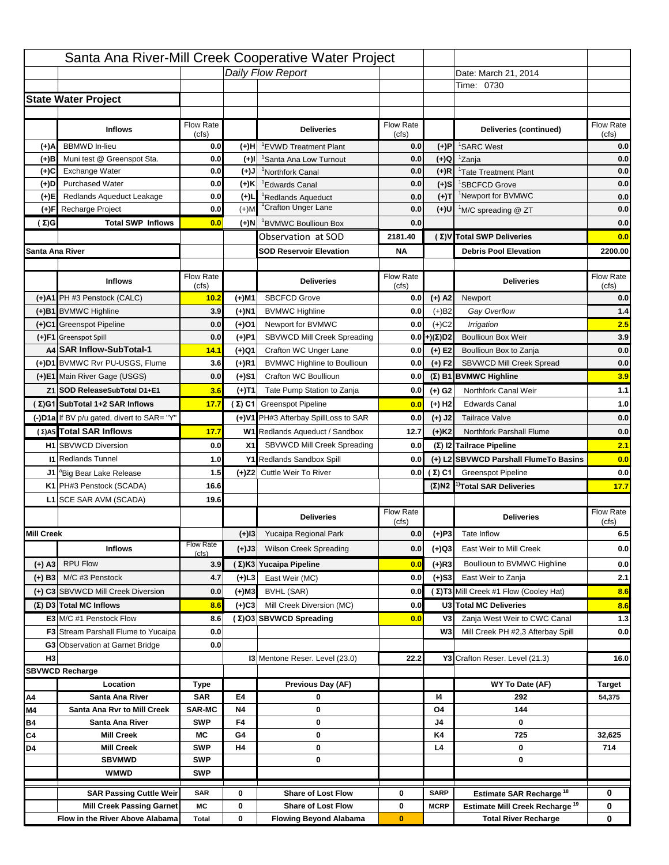|                   |                                            |                    |           | Santa Ana River-Mill Creek Cooperative Water Project |                    |                      |                                                  |                                  |
|-------------------|--------------------------------------------|--------------------|-----------|------------------------------------------------------|--------------------|----------------------|--------------------------------------------------|----------------------------------|
|                   |                                            |                    |           | Daily Flow Report                                    |                    |                      | Date: March 21, 2014                             |                                  |
|                   |                                            |                    |           |                                                      |                    |                      | Time: 0730                                       |                                  |
|                   | <b>State Water Project</b>                 |                    |           |                                                      |                    |                      |                                                  |                                  |
|                   |                                            |                    |           |                                                      |                    |                      |                                                  |                                  |
|                   | <b>Inflows</b>                             | Flow Rate          |           | <b>Deliveries</b>                                    | <b>Flow Rate</b>   |                      | Deliveries (continued)                           | Flow Rate                        |
| (+)A              | <b>BBMWD</b> In-lieu                       | (cfs)<br>0.0       | (+)H      | 'EVWD Treatment Plant                                | (cfs)<br>0.0       | (+)P                 | <sup>1</sup> SARC West                           | (cfs)<br>0.0                     |
| (+)B              | Muni test @ Greenspot Sta.                 | 0.0                | $(+)$ l   | 'Santa Ana Low Turnout                               | 0.0                | $(+)Q$               | <sup>1</sup> Zanja                               | 0.0                              |
| (+)C              | Exchange Water                             | 0.0                | $(L(+)$   | <sup>1</sup> Northfork Canal                         | 0.0                | $(+)R$               | <sup>1</sup> Tate Treatment Plant                | 0.0                              |
| (+)D              | <b>Purchased Water</b>                     | 0.0                | (+)K      | <sup>1</sup> Edwards Canal                           | 0.0                | $(+)$ S              | <sup>1</sup> SBCFCD Grove                        | 0.0                              |
| (+)E              | Redlands Aqueduct Leakage                  | 0.0                | $(+)1$    | <sup>1</sup> Redlands Aqueduct                       | 0.0                | $(+)T$               | <sup>1</sup> Newport for BVMWC                   | 0.0                              |
| (+)F              | Recharge Project                           | 0.0                | $(+)$ M   | <sup>1</sup> Crafton Unger Lane                      | 0.0                | $(+)$ U              | <sup>1</sup> M/C spreading @ ZT                  | 0.0                              |
| (Σ)G              | <b>Total SWP Inflows</b>                   | 0.0                | (+)N      | <sup>1</sup> BVMWC Boullioun Box                     | 0.0                |                      |                                                  | 0.0                              |
|                   |                                            |                    |           | Observation at SOD                                   | 2181.40            |                      | (Σ) V Total SWP Deliveries                       | 0.0                              |
| Santa Ana River   |                                            |                    |           | <b>SOD Reservoir Elevation</b>                       | <b>NA</b>          |                      | <b>Debris Pool Elevation</b>                     | 2200.00                          |
|                   |                                            |                    |           |                                                      |                    |                      |                                                  |                                  |
|                   | <b>Inflows</b>                             | Flow Rate<br>(cfs) |           | <b>Deliveries</b>                                    | Flow Rate<br>(cfs) |                      | <b>Deliveries</b>                                | Flow Rate<br>(cfs)               |
|                   | (+)A1 PH #3 Penstock (CALC)                | 10.2               | (+)M1     | <b>SBCFCD Grove</b>                                  | 0.0                | $(+)$ A2             | Newport                                          | 0.0                              |
|                   | (+)B1 BVMWC Highline                       | 3.9                | (+)N1     | <b>BVMWC Highline</b>                                | 0.0                | $(+)B2$              | Gay Overflow                                     | 1.4                              |
|                   | (+)C1 Greenspot Pipeline                   | 0.0                | (+)01     | Newport for BVMWC                                    | 0.0                | $(+)$ C <sub>2</sub> | Irrigation                                       | 2.5                              |
|                   | (+)F1 Greenspot Spill                      | 0.0                | (+)P1     | SBVWCD Mill Creek Spreading                          | 0.0                | (+)(Σ)D2             | <b>Boullioun Box Weir</b>                        | 3.9                              |
|                   | A4 SAR Inflow-SubTotal-1                   | 14.1               | (+)Q1     | Crafton WC Unger Lane                                | 0.0                | $(+) E2$             | Boullioun Box to Zanja                           | 0.0                              |
|                   | (+)D1 BVMWC Rvr PU-USGS, Flume             | 3.6                | $(+)$ R1  | <b>BVMWC Highline to Boullioun</b>                   | 0.0                | $(+) F2$             | <b>SBVWCD Mill Creek Spread</b>                  | 0.0                              |
|                   | (+)E1 Main River Gage (USGS)               | 0.0                | (+)S1     | Crafton WC Boullioun                                 | 0.0                |                      | $(\Sigma)$ B1 BVMWC Highline                     | 3.9                              |
|                   | Z1 SOD ReleaseSubTotal D1+E1               | 3.6                | (+)T1     | Tate Pump Station to Zanja                           | 0.0                | (+) G2               | Northfork Canal Weir                             | 1.1                              |
|                   | (Σ)G1 SubTotal 1+2 SAR Inflows             | 17.7               |           | (Σ) C1 Greenspot Pipeline                            | 0.0                | $(+)$ H <sub>2</sub> | <b>Edwards Canal</b>                             | 1.0                              |
|                   | (-)D1a If BV p/u gated, divert to SAR= "Y" |                    |           | (+)V1 PH#3 Afterbay SpillLoss to SAR                 | 0.0                | $(+)$ J2             | <b>Tailrace Valve</b>                            | 0.0                              |
|                   | (Σ) A5 Total SAR Inflows                   | 17.7               |           | W1 Redlands Aqueduct / Sandbox                       | 12.7               | $(+)$ K <sub>2</sub> | <b>Northfork Parshall Flume</b>                  | 0.0                              |
|                   |                                            |                    |           |                                                      |                    |                      |                                                  |                                  |
|                   |                                            |                    |           |                                                      |                    |                      |                                                  |                                  |
|                   | <b>H1</b> SBVWCD Diversion                 | 0.0                | X1        | SBVWCD Mill Creek Spreading                          | 0.0                |                      | (Σ) I2 Tailrace Pipeline                         | 2.1                              |
|                   | <b>11 Redlands Tunnel</b>                  | 1.0                |           | Y1 Redlands Sandbox Spill                            | 0.0                |                      | (+) L2 SBVWCD Parshall FlumeTo Basins            | 0.0                              |
|                   | J1 <sup>a</sup> Big Bear Lake Release      | 1.5                |           | (+)Z2 Cuttle Weir To River                           |                    | 0.0 $(\Sigma)$ C1    | <b>Greenspot Pipeline</b>                        |                                  |
|                   | K1 PH#3 Penstock (SCADA)                   | 16.6               |           |                                                      |                    |                      | $(\Sigma)$ N2 <sup>1)</sup> Total SAR Deliveries |                                  |
|                   | L1 SCE SAR AVM (SCADA)                     | 19.6               |           |                                                      |                    |                      |                                                  |                                  |
|                   |                                            |                    |           | <b>Deliveries</b>                                    | <b>Flow Rate</b>   |                      | <b>Deliveries</b>                                | Flow Rate<br>(cfs)               |
| <b>Mill Creek</b> |                                            |                    | $(+)$ 13  | Yucaipa Regional Park                                | (cfs)<br>0.0       | $(+)P3$              | Tate Inflow                                      |                                  |
|                   | <b>Inflows</b>                             | <b>Flow Rate</b>   |           | <b>Wilson Creek Spreading</b>                        | 0.0                |                      | East Weir to Mill Creek                          |                                  |
|                   |                                            | (cfs)              | (+)J3     |                                                      |                    | (+)Q3                |                                                  |                                  |
| (+) A3            | <b>RPU Flow</b>                            | 3.9                |           | (Σ)K3 Yucaipa Pipeline                               | 0.0                | $(+)$ R3             | Boullioun to BVMWC Highline                      | 0.0<br>17.7<br>6.5<br>0.0<br>0.0 |
| $(+)$ B3          | M/C #3 Penstock                            | 4.7                | (+)L3     | East Weir (MC)                                       | 0.0                | $(+)$ S3             | East Weir to Zanja                               | 2.1                              |
|                   | (+) C3 SBVWCD Mill Creek Diversion         | 0.0                | (+)M3     | BVHL (SAR)                                           | 0.0                |                      | (Σ) T3 Mill Creek #1 Flow (Cooley Hat)           | 8.6                              |
|                   | (Σ) D3 Total MC Inflows                    | 8.6                | $(+)C3$   | Mill Creek Diversion (MC)                            | 0.0                |                      | U3 Total MC Deliveries                           | 8.6                              |
|                   | E3 M/C #1 Penstock Flow                    | 8.6                |           | (Σ)O3 SBVWCD Spreading                               | 0.0                | V3                   | Zanja West Weir to CWC Canal                     |                                  |
|                   | <b>F3</b> Stream Parshall Flume to Yucaipa | 0.0                |           |                                                      |                    | W <sub>3</sub>       | Mill Creek PH #2,3 Afterbay Spill                | 1.3<br>0.0                       |
|                   | G3 Observation at Garnet Bridge            | 0.0                |           |                                                      |                    |                      |                                                  |                                  |
| H <sub>3</sub>    |                                            |                    |           | 13 Mentone Reser. Level (23.0)                       | 22.2               |                      | Y3 Crafton Reser. Level (21.3)                   | 16.0                             |
|                   | <b>SBVWCD Recharge</b>                     |                    |           |                                                      |                    |                      |                                                  |                                  |
| Α4                | Location<br>Santa Ana River                | Type<br><b>SAR</b> | E4        | Previous Day (AF)<br>0                               |                    | 14                   | WY To Date (AF)<br>292                           | Target<br>54,375                 |
| M4                | Santa Ana Rvr to Mill Creek                | <b>SAR-MC</b>      | <b>N4</b> | 0                                                    |                    | O4                   | 144                                              |                                  |
| Β4                | Santa Ana River                            | <b>SWP</b>         | F4        | 0                                                    |                    | J4                   | 0                                                |                                  |
| C4                | <b>Mill Creek</b>                          | МC                 | G4        | 0                                                    |                    | K4                   | 725                                              | 32,625                           |
| D4                | <b>Mill Creek</b>                          | <b>SWP</b>         | H4        | 0                                                    |                    | L4                   | 0                                                | 714                              |
|                   | <b>SBVMWD</b>                              | <b>SWP</b>         |           | 0                                                    |                    |                      | 0                                                |                                  |
|                   | <b>WMWD</b>                                | <b>SWP</b>         |           |                                                      |                    |                      |                                                  |                                  |
|                   | <b>SAR Passing Cuttle Weir</b>             | <b>SAR</b>         | 0         | <b>Share of Lost Flow</b>                            | 0                  | <b>SARP</b>          | Estimate SAR Recharge <sup>18</sup>              | 0                                |
|                   | <b>Mill Creek Passing Garnet</b>           | МC                 | 0         | <b>Share of Lost Flow</b>                            | 0                  | <b>MCRP</b>          | Estimate Mill Creek Recharge <sup>19</sup>       | 0                                |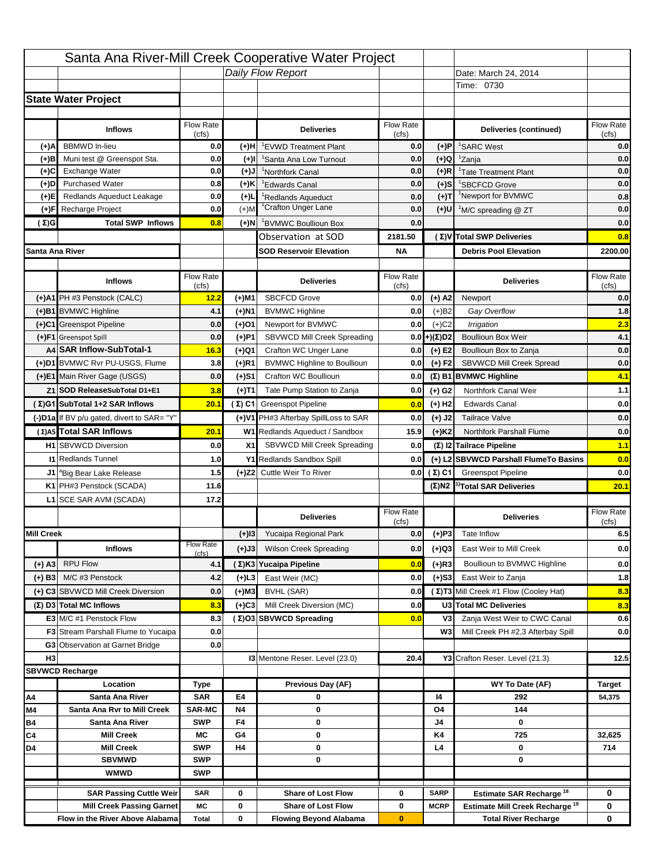|                   |                                                            |                           |           | Santa Ana River-Mill Creek Cooperative Water Project |                  |                      |                                                  |                                                              |
|-------------------|------------------------------------------------------------|---------------------------|-----------|------------------------------------------------------|------------------|----------------------|--------------------------------------------------|--------------------------------------------------------------|
|                   |                                                            |                           |           | Daily Flow Report                                    |                  |                      | Date: March 24, 2014                             |                                                              |
|                   |                                                            |                           |           |                                                      |                  |                      | Time: 0730                                       |                                                              |
|                   | <b>State Water Project</b>                                 |                           |           |                                                      |                  |                      |                                                  |                                                              |
|                   |                                                            |                           |           |                                                      |                  |                      |                                                  |                                                              |
|                   | <b>Inflows</b>                                             | Flow Rate                 |           | <b>Deliveries</b>                                    | <b>Flow Rate</b> |                      | Deliveries (continued)                           | Flow Rate                                                    |
| (+)A              | <b>BBMWD</b> In-lieu                                       | (cfs)<br>0.0              | (+)H      | 'EVWD Treatment Plant                                | (cfs)<br>0.0     | (+)P                 | <sup>1</sup> SARC West                           | (cfs)<br>0.0                                                 |
| (+)B              | Muni test @ Greenspot Sta.                                 | 0.0                       | $(+)$ l   | 'Santa Ana Low Turnout                               | 0.0              | $(+)Q$               | <sup>1</sup> Zanja                               | 0.0                                                          |
| (+)C              | Exchange Water                                             | 0.0                       | $(L(+)$   | <sup>1</sup> Northfork Canal                         | 0.0              | $(+)R$               | <sup>1</sup> Tate Treatment Plant                | 0.0                                                          |
| (+)D              | <b>Purchased Water</b>                                     | 0.8                       | (+)K      | <sup>1</sup> Edwards Canal                           | 0.0              | $(+)$ S              | <sup>1</sup> SBCFCD Grove                        | 0.0                                                          |
| (+)E              | Redlands Aqueduct Leakage                                  | 0.0                       | $(+)1$    | <sup>1</sup> Redlands Aqueduct                       | 0.0              | $(+)T$               | <sup>1</sup> Newport for BVMWC                   | 0.8                                                          |
| (+)F              | Recharge Project                                           | 0.0                       | $(+)$ M   | <sup>1</sup> Crafton Unger Lane                      | 0.0              | $(+)$ U              | <sup>1</sup> M/C spreading @ ZT                  | 0.0                                                          |
| (Σ)G              | <b>Total SWP Inflows</b>                                   | 0.8                       | (+)N      | <sup>1</sup> BVMWC Boullioun Box                     | 0.0              |                      |                                                  | 0.0                                                          |
|                   |                                                            |                           |           | Observation at SOD                                   | 2181.50          |                      | (Σ)V Total SWP Deliveries                        | 0.8                                                          |
| Santa Ana River   |                                                            |                           |           | <b>SOD Reservoir Elevation</b>                       | <b>NA</b>        |                      | <b>Debris Pool Elevation</b>                     | 2200.00                                                      |
|                   |                                                            |                           |           |                                                      |                  |                      |                                                  |                                                              |
|                   | <b>Inflows</b>                                             | Flow Rate                 |           | <b>Deliveries</b>                                    | Flow Rate        |                      | <b>Deliveries</b>                                | Flow Rate                                                    |
|                   |                                                            | (cfs)                     |           |                                                      | (cfs)            |                      |                                                  | (cfs)                                                        |
|                   | (+)A1 PH #3 Penstock (CALC)                                | 12.2                      | (+)M1     | <b>SBCFCD Grove</b>                                  | 0.0              | $(+)$ A2             | Newport                                          | 0.0                                                          |
|                   | (+)B1 BVMWC Highline                                       | 4.1                       | (+)N1     | <b>BVMWC Highline</b>                                | 0.0              | $(+)B2$              | Gay Overflow                                     | 1.8                                                          |
|                   | (+)C1 Greenspot Pipeline                                   | 0.0                       | (+)01     | Newport for BVMWC                                    | 0.0              | $(+)$ C <sub>2</sub> | Irrigation                                       | 2.3                                                          |
|                   | (+)F1 Greenspot Spill                                      | 0.0                       | (+)P1     | SBVWCD Mill Creek Spreading                          | 0.0              | (+)(Σ)D2             | <b>Boullioun Box Weir</b>                        | 4.1                                                          |
|                   | A4 SAR Inflow-SubTotal-1<br>(+)D1 BVMWC Rvr PU-USGS, Flume | 16.3                      | (+)Q1     | Crafton WC Unger Lane                                | 0.0              | $(+) E2$             | Boullioun Box to Zanja                           | 0.0                                                          |
|                   |                                                            | 3.8                       | $(+)$ R1  | <b>BVMWC Highline to Boullioun</b>                   | 0.0              | $(+) F2$             | <b>SBVWCD Mill Creek Spread</b>                  | 0.0                                                          |
|                   | (+)E1 Main River Gage (USGS)                               | 0.0                       | (+)S1     | Crafton WC Boullioun                                 | 0.0              |                      | $(\Sigma)$ B1 BVMWC Highline                     | 4.1                                                          |
|                   | Z1 SOD ReleaseSubTotal D1+E1                               | 3.8                       | (+)T1     | Tate Pump Station to Zanja                           | 0.0              | (+) G2               | Northfork Canal Weir                             | 1.1                                                          |
|                   | (Σ)G1 SubTotal 1+2 SAR Inflows                             | 20.1                      |           | (Σ) C1 Greenspot Pipeline                            | 0.0              | $(+)$ H <sub>2</sub> | <b>Edwards Canal</b>                             | 0.0                                                          |
|                   | (-)D1a If BV p/u gated, divert to SAR= "Y"                 |                           |           | (+)V1 PH#3 Afterbay SpillLoss to SAR                 | 0.0              | $(+)$ J2             | <b>Tailrace Valve</b>                            | 0.0                                                          |
|                   | (Σ) A5 Total SAR Inflows                                   | 20.1                      |           | W1 Redlands Aqueduct / Sandbox                       | 15.9             | $(+)$ K <sub>2</sub> | <b>Northfork Parshall Flume</b>                  | 0.0                                                          |
|                   |                                                            |                           |           |                                                      |                  |                      |                                                  |                                                              |
|                   | <b>H1</b> SBVWCD Diversion                                 | 0.0                       | X1        | SBVWCD Mill Creek Spreading                          | 0.0              |                      | (Σ) I2 Tailrace Pipeline                         |                                                              |
|                   | <b>11 Redlands Tunnel</b>                                  | 1.0                       |           | Y1 Redlands Sandbox Spill                            | 0.0              |                      | (+) L2 SBVWCD Parshall FlumeTo Basins            |                                                              |
|                   | J1 <sup>a</sup> Big Bear Lake Release                      | 1.5                       |           | (+)Z2 Cuttle Weir To River                           |                  | 0.0 $(\Sigma)$ C1    | <b>Greenspot Pipeline</b>                        |                                                              |
|                   | K1 PH#3 Penstock (SCADA)                                   | 11.6                      |           |                                                      |                  |                      | $(\Sigma)$ N2 <sup>1)</sup> Total SAR Deliveries |                                                              |
|                   | L1 SCE SAR AVM (SCADA)                                     | 17.2                      |           |                                                      |                  |                      |                                                  |                                                              |
|                   |                                                            |                           |           | <b>Deliveries</b>                                    | <b>Flow Rate</b> |                      | <b>Deliveries</b>                                | Flow Rate                                                    |
|                   |                                                            |                           |           |                                                      | (cfs)            |                      |                                                  | (cfs)                                                        |
| <b>Mill Creek</b> |                                                            |                           | $(+)$ 13  | Yucaipa Regional Park                                | 0.0              | $(+)P3$              | Tate Inflow                                      |                                                              |
|                   | <b>Inflows</b>                                             | <b>Flow Rate</b><br>(cfs) | (+)J3     | <b>Wilson Creek Spreading</b>                        | 0.0              | (+)Q3                | East Weir to Mill Creek                          |                                                              |
| (+) A3            | <b>RPU Flow</b>                                            | 4.1                       |           | (Σ)K3 Yucaipa Pipeline                               | 0.0              | $(+)$ R3             | Boullioun to BVMWC Highline                      |                                                              |
| $(+)$ B3          | M/C #3 Penstock                                            | 4.2                       | (+)L3     | East Weir (MC)                                       | 0.0              | $(+)$ S3             | East Weir to Zanja                               |                                                              |
|                   | (+) C3 SBVWCD Mill Creek Diversion                         | 0.0                       | (+)M3     | BVHL (SAR)                                           | 0.0              |                      | (Σ) T3 Mill Creek #1 Flow (Cooley Hat)           | 1.1<br>0.0<br>0.0<br>20.1<br>6.5<br>0.0<br>0.0<br>1.8<br>8.3 |
|                   | (Σ) D3 Total MC Inflows                                    | 8.3                       | $(+)C3$   | Mill Creek Diversion (MC)                            | 0.0              |                      | U3 Total MC Deliveries                           | 8.3                                                          |
|                   | E3 M/C #1 Penstock Flow                                    | 8.3                       |           | (Σ)O3 SBVWCD Spreading                               | 0.0              | V3                   | Zanja West Weir to CWC Canal                     | 0.6                                                          |
|                   | <b>F3</b> Stream Parshall Flume to Yucaipa                 | 0.0                       |           |                                                      |                  | W <sub>3</sub>       | Mill Creek PH #2,3 Afterbay Spill                | 0.0                                                          |
|                   | G3 Observation at Garnet Bridge                            | 0.0                       |           |                                                      |                  |                      |                                                  |                                                              |
| H <sub>3</sub>    |                                                            |                           |           | 13 Mentone Reser. Level (23.0)                       | 20.4             |                      | Y3 Crafton Reser. Level (21.3)                   | 12.5                                                         |
|                   | <b>SBVWCD Recharge</b>                                     |                           |           |                                                      |                  |                      |                                                  |                                                              |
|                   | Location                                                   | Type                      |           | Previous Day (AF)                                    |                  |                      | WY To Date (AF)                                  | <b>Target</b>                                                |
| Α4                | Santa Ana River                                            | <b>SAR</b>                | E4        | 0                                                    |                  | 14                   | 292                                              | 54,375                                                       |
| M4                | Santa Ana Rvr to Mill Creek                                | <b>SAR-MC</b>             | <b>N4</b> | 0                                                    |                  | O4                   | 144                                              |                                                              |
| Β4                | Santa Ana River                                            | <b>SWP</b>                | F4        | 0                                                    |                  | J4                   | 0                                                |                                                              |
| C4                | <b>Mill Creek</b>                                          | МC                        | G4        | 0                                                    |                  | K4                   | 725                                              | 32,625                                                       |
| D4                | <b>Mill Creek</b>                                          | <b>SWP</b>                | H4        | 0                                                    |                  | L4                   | 0                                                | 714                                                          |
|                   | <b>SBVMWD</b>                                              | <b>SWP</b>                |           | 0                                                    |                  |                      | 0                                                |                                                              |
|                   | <b>WMWD</b>                                                | <b>SWP</b>                |           |                                                      |                  |                      |                                                  |                                                              |
|                   | <b>SAR Passing Cuttle Weir</b>                             | <b>SAR</b>                | 0         | <b>Share of Lost Flow</b>                            | 0                | <b>SARP</b>          | Estimate SAR Recharge <sup>18</sup>              | 0                                                            |
|                   | <b>Mill Creek Passing Garnet</b>                           | МC                        | 0         | <b>Share of Lost Flow</b>                            | 0                | <b>MCRP</b>          | Estimate Mill Creek Recharge <sup>19</sup>       | 0                                                            |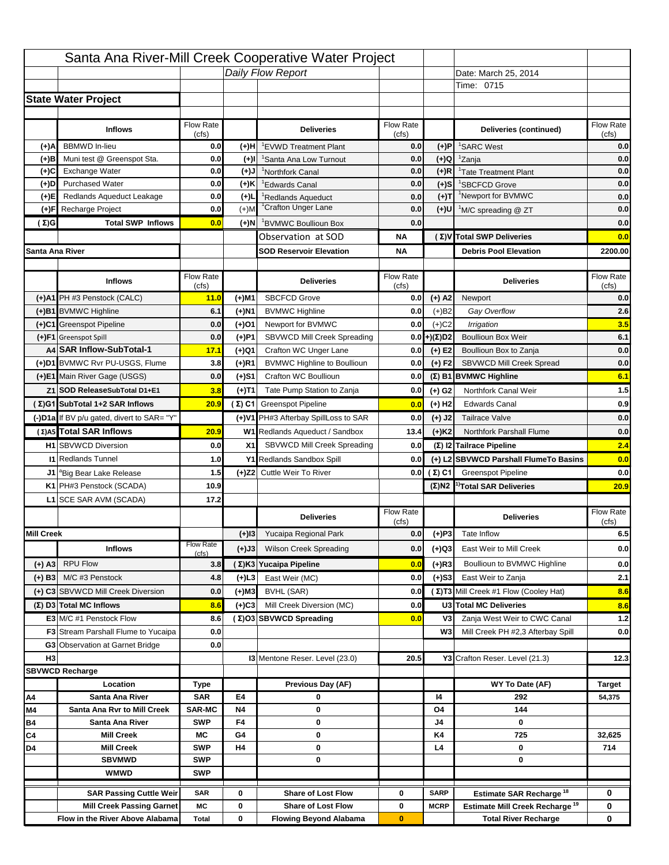|                   |                                                            |                           |           | Santa Ana River-Mill Creek Cooperative Water Project       |                  |                      |                                                  |                                                       |
|-------------------|------------------------------------------------------------|---------------------------|-----------|------------------------------------------------------------|------------------|----------------------|--------------------------------------------------|-------------------------------------------------------|
|                   |                                                            |                           |           | Daily Flow Report                                          |                  |                      | Date: March 25, 2014                             |                                                       |
|                   |                                                            |                           |           |                                                            |                  |                      | Time: 0715                                       |                                                       |
|                   | <b>State Water Project</b>                                 |                           |           |                                                            |                  |                      |                                                  |                                                       |
|                   |                                                            |                           |           |                                                            |                  |                      |                                                  |                                                       |
|                   | <b>Inflows</b>                                             | Flow Rate                 |           | <b>Deliveries</b>                                          | <b>Flow Rate</b> |                      | Deliveries (continued)                           | Flow Rate                                             |
| (+)A              | <b>BBMWD</b> In-lieu                                       | (cfs)<br>0.0              | (+)H      | 'EVWD Treatment Plant                                      | (cfs)<br>0.0     | (+)P                 | <sup>1</sup> SARC West                           | (cfs)<br>0.0                                          |
| (+)B              | Muni test @ Greenspot Sta.                                 | 0.0                       | $(+)$ l   | 'Santa Ana Low Turnout                                     | 0.0              | $(+)Q$               | <sup>1</sup> Zanja                               | 0.0                                                   |
| (+)C              | Exchange Water                                             | 0.0                       | $(L(+)$   | <sup>1</sup> Northfork Canal                               | 0.0              | $(+)R$               | <sup>1</sup> Tate Treatment Plant                | 0.0                                                   |
| (+)D              | <b>Purchased Water</b>                                     | 0.0                       | (+)K      | <sup>1</sup> Edwards Canal                                 | 0.0              | $(+)$ S              | <sup>1</sup> SBCFCD Grove                        | 0.0                                                   |
| (+)E              | Redlands Aqueduct Leakage                                  | 0.0                       | $(+)1$    | <sup>1</sup> Redlands Aqueduct                             | 0.0              | $(+)$ T              | <sup>1</sup> Newport for BVMWC                   | 0.0                                                   |
| (+)F              | Recharge Project                                           | 0.0                       | $(+)$ M   | <sup>1</sup> Crafton Unger Lane                            | 0.0              | $(+)$ U              | <sup>1</sup> M/C spreading @ ZT                  | 0.0                                                   |
| (Σ)G              | <b>Total SWP Inflows</b>                                   | 0.0                       | (+)N      | <sup>1</sup> BVMWC Boullioun Box                           | 0.0              |                      |                                                  | 0.0                                                   |
|                   |                                                            |                           |           | Observation at SOD                                         | ΝA               |                      | (Σ) V Total SWP Deliveries                       | 0.0                                                   |
| Santa Ana River   |                                                            |                           |           | <b>SOD Reservoir Elevation</b>                             | <b>NA</b>        |                      | <b>Debris Pool Elevation</b>                     | 2200.00                                               |
|                   |                                                            |                           |           |                                                            |                  |                      |                                                  |                                                       |
|                   | <b>Inflows</b>                                             | Flow Rate                 |           | <b>Deliveries</b>                                          | Flow Rate        |                      | <b>Deliveries</b>                                | Flow Rate                                             |
|                   |                                                            | (cfs)                     |           |                                                            | (cfs)            |                      |                                                  | (cfs)                                                 |
|                   | (+)A1 PH #3 Penstock (CALC)                                | 11.0                      | (+)M1     | <b>SBCFCD Grove</b>                                        | 0.0              | $(+)$ A2             | Newport                                          | 0.0                                                   |
|                   | (+)B1 BVMWC Highline                                       | 6.1                       | (+)N1     | <b>BVMWC Highline</b>                                      | 0.0              | $(+)B2$              | Gay Overflow                                     | 2.6                                                   |
|                   | (+)C1 Greenspot Pipeline                                   | 0.0                       | (+)01     | Newport for BVMWC                                          | 0.0              | $(+)$ C <sub>2</sub> | Irrigation                                       | 3.5                                                   |
|                   | (+)F1 Greenspot Spill                                      | 0.0                       | (+)P1     | SBVWCD Mill Creek Spreading                                | 0.0              | (+)(Σ)D2             | <b>Boullioun Box Weir</b>                        | 6.1                                                   |
|                   | A4 SAR Inflow-SubTotal-1<br>(+)D1 BVMWC Rvr PU-USGS, Flume | 17.1                      | (+)Q1     | Crafton WC Unger Lane                                      | 0.0              | $(+) E2$             | Boullioun Box to Zanja                           | 0.0                                                   |
|                   |                                                            | 3.8                       | $(+)$ R1  | <b>BVMWC Highline to Boullioun</b>                         | 0.0              | $(+) F2$             | <b>SBVWCD Mill Creek Spread</b>                  | 0.0                                                   |
|                   | (+)E1 Main River Gage (USGS)                               | 0.0                       | (+)S1     | Crafton WC Boullioun                                       | 0.0              |                      | $(\Sigma)$ B1 BVMWC Highline                     | 6.1                                                   |
|                   | Z1 SOD ReleaseSubTotal D1+E1                               | 3.8                       | (+)T1     | Tate Pump Station to Zanja                                 | 0.0              | (+) G2               | Northfork Canal Weir                             | 1.5                                                   |
|                   | (Σ)G1 SubTotal 1+2 SAR Inflows                             | 20.9                      |           | (Σ) C1 Greenspot Pipeline                                  | 0.0              | $(+)$ H <sub>2</sub> | <b>Edwards Canal</b>                             | 0.9                                                   |
|                   | (-)D1a If BV p/u gated, divert to SAR= "Y"                 |                           |           | (+)V1 PH#3 Afterbay SpillLoss to SAR                       | 0.0              | $(+)$ J2             | <b>Tailrace Valve</b>                            | 0.0                                                   |
|                   | (Σ) A5 Total SAR Inflows                                   | 20.9                      |           | W1 Redlands Aqueduct / Sandbox                             | 13.4             | $(+)$ K <sub>2</sub> | <b>Northfork Parshall Flume</b>                  | 0.0                                                   |
|                   | <b>H1</b> SBVWCD Diversion                                 |                           |           |                                                            |                  |                      |                                                  |                                                       |
|                   |                                                            | 0.0                       | X1        | SBVWCD Mill Creek Spreading                                | 0.0              |                      | (Σ) I2 Tailrace Pipeline                         |                                                       |
|                   | <b>11 Redlands Tunnel</b>                                  | 1.0                       |           | Y1 Redlands Sandbox Spill                                  | 0.0              |                      | (+) L2 SBVWCD Parshall FlumeTo Basins            |                                                       |
|                   | J1 <sup>a</sup> Big Bear Lake Release                      | 1.5                       |           | (+)Z2 Cuttle Weir To River                                 |                  |                      | <b>0.0 (Σ) C1</b> Greenspot Pipeline             |                                                       |
|                   | K1 PH#3 Penstock (SCADA)                                   | 10.9                      |           |                                                            |                  |                      | $(\Sigma)$ N2 <sup>1)</sup> Total SAR Deliveries |                                                       |
|                   | L1 SCE SAR AVM (SCADA)                                     | 17.2                      |           |                                                            |                  |                      |                                                  |                                                       |
|                   |                                                            |                           |           | <b>Deliveries</b>                                          | <b>Flow Rate</b> |                      | <b>Deliveries</b>                                | Flow Rate                                             |
|                   |                                                            |                           |           |                                                            | (cfs)            |                      |                                                  | (cfs)                                                 |
| <b>Mill Creek</b> |                                                            |                           | $(+)$ 13  | Yucaipa Regional Park                                      | 0.0              | $(+)P3$              | Tate Inflow                                      |                                                       |
|                   | <b>Inflows</b>                                             | <b>Flow Rate</b><br>(cfs) | (+)J3     | <b>Wilson Creek Spreading</b>                              | 0.0              | (+)Q3                | East Weir to Mill Creek                          |                                                       |
| (+) A3            | <b>RPU Flow</b>                                            | 3.8                       |           | (Σ)K3 Yucaipa Pipeline                                     | 0.0              | $(+)$ R3             | Boullioun to BVMWC Highline                      |                                                       |
| $(+)$ B3          | M/C #3 Penstock                                            | 4.8                       | $(+)$ L3  | East Weir (MC)                                             | 0.0              | $(+)$ S3             | East Weir to Zanja                               | 2.4<br>0.0<br>0.0<br>20.9<br>6.5<br>0.0<br>0.0<br>2.1 |
|                   | (+) C3 SBVWCD Mill Creek Diversion                         | 0.0                       | (+)M3     | BVHL (SAR)                                                 | 0.0              |                      | (Σ) T3 Mill Creek #1 Flow (Cooley Hat)           | 8.6                                                   |
|                   | (Σ) D3 Total MC Inflows                                    | 8.6                       | $(+)C3$   | Mill Creek Diversion (MC)                                  | 0.0              |                      | U3 Total MC Deliveries                           |                                                       |
|                   | E3 M/C #1 Penstock Flow                                    | 8.6                       |           | (Σ)O3 SBVWCD Spreading                                     | 0.0              | V3                   | Zanja West Weir to CWC Canal                     |                                                       |
|                   | <b>F3</b> Stream Parshall Flume to Yucaipa                 | 0.0                       |           |                                                            |                  | W <sub>3</sub>       | Mill Creek PH #2,3 Afterbay Spill                |                                                       |
|                   | G3 Observation at Garnet Bridge                            | 0.0                       |           |                                                            |                  |                      |                                                  |                                                       |
| H <sub>3</sub>    |                                                            |                           |           | 13 Mentone Reser. Level (23.0)                             | 20.5             |                      | Y3 Crafton Reser. Level (21.3)                   |                                                       |
|                   | <b>SBVWCD Recharge</b>                                     |                           |           |                                                            |                  |                      |                                                  |                                                       |
|                   | Location                                                   | Type                      |           | Previous Day (AF)                                          |                  |                      | WY To Date (AF)                                  | <b>Target</b>                                         |
| Α4                | Santa Ana River                                            | <b>SAR</b>                | E4        | 0                                                          |                  | 14                   | 292                                              | 54,375                                                |
| M4                | Santa Ana Rvr to Mill Creek                                | <b>SAR-MC</b>             | <b>N4</b> | 0                                                          |                  | O4                   | 144                                              |                                                       |
| Β4                | Santa Ana River                                            | <b>SWP</b>                | F4        | 0                                                          |                  | J4                   | 0                                                |                                                       |
| C4                | <b>Mill Creek</b>                                          | МC                        | G4        | 0                                                          |                  | K4                   | 725                                              | 32,625                                                |
| D4                | <b>Mill Creek</b>                                          | <b>SWP</b>                | H4        | 0                                                          |                  | L4                   | 0                                                | 714                                                   |
|                   | <b>SBVMWD</b>                                              | <b>SWP</b>                |           | 0                                                          |                  |                      | 0                                                |                                                       |
|                   | <b>WMWD</b>                                                | <b>SWP</b>                |           |                                                            |                  |                      |                                                  |                                                       |
|                   | <b>SAR Passing Cuttle Weir</b>                             | <b>SAR</b>                | 0         | <b>Share of Lost Flow</b>                                  | 0                | <b>SARP</b>          | Estimate SAR Recharge <sup>18</sup>              | 0                                                     |
|                   | <b>Mill Creek Passing Garnet</b>                           | МC                        | 0         | <b>Share of Lost Flow</b><br><b>Flowing Beyond Alabama</b> | 0                | <b>MCRP</b>          | Estimate Mill Creek Recharge <sup>19</sup>       | 8.6<br>$1.2$<br>0.0<br>12.3<br>0                      |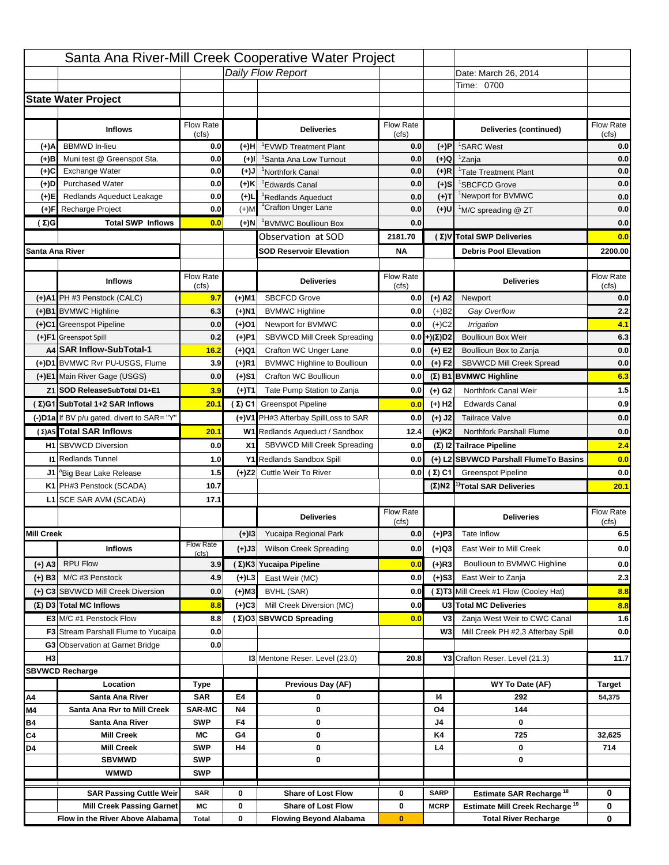|                   |                                                                    |                    |           | Santa Ana River-Mill Creek Cooperative Water Project   |                           |                            |                                                                                   |                          |
|-------------------|--------------------------------------------------------------------|--------------------|-----------|--------------------------------------------------------|---------------------------|----------------------------|-----------------------------------------------------------------------------------|--------------------------|
|                   |                                                                    |                    |           | Daily Flow Report                                      |                           |                            | Date: March 26, 2014                                                              |                          |
|                   |                                                                    |                    |           |                                                        |                           |                            | Time: 0700                                                                        |                          |
|                   | <b>State Water Project</b>                                         |                    |           |                                                        |                           |                            |                                                                                   |                          |
|                   |                                                                    |                    |           |                                                        |                           |                            |                                                                                   |                          |
|                   | <b>Inflows</b>                                                     | Flow Rate<br>(cfs) |           | <b>Deliveries</b>                                      | <b>Flow Rate</b><br>(cfs) |                            | Deliveries (continued)                                                            | Flow Rate<br>(cfs)       |
| (+)A              | <b>BBMWD</b> In-lieu                                               | 0.0                | (+)H      | 'EVWD Treatment Plant                                  | 0.0                       | (+)P                       | <sup>1</sup> SARC West                                                            | 0.0                      |
| (+)B              | Muni test @ Greenspot Sta.                                         | 0.0                | $(+)$ l   | 'Santa Ana Low Turnout                                 | 0.0                       | $(+)Q$                     | <sup>1</sup> Zanja                                                                | 0.0                      |
| (+)C              | Exchange Water                                                     | 0.0                | $(L(+)$   | <sup>1</sup> Northfork Canal                           | 0.0                       | $(+)R$                     | <sup>1</sup> Tate Treatment Plant                                                 | 0.0                      |
| (+)D              | <b>Purchased Water</b>                                             | 0.0                | (+)K      | <sup>1</sup> Edwards Canal                             | 0.0                       | $(+)$ S                    | <sup>1</sup> SBCFCD Grove                                                         | 0.0                      |
| (+)E              | Redlands Aqueduct Leakage                                          | 0.0                | $(+)1$    | <sup>1</sup> Redlands Aqueduct                         | 0.0                       | $(+)T$                     | <sup>1</sup> Newport for BVMWC                                                    | 0.0                      |
| (+)F              | Recharge Project                                                   | 0.0                | $(+)$ M   | <sup>1</sup> Crafton Unger Lane                        | 0.0                       | $(+)$ U                    | <sup>1</sup> M/C spreading @ ZT                                                   | 0.0                      |
| (Σ)G              | <b>Total SWP Inflows</b>                                           | 0.0                | (+)N      | <sup>1</sup> BVMWC Boullioun Box                       | 0.0                       |                            |                                                                                   | 0.0                      |
|                   |                                                                    |                    |           | Observation at SOD                                     | 2181.70                   |                            | (Σ) V Total SWP Deliveries                                                        | 0.0                      |
| Santa Ana River   |                                                                    |                    |           | <b>SOD Reservoir Elevation</b>                         | <b>NA</b>                 |                            | <b>Debris Pool Elevation</b>                                                      | 2200.00                  |
|                   |                                                                    |                    |           |                                                        |                           |                            |                                                                                   |                          |
|                   | <b>Inflows</b>                                                     | Flow Rate          |           | <b>Deliveries</b>                                      | Flow Rate                 |                            | <b>Deliveries</b>                                                                 | Flow Rate<br>(cfs)       |
|                   | (+)A1 PH #3 Penstock (CALC)                                        | (cfs)<br>9.7       | (+)M1     | <b>SBCFCD Grove</b>                                    | (cfs)<br>0.0              | $(+)$ A2                   | Newport                                                                           | 0.0                      |
|                   | (+)B1 BVMWC Highline                                               | 6.3                | (+)N1     | <b>BVMWC Highline</b>                                  | 0.0                       | $(+)B2$                    | Gay Overflow                                                                      | 2.2                      |
|                   | (+)C1 Greenspot Pipeline                                           | 0.0                | (+)01     | Newport for BVMWC                                      | 0.0                       | $(+)$ C <sub>2</sub>       | Irrigation                                                                        | 4.1                      |
|                   | (+)F1 Greenspot Spill                                              | 0.2                | (+)P1     | SBVWCD Mill Creek Spreading                            | 0.0                       | (+)(Σ)D2                   | <b>Boullioun Box Weir</b>                                                         | 6.3                      |
|                   | A4 SAR Inflow-SubTotal-1                                           | 16.2               | (+)Q1     | Crafton WC Unger Lane                                  | 0.0                       | $(+) E2$                   | Boullioun Box to Zanja                                                            | 0.0                      |
|                   | (+)D1 BVMWC Rvr PU-USGS, Flume                                     | 3.9                | $(+)$ R1  | <b>BVMWC Highline to Boullioun</b>                     | 0.0                       | $(+) F2$                   | <b>SBVWCD Mill Creek Spread</b>                                                   | 0.0                      |
|                   | (+)E1 Main River Gage (USGS)                                       | 0.0                | (+)S1     | Crafton WC Boullioun                                   | 0.0                       |                            | $(\Sigma)$ B1 BVMWC Highline                                                      | 6.3                      |
|                   | Z1 SOD ReleaseSubTotal D1+E1                                       | 3.9                |           | Tate Pump Station to Zanja                             | 0.0                       |                            | Northfork Canal Weir                                                              | $1.5$                    |
|                   | (Σ)G1 SubTotal 1+2 SAR Inflows                                     | 20.1               | (+)T1     | (Σ) C1 Greenspot Pipeline                              |                           | (+) G2                     | <b>Edwards Canal</b>                                                              | 0.9                      |
|                   |                                                                    |                    |           |                                                        | 0.0                       | $(+)$ H <sub>2</sub>       |                                                                                   |                          |
|                   | (-)D1a If BV p/u gated, divert to SAR= "Y"                         |                    |           | (+)V1 PH#3 Afterbay SpillLoss to SAR                   | 0.0                       | $(+)$ J2                   | <b>Tailrace Valve</b>                                                             | 0.0                      |
|                   | (Σ) A5 Total SAR Inflows                                           | 20.1               |           | W1 Redlands Aqueduct / Sandbox                         | 12.4                      | $(+)$ K <sub>2</sub>       | <b>Northfork Parshall Flume</b>                                                   | 0.0                      |
|                   | <b>H1</b> SBVWCD Diversion                                         | 0.0                | X1        | SBVWCD Mill Creek Spreading                            | 0.0                       |                            | (Σ) I2 Tailrace Pipeline                                                          | 2.4                      |
|                   | <b>11 Redlands Tunnel</b>                                          | 1.0                |           | Y1 Redlands Sandbox Spill                              | 0.0                       |                            | (+) L2 SBVWCD Parshall FlumeTo Basins                                             | 0.0                      |
|                   | J1 <sup>a</sup> Big Bear Lake Release                              | 1.5                |           | (+)Z2 Cuttle Weir To River                             |                           | 0.0 $(\Sigma)$ C1          | <b>Greenspot Pipeline</b>                                                         | 0.0                      |
|                   | K1 PH#3 Penstock (SCADA)                                           | 10.7               |           |                                                        |                           |                            | $(\Sigma)$ N2 <sup>1)</sup> Total SAR Deliveries                                  | 20.1                     |
|                   | L1 SCE SAR AVM (SCADA)                                             | 17.1               |           |                                                        |                           |                            |                                                                                   |                          |
|                   |                                                                    |                    |           |                                                        |                           |                            |                                                                                   |                          |
|                   |                                                                    |                    |           | <b>Deliveries</b>                                      | <b>Flow Rate</b>          |                            | <b>Deliveries</b>                                                                 | Flow Rate                |
| <b>Mill Creek</b> |                                                                    |                    |           |                                                        | (cfs)                     |                            | Tate Inflow                                                                       | (cfs)                    |
|                   |                                                                    | <b>Flow Rate</b>   | $(+)$ 13  | Yucaipa Regional Park                                  | 0.0                       | $(+)P3$                    |                                                                                   |                          |
|                   | <b>Inflows</b>                                                     | (cfs)              | (+)J3     | <b>Wilson Creek Spreading</b>                          | 0.0                       | (+)Q3                      | East Weir to Mill Creek                                                           |                          |
| (+) A3            | <b>RPU Flow</b>                                                    | 3.9                |           | (Σ)K3 Yucaipa Pipeline                                 | 0.0                       | $(+)$ R3                   | Boullioun to BVMWC Highline                                                       |                          |
| $(+)$ B3          | M/C #3 Penstock                                                    | 4.9                | $(+)$ L3  | East Weir (MC)                                         | 0.0                       | $(+)$ S3                   | East Weir to Zanja                                                                | 6.5<br>0.0<br>0.0<br>2.3 |
|                   | (+) C3 SBVWCD Mill Creek Diversion                                 | 0.0                | (+)M3     | BVHL (SAR)                                             | 0.0                       |                            | (Σ) T3 Mill Creek #1 Flow (Cooley Hat)                                            | 8.8                      |
|                   | (Σ) D3 Total MC Inflows                                            | 8.8                | $(+)C3$   | Mill Creek Diversion (MC)                              | 0.0                       |                            | U3 Total MC Deliveries                                                            | 8.8                      |
|                   | E3 M/C #1 Penstock Flow                                            | 8.8                |           | (Σ)O3 SBVWCD Spreading                                 | 0.0                       | V3                         | Zanja West Weir to CWC Canal                                                      |                          |
|                   | <b>F3</b> Stream Parshall Flume to Yucaipa                         | 0.0                |           |                                                        |                           | W <sub>3</sub>             | Mill Creek PH #2,3 Afterbay Spill                                                 |                          |
|                   | G3 Observation at Garnet Bridge                                    | 0.0                |           |                                                        |                           |                            |                                                                                   |                          |
| H <sub>3</sub>    |                                                                    |                    |           | 13 Mentone Reser. Level (23.0)                         | 20.8                      |                            | Y3 Crafton Reser. Level (21.3)                                                    | 1.6<br>0.0<br>11.7       |
|                   | <b>SBVWCD Recharge</b>                                             |                    |           |                                                        |                           |                            |                                                                                   |                          |
|                   | Location                                                           | Type               |           | Previous Day (AF)                                      |                           |                            | WY To Date (AF)                                                                   | <b>Target</b>            |
| Α4                | Santa Ana River                                                    | <b>SAR</b>         | E4        | 0                                                      |                           | 14                         | 292                                                                               | 54,375                   |
| M4                | Santa Ana Rvr to Mill Creek                                        | <b>SAR-MC</b>      | <b>N4</b> | 0                                                      |                           | O4                         | 144                                                                               |                          |
| Β4                | Santa Ana River<br><b>Mill Creek</b>                               | <b>SWP</b><br>МC   | F4<br>G4  | 0<br>0                                                 |                           | J4<br>K4                   | 0<br>725                                                                          | 32,625                   |
| C4<br>D4          | <b>Mill Creek</b>                                                  | <b>SWP</b>         | H4        | 0                                                      |                           | L4                         | 0                                                                                 | 714                      |
|                   | <b>SBVMWD</b>                                                      | <b>SWP</b>         |           | 0                                                      |                           |                            | 0                                                                                 |                          |
|                   | <b>WMWD</b>                                                        | <b>SWP</b>         |           |                                                        |                           |                            |                                                                                   |                          |
|                   |                                                                    |                    |           |                                                        |                           |                            |                                                                                   |                          |
|                   | <b>SAR Passing Cuttle Weir</b><br><b>Mill Creek Passing Garnet</b> | <b>SAR</b><br>МC   | 0<br>0    | <b>Share of Lost Flow</b><br><b>Share of Lost Flow</b> | 0<br>0                    | <b>SARP</b><br><b>MCRP</b> | Estimate SAR Recharge <sup>18</sup><br>Estimate Mill Creek Recharge <sup>19</sup> | 0<br>0                   |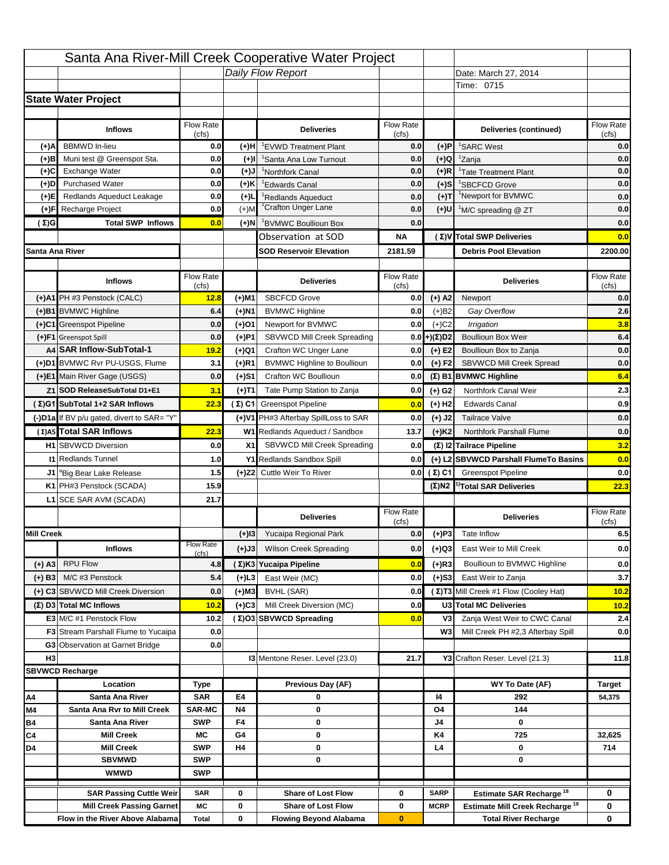|                   |                                                                    |                    |           | Santa Ana River-Mill Creek Cooperative Water Project   |                           |                            |                                                                                   |                    |
|-------------------|--------------------------------------------------------------------|--------------------|-----------|--------------------------------------------------------|---------------------------|----------------------------|-----------------------------------------------------------------------------------|--------------------|
|                   |                                                                    |                    |           | Daily Flow Report                                      |                           |                            | Date: March 27, 2014                                                              |                    |
|                   |                                                                    |                    |           |                                                        |                           |                            | Time: 0715                                                                        |                    |
|                   | <b>State Water Project</b>                                         |                    |           |                                                        |                           |                            |                                                                                   |                    |
|                   |                                                                    |                    |           |                                                        |                           |                            |                                                                                   |                    |
|                   | <b>Inflows</b>                                                     | Flow Rate<br>(cfs) |           | <b>Deliveries</b>                                      | <b>Flow Rate</b><br>(cfs) |                            | Deliveries (continued)                                                            | Flow Rate<br>(cfs) |
| (+)A              | <b>BBMWD</b> In-lieu                                               | 0.0                | (+)H      | 'EVWD Treatment Plant                                  | 0.0                       | (+)P                       | <sup>1</sup> SARC West                                                            | 0.0                |
| (+)B              | Muni test @ Greenspot Sta.                                         | 0.0                | $(+)$ l   | 'Santa Ana Low Turnout                                 | 0.0                       | $(+)Q$                     | <sup>1</sup> Zanja                                                                | 0.0                |
| (+)C              | Exchange Water                                                     | 0.0                | $(L(+)$   | <sup>1</sup> Northfork Canal                           | 0.0                       | $(+)R$                     | <sup>1</sup> Tate Treatment Plant                                                 | 0.0                |
| (+)D              | <b>Purchased Water</b>                                             | 0.0                | (+)K      | <sup>1</sup> Edwards Canal                             | 0.0                       | $(+)$ S                    | <sup>1</sup> SBCFCD Grove                                                         | 0.0                |
| (+)E              | Redlands Aqueduct Leakage                                          | 0.0                | $(+)1$    | <sup>1</sup> Redlands Aqueduct                         | 0.0                       | $(+)$ T                    | <sup>1</sup> Newport for BVMWC                                                    | 0.0                |
| (+)F              | Recharge Project                                                   | 0.0                | $(+)$ M   | <sup>1</sup> Crafton Unger Lane                        | 0.0                       | $(+)$ U                    | <sup>1</sup> M/C spreading @ ZT                                                   | 0.0                |
| (Σ)G              | <b>Total SWP Inflows</b>                                           | 0.0                | (+)N      | <sup>1</sup> BVMWC Boullioun Box                       | 0.0                       |                            |                                                                                   | 0.0                |
|                   |                                                                    |                    |           | Observation at SOD                                     | ΝA                        |                            | (Σ) V Total SWP Deliveries                                                        | 0.0                |
| Santa Ana River   |                                                                    |                    |           | <b>SOD Reservoir Elevation</b>                         | 2181.59                   |                            | <b>Debris Pool Elevation</b>                                                      | 2200.00            |
|                   |                                                                    |                    |           |                                                        |                           |                            |                                                                                   |                    |
|                   | <b>Inflows</b>                                                     | Flow Rate<br>(cfs) |           | <b>Deliveries</b>                                      | Flow Rate<br>(cfs)        |                            | <b>Deliveries</b>                                                                 | Flow Rate<br>(cfs) |
|                   | (+)A1 PH #3 Penstock (CALC)                                        | 12.8               | (+)M1     | <b>SBCFCD Grove</b>                                    | 0.0                       | $(+)$ A2                   | Newport                                                                           | 0.0                |
|                   | (+)B1 BVMWC Highline                                               | 6.4                | (+)N1     | <b>BVMWC Highline</b>                                  | 0.0                       | $(+)B2$                    | Gay Overflow                                                                      | 2.6                |
|                   | (+)C1 Greenspot Pipeline                                           | 0.0                | (+)01     | Newport for BVMWC                                      | 0.0                       | $(+)$ C <sub>2</sub>       | Irrigation                                                                        | 3.8                |
|                   | (+)F1 Greenspot Spill                                              | 0.0                | (+)P1     | SBVWCD Mill Creek Spreading                            | 0.0                       | (+)(Σ)D2                   | <b>Boullioun Box Weir</b>                                                         | 6.4                |
|                   | A4 SAR Inflow-SubTotal-1                                           | 19.2               | (+)Q1     | Crafton WC Unger Lane                                  | 0.0                       | $(+) E2$                   | Boullioun Box to Zanja                                                            | 0.0                |
|                   | (+)D1 BVMWC Rvr PU-USGS, Flume                                     | 3.1                | $(+)$ R1  | <b>BVMWC Highline to Boullioun</b>                     | 0.0                       | $(+) F2$                   | <b>SBVWCD Mill Creek Spread</b>                                                   | 0.0                |
|                   | (+)E1 Main River Gage (USGS)                                       | 0.0                | (+)S1     | Crafton WC Boullioun                                   | 0.0                       |                            | $(\Sigma)$ B1 BVMWC Highline                                                      | 6.4                |
|                   | Z1 SOD ReleaseSubTotal D1+E1                                       | 3.1                | (+)T1     | Tate Pump Station to Zanja                             | 0.0                       | (+) G2                     | Northfork Canal Weir                                                              | 2.3                |
|                   | (Σ)G1 SubTotal 1+2 SAR Inflows                                     | 22.3               |           | (Σ) C1 Greenspot Pipeline                              | 0.0                       | $(+)$ H <sub>2</sub>       | <b>Edwards Canal</b>                                                              | 0.9                |
|                   | (-)D1a If BV p/u gated, divert to SAR= "Y"                         |                    |           | (+)V1 PH#3 Afterbay SpillLoss to SAR                   | 0.0                       | $(+)$ J2                   | <b>Tailrace Valve</b>                                                             | 0.0                |
|                   | (Σ) A5 Total SAR Inflows                                           | 22.3               |           | W1 Redlands Aqueduct / Sandbox                         |                           |                            | <b>Northfork Parshall Flume</b>                                                   | 0.0                |
|                   |                                                                    |                    |           |                                                        | 13.7                      | $(+)$ K <sub>2</sub>       | (Σ) I2 Tailrace Pipeline                                                          | 3.2                |
|                   | <b>H1</b> SBVWCD Diversion                                         | 0.0                | X1        | SBVWCD Mill Creek Spreading                            | 0.0                       |                            |                                                                                   |                    |
|                   | <b>11 Redlands Tunnel</b>                                          | 1.0                |           | Y1 Redlands Sandbox Spill                              | 0.0                       |                            | (+) L2 SBVWCD Parshall FlumeTo Basins                                             | 0.0                |
|                   | J1 <sup>a</sup> Big Bear Lake Release                              | 1.5                |           | (+)Z2 Cuttle Weir To River                             |                           |                            | <b>0.0 (Σ) C1</b> Greenspot Pipeline                                              | 0.0                |
|                   | K1 PH#3 Penstock (SCADA)                                           | 15.9               |           |                                                        |                           |                            | $(\Sigma)$ N2 <sup>1</sup> Total SAR Deliveries                                   | 22.3               |
|                   | L1 SCE SAR AVM (SCADA)                                             | 21.7               |           |                                                        |                           |                            |                                                                                   |                    |
|                   |                                                                    |                    |           | <b>Deliveries</b>                                      | <b>Flow Rate</b><br>(cfs) |                            | <b>Deliveries</b>                                                                 | Flow Rate<br>(cfs) |
| <b>Mill Creek</b> |                                                                    |                    | $(+)$ 13  | Yucaipa Regional Park                                  | 0.0                       | $(+)P3$                    | Tate Inflow                                                                       | 6.5                |
|                   | <b>Inflows</b>                                                     | <b>Flow Rate</b>   | (+)J3     | <b>Wilson Creek Spreading</b>                          | 0.0                       | (+)Q3                      | East Weir to Mill Creek                                                           | 0.0                |
| (+) A3            | <b>RPU Flow</b>                                                    | (cfs)<br>4.8       |           |                                                        |                           |                            |                                                                                   |                    |
|                   | M/C #3 Penstock                                                    |                    |           |                                                        |                           |                            |                                                                                   |                    |
| $(+)$ B3          |                                                                    |                    |           | (Σ)K3 Yucaipa Pipeline                                 | 0.0                       | $(+)$ R3                   | Boullioun to BVMWC Highline                                                       |                    |
|                   |                                                                    | 5.4                | $(+)$ L3  | East Weir (MC)                                         | 0.0                       | $(+)$ S3                   | East Weir to Zanja                                                                | 0.0<br>3.7         |
|                   | (+) C3 SBVWCD Mill Creek Diversion                                 | 0.0                | (+)M3     | BVHL (SAR)                                             | 0.0                       |                            | (Σ) T3 Mill Creek #1 Flow (Cooley Hat)                                            | 10.2               |
|                   | (Σ) D3 Total MC Inflows                                            | 10.2               | $(+)C3$   | Mill Creek Diversion (MC)                              | 0.0                       |                            | U3 Total MC Deliveries                                                            | 10.2               |
|                   | E3 M/C #1 Penstock Flow                                            | 10.2               |           | (Σ)O3 SBVWCD Spreading                                 | 0.0                       | V3                         | Zanja West Weir to CWC Canal                                                      |                    |
|                   | <b>F3</b> Stream Parshall Flume to Yucaipa                         | 0.0                |           |                                                        |                           | W <sub>3</sub>             | Mill Creek PH #2,3 Afterbay Spill                                                 |                    |
|                   | G3 Observation at Garnet Bridge                                    | 0.0                |           |                                                        |                           |                            |                                                                                   | 2.4<br>0.0         |
| H <sub>3</sub>    |                                                                    |                    |           | 13 Mentone Reser. Level (23.0)                         | 21.7                      |                            | Y3 Crafton Reser. Level (21.3)                                                    | 11.8               |
|                   | <b>SBVWCD Recharge</b>                                             |                    |           |                                                        |                           |                            |                                                                                   |                    |
|                   | Location                                                           | Type               |           | Previous Day (AF)                                      |                           |                            | WY To Date (AF)                                                                   | <b>Target</b>      |
| Α4                | Santa Ana River                                                    | <b>SAR</b>         | E4        | 0                                                      |                           | 14                         | 292                                                                               | 54,375             |
| M4                | Santa Ana Rvr to Mill Creek                                        | <b>SAR-MC</b>      | <b>N4</b> | 0                                                      |                           | O4                         | 144                                                                               |                    |
| Β4                | Santa Ana River<br><b>Mill Creek</b>                               | <b>SWP</b><br>МC   | F4<br>G4  | 0<br>0                                                 |                           | J4<br>K4                   | 0<br>725                                                                          | 32,625             |
| C4<br>D4          | <b>Mill Creek</b>                                                  | <b>SWP</b>         | H4        | 0                                                      |                           | L4                         | 0                                                                                 | 714                |
|                   | <b>SBVMWD</b>                                                      | <b>SWP</b>         |           | 0                                                      |                           |                            | 0                                                                                 |                    |
|                   | <b>WMWD</b>                                                        | <b>SWP</b>         |           |                                                        |                           |                            |                                                                                   |                    |
|                   |                                                                    |                    |           |                                                        |                           |                            |                                                                                   |                    |
|                   | <b>SAR Passing Cuttle Weir</b><br><b>Mill Creek Passing Garnet</b> | <b>SAR</b><br>МC   | 0<br>0    | <b>Share of Lost Flow</b><br><b>Share of Lost Flow</b> | 0<br>0                    | <b>SARP</b><br><b>MCRP</b> | Estimate SAR Recharge <sup>18</sup><br>Estimate Mill Creek Recharge <sup>19</sup> | 0<br>0             |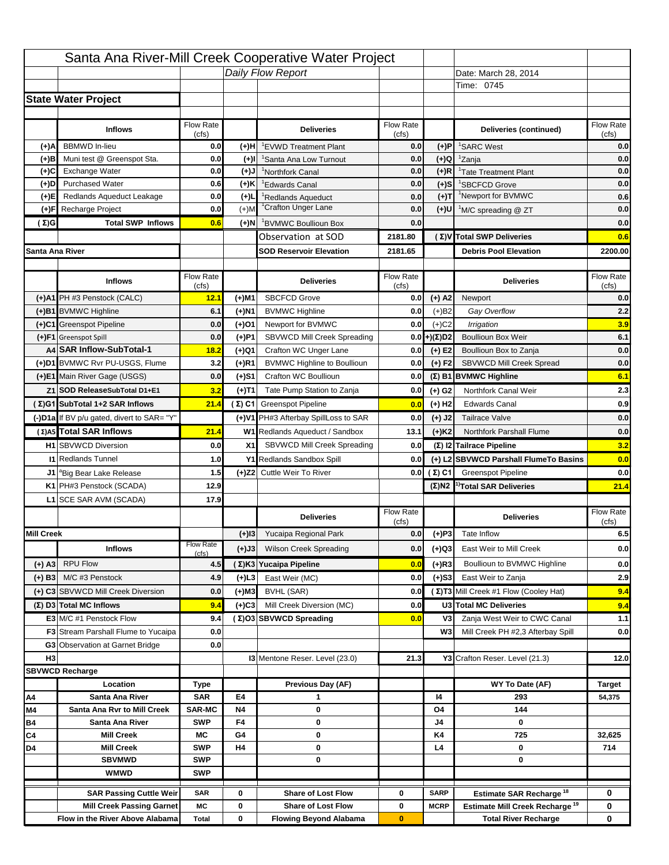|                   |                                                                    |                             |                 | Santa Ana River-Mill Creek Cooperative Water Project   |                  |                            |                                                                                   |                                         |
|-------------------|--------------------------------------------------------------------|-----------------------------|-----------------|--------------------------------------------------------|------------------|----------------------------|-----------------------------------------------------------------------------------|-----------------------------------------|
|                   |                                                                    |                             |                 | Daily Flow Report                                      |                  |                            | Date: March 28, 2014                                                              |                                         |
|                   |                                                                    |                             |                 |                                                        |                  |                            | Time: 0745                                                                        |                                         |
|                   | <b>State Water Project</b>                                         |                             |                 |                                                        |                  |                            |                                                                                   |                                         |
|                   |                                                                    |                             |                 |                                                        |                  |                            |                                                                                   |                                         |
|                   | <b>Inflows</b>                                                     | Flow Rate                   |                 | <b>Deliveries</b>                                      | <b>Flow Rate</b> |                            | Deliveries (continued)                                                            | Flow Rate                               |
| (+)A              | <b>BBMWD</b> In-lieu                                               | (cfs)<br>0.0                | (+)H            | 'EVWD Treatment Plant                                  | (cfs)<br>0.0     | (+)P                       | <sup>1</sup> SARC West                                                            | (cfs)<br>0.0                            |
| (+)B              | Muni test @ Greenspot Sta.                                         | 0.0                         | $(+)$ l         | 'Santa Ana Low Turnout                                 | 0.0              | $(+)Q$                     | <sup>1</sup> Zanja                                                                | 0.0                                     |
| (+)C              | Exchange Water                                                     | 0.0                         | $(L(+)$         | <sup>1</sup> Northfork Canal                           | 0.0              | $(+)R$                     | <sup>1</sup> Tate Treatment Plant                                                 | 0.0                                     |
| (+)D              | <b>Purchased Water</b>                                             | 0.6                         | (+)K            | <sup>1</sup> Edwards Canal                             | 0.0              | $(+)$ S                    | <sup>1</sup> SBCFCD Grove                                                         | 0.0                                     |
| (+)E              | Redlands Aqueduct Leakage                                          | 0.0                         | $(+)1$          | <sup>1</sup> Redlands Aqueduct                         | 0.0              | $(+)T$                     | <sup>1</sup> Newport for BVMWC                                                    | 0.6                                     |
| (+)F              | Recharge Project                                                   | 0.0                         | $(+)$ M         | <sup>1</sup> Crafton Unger Lane                        | 0.0              | $(+)$ U                    | <sup>1</sup> M/C spreading @ ZT                                                   | 0.0                                     |
| (Σ)G              | <b>Total SWP Inflows</b>                                           | 0.6                         | (+)N            | <sup>1</sup> BVMWC Boullioun Box                       | 0.0              |                            |                                                                                   | 0.0                                     |
|                   |                                                                    |                             |                 | Observation at SOD                                     | 2181.80          |                            | (Σ) V Total SWP Deliveries                                                        | 0.6                                     |
| Santa Ana River   |                                                                    |                             |                 | <b>SOD Reservoir Elevation</b>                         | 2181.65          |                            | <b>Debris Pool Elevation</b>                                                      | 2200.00                                 |
|                   |                                                                    |                             |                 |                                                        |                  |                            |                                                                                   |                                         |
|                   | <b>Inflows</b>                                                     | Flow Rate                   |                 | <b>Deliveries</b>                                      | Flow Rate        |                            | <b>Deliveries</b>                                                                 | Flow Rate                               |
|                   | (+)A1 PH #3 Penstock (CALC)                                        | (cfs)<br>12.1               | (+)M1           | <b>SBCFCD Grove</b>                                    | (cfs)<br>0.0     | $(+)$ A2                   | Newport                                                                           | (cfs)<br>0.0                            |
|                   | (+)B1 BVMWC Highline                                               | 6.1                         | (+)N1           | <b>BVMWC Highline</b>                                  | 0.0              | $(+)B2$                    | Gay Overflow                                                                      | 2.2                                     |
|                   | (+)C1 Greenspot Pipeline                                           | 0.0                         | (+)01           | Newport for BVMWC                                      | 0.0              | $(+)$ C <sub>2</sub>       | Irrigation                                                                        | 3.9                                     |
|                   | (+)F1 Greenspot Spill                                              | 0.0                         | (+)P1           | SBVWCD Mill Creek Spreading                            | 0.0              | (+)(Σ)D2                   | <b>Boullioun Box Weir</b>                                                         | 6.1                                     |
|                   | A4 SAR Inflow-SubTotal-1                                           | 18.2                        | (+)Q1           | Crafton WC Unger Lane                                  | 0.0              | $(+) E2$                   | Boullioun Box to Zanja                                                            | 0.0                                     |
|                   | (+)D1 BVMWC Rvr PU-USGS, Flume                                     | 3.2                         | $(+)$ R1        | <b>BVMWC Highline to Boullioun</b>                     | 0.0              | $(+) F2$                   | <b>SBVWCD Mill Creek Spread</b>                                                   | 0.0                                     |
|                   | (+)E1 Main River Gage (USGS)                                       | 0.0                         | (+)S1           | Crafton WC Boullioun                                   | 0.0              |                            | $(\Sigma)$ B1 BVMWC Highline                                                      | 6.1                                     |
|                   | Z1 SOD ReleaseSubTotal D1+E1                                       | 3.2                         | (+)T1           | Tate Pump Station to Zanja                             | 0.0              | (+) G2                     | Northfork Canal Weir                                                              | 2.3                                     |
|                   | (Σ)G1 SubTotal 1+2 SAR Inflows                                     | 21.4                        |                 | (Σ) C1 Greenspot Pipeline                              | 0.0              | $(+)$ H <sub>2</sub>       | <b>Edwards Canal</b>                                                              | 0.9                                     |
|                   |                                                                    |                             |                 | (+)V1 PH#3 Afterbay SpillLoss to SAR                   |                  |                            |                                                                                   | 0.0                                     |
|                   | (-)D1a If BV p/u gated, divert to SAR= "Y"                         |                             |                 |                                                        | 0.0              | $(+)$ J2                   | <b>Tailrace Valve</b>                                                             |                                         |
|                   | (Σ) A5 Total SAR Inflows                                           | 21.4                        |                 | W1 Redlands Aqueduct / Sandbox                         | 13.1             | $(+)$ K <sub>2</sub>       | <b>Northfork Parshall Flume</b>                                                   | 0.0                                     |
|                   |                                                                    |                             |                 |                                                        |                  |                            |                                                                                   |                                         |
|                   | <b>H1</b> SBVWCD Diversion                                         | 0.0                         | X1              | SBVWCD Mill Creek Spreading                            | 0.0              |                            | (Σ) I2 Tailrace Pipeline                                                          | 3.2                                     |
|                   | <b>11 Redlands Tunnel</b>                                          | 1.0                         |                 | Y1 Redlands Sandbox Spill                              | 0.0              |                            | (+) L2 SBVWCD Parshall FlumeTo Basins                                             |                                         |
|                   | J1 <sup>a</sup> Big Bear Lake Release                              | 1.5                         |                 | (+)Z2 Cuttle Weir To River                             |                  | 0.0 $(\Sigma)$ C1          | <b>Greenspot Pipeline</b>                                                         |                                         |
|                   | K1 PH#3 Penstock (SCADA)                                           | 12.9                        |                 |                                                        |                  |                            | $(\Sigma)$ N2 <sup>1</sup> Total SAR Deliveries                                   |                                         |
|                   | L1 SCE SAR AVM (SCADA)                                             | 17.9                        |                 |                                                        |                  |                            |                                                                                   |                                         |
|                   |                                                                    |                             |                 | <b>Deliveries</b>                                      | <b>Flow Rate</b> |                            | <b>Deliveries</b>                                                                 | Flow Rate                               |
| <b>Mill Creek</b> |                                                                    |                             | $(+)$ 13        | Yucaipa Regional Park                                  | (cfs)<br>0.0     |                            | Tate Inflow                                                                       | (cfs)                                   |
|                   |                                                                    | <b>Flow Rate</b>            |                 |                                                        |                  | $(+)P3$                    |                                                                                   |                                         |
|                   | <b>Inflows</b>                                                     | (cfs)                       | (+)J3           | <b>Wilson Creek Spreading</b>                          | 0.0              | (+)Q3                      | East Weir to Mill Creek                                                           |                                         |
| (+) A3            | <b>RPU Flow</b>                                                    | 4.5                         |                 | (Σ)K3 Yucaipa Pipeline                                 | 0.0              | $(+)$ R3                   | Boullioun to BVMWC Highline                                                       | 0.0<br>0.0<br>21.4<br>6.5<br>0.0<br>0.0 |
| $(+)$ B3          | M/C #3 Penstock                                                    | 4.9                         | $(+)$ L3        | East Weir (MC)                                         | 0.0              | $(+)$ S3                   | East Weir to Zanja                                                                | 2.9                                     |
|                   | (+) C3 SBVWCD Mill Creek Diversion                                 | 0.0                         | (+)M3           | BVHL (SAR)                                             | 0.0              |                            | (Σ) T3 Mill Creek #1 Flow (Cooley Hat)                                            | 9.4                                     |
|                   | (Σ) D3 Total MC Inflows                                            | 9.4                         | $(+)C3$         | Mill Creek Diversion (MC)                              | 0.0              |                            | U3 Total MC Deliveries                                                            | 9.4                                     |
|                   | E3 M/C #1 Penstock Flow                                            | 9.4                         |                 | (Σ)O3 SBVWCD Spreading                                 | 0.0              | V3                         | Zanja West Weir to CWC Canal                                                      | 1.1                                     |
|                   | <b>F3</b> Stream Parshall Flume to Yucaipa                         | 0.0                         |                 |                                                        |                  | W <sub>3</sub>             | Mill Creek PH #2,3 Afterbay Spill                                                 |                                         |
|                   | G3 Observation at Garnet Bridge                                    | 0.0                         |                 |                                                        |                  |                            |                                                                                   | 0.0                                     |
| H <sub>3</sub>    |                                                                    |                             |                 | 13 Mentone Reser. Level (23.0)                         | 21.3             |                            | Y3 Crafton Reser. Level (21.3)                                                    | 12.0                                    |
|                   | <b>SBVWCD Recharge</b>                                             |                             |                 |                                                        |                  |                            |                                                                                   |                                         |
|                   | Location                                                           | Type                        |                 | Previous Day (AF)                                      |                  |                            | WY To Date (AF)                                                                   | <b>Target</b>                           |
| Α4                | Santa Ana River                                                    | <b>SAR</b>                  | E4              | 1                                                      |                  | 14                         | 293                                                                               | 54,375                                  |
| M4                | Santa Ana Rvr to Mill Creek                                        | <b>SAR-MC</b><br><b>SWP</b> | <b>N4</b><br>F4 | 0<br>0                                                 |                  | O4<br>J4                   | 144<br>0                                                                          |                                         |
| Β4<br>C4          | Santa Ana River<br><b>Mill Creek</b>                               | МC                          | G4              | 0                                                      |                  | K4                         | 725                                                                               | 32,625                                  |
| D4                | <b>Mill Creek</b>                                                  | <b>SWP</b>                  | H4              | 0                                                      |                  | L4                         | 0                                                                                 | 714                                     |
|                   | <b>SBVMWD</b>                                                      | <b>SWP</b>                  |                 | 0                                                      |                  |                            | 0                                                                                 |                                         |
|                   | <b>WMWD</b>                                                        | <b>SWP</b>                  |                 |                                                        |                  |                            |                                                                                   |                                         |
|                   |                                                                    |                             |                 |                                                        |                  |                            |                                                                                   |                                         |
|                   | <b>SAR Passing Cuttle Weir</b><br><b>Mill Creek Passing Garnet</b> | <b>SAR</b><br>МC            | 0<br>0          | <b>Share of Lost Flow</b><br><b>Share of Lost Flow</b> | 0<br>0           | <b>SARP</b><br><b>MCRP</b> | Estimate SAR Recharge <sup>18</sup><br>Estimate Mill Creek Recharge <sup>19</sup> | 0<br>0                                  |